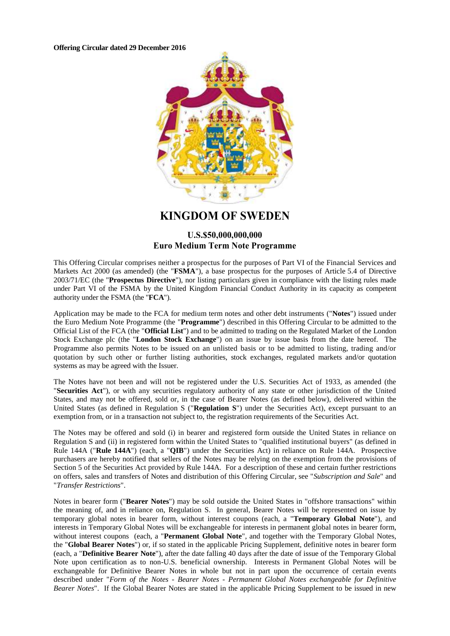**Offering Circular dated 29 December 2016**



**KINGDOM OF SWEDEN**

# **U.S.\$50,000,000,000 Euro Medium Term Note Programme**

This Offering Circular comprises neither a prospectus for the purposes of Part VI of the Financial Services and Markets Act 2000 (as amended) (the "**FSMA**"), a base prospectus for the purposes of Article 5.4 of Directive 2003/71/EC (the "**Prospectus Directive**"), nor listing particulars given in compliance with the listing rules made under Part VI of the FSMA by the United Kingdom Financial Conduct Authority in its capacity as competent authority under the FSMA (the "**FCA**").

Application may be made to the FCA for medium term notes and other debt instruments ("**Notes**") issued under the Euro Medium Note Programme (the "**Programme**") described in this Offering Circular to be admitted to the Official List of the FCA (the "**Official List**") and to be admitted to trading on the Regulated Market of the London Stock Exchange plc (the "London Stock Exchange") on an issue by issue basis from the date hereof. The Programme also permits Notes to be issued on an unlisted basis or to be admitted to listing, trading and/or quotation by such other or further listing authorities, stock exchanges, regulated markets and/or quotation systems as may be agreed with the Issuer.

The Notes have not been and will not be registered under the U.S. Securities Act of 1933, as amended (the "**Securities Act**"), or with any securities regulatory authority of any state or other jurisdiction of the United States, and may not be offered, sold or, in the case of Bearer Notes (as defined below), delivered within the United States (as defined in Regulation S ("**Regulation S**") under the Securities Act), except pursuant to an exemption from, or in a transaction not subject to, the registration requirements of the Securities Act.

The Notes may be offered and sold (i) in bearer and registered form outside the United States in reliance on Regulation S and (ii) in registered form within the United States to "qualified institutional buyers" (as defined in Rule 144A ("**Rule 144A**") (each, a "**QIB**") under the Securities Act) in reliance on Rule 144A. Prospective purchasers are hereby notified that sellers of the Notes may be relying on the exemption from the provisions of Section 5 of the Securities Act provided by Rule 144A. For a description of these and certain further restrictions on offers, sales and transfers of Notes and distribution of this Offering Circular, see "*Subscription and Sale*" and "*Transfer Restrictions*".

Notes in bearer form ("**Bearer Notes**") may be sold outside the United States in "offshore transactions" within the meaning of, and in reliance on, Regulation S. In general, Bearer Notes will be represented on issue by temporary global notes in bearer form, without interest coupons (each, a "**Temporary Global Note**"), and interests in Temporary Global Notes will be exchangeable for interests in permanent global notes in bearer form, without interest coupons (each, a "**Permanent Global Note**", and together with the Temporary Global Notes, the "**Global Bearer Notes**") or, if so stated in the applicable Pricing Supplement, definitive notes in bearer form (each, a "**Definitive Bearer Note**"), after the date falling 40 days after the date of issue of the Temporary Global Note upon certification as to non-U.S. beneficial ownership. Interests in Permanent Global Notes will be exchangeable for Definitive Bearer Notes in whole but not in part upon the occurrence of certain events described under "*Form of the Notes - Bearer Notes - Permanent Global Notes exchangeable for Definitive Bearer Notes*". If the Global Bearer Notes are stated in the applicable Pricing Supplement to be issued in new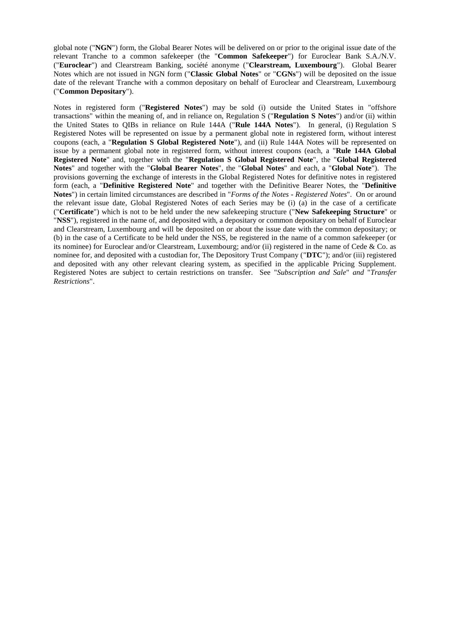global note ("**NGN**") form, the Global Bearer Notes will be delivered on or prior to the original issue date of the relevant Tranche to a common safekeeper (the "**Common Safekeeper**") for Euroclear Bank S.A./N.V. ("**Euroclear**") and Clearstream Banking, société anonyme ("**Clearstream, Luxembourg**"). Global Bearer Notes which are not issued in NGN form ("**Classic Global Notes**" or "**CGNs**") will be deposited on the issue date of the relevant Tranche with a common depositary on behalf of Euroclear and Clearstream, Luxembourg ("**Common Depositary**").

Notes in registered form ("**Registered Notes**") may be sold (i) outside the United States in "offshore transactions" within the meaning of, and in reliance on, Regulation S ("**Regulation S Notes**") and/or (ii) within the United States to QIBs in reliance on Rule 144A ("**Rule 144A Notes**"). In general, (i) Regulation S Registered Notes will be represented on issue by a permanent global note in registered form, without interest coupons (each, a "**Regulation S Global Registered Note**"), and (ii) Rule 144A Notes will be represented on issue by a permanent global note in registered form, without interest coupons (each, a "**Rule 144A Global Registered Note**" and, together with the "**Regulation S Global Registered Note**", the "**Global Registered Notes**" and together with the "**Global Bearer Notes**", the "**Global Notes**" and each, a "**Global Note**"). The provisions governing the exchange of interests in the Global Registered Notes for definitive notes in registered form (each, a "**Definitive Registered Note**" and together with the Definitive Bearer Notes, the "**Definitive Notes**") in certain limited circumstances are described in "*Forms of the Notes - Registered Notes*". On or around the relevant issue date, Global Registered Notes of each Series may be (i) (a) in the case of a certificate ("**Certificate**") which is not to be held under the new safekeeping structure ("**New Safekeeping Structure**" or "**NSS**"), registered in the name of, and deposited with, a depositary or common depositary on behalf of Euroclear and Clearstream, Luxembourg and will be deposited on or about the issue date with the common depositary; or (b) in the case of a Certificate to be held under the NSS, be registered in the name of a common safekeeper (or its nominee) for Euroclear and/or Clearstream, Luxembourg; and/or (ii) registered in the name of Cede & Co. as nominee for, and deposited with a custodian for, The Depository Trust Company ("**DTC**"); and/or (iii) registered and deposited with any other relevant clearing system, as specified in the applicable Pricing Supplement. Registered Notes are subject to certain restrictions on transfer. See "*Subscription and Sale*" *and* "*Transfer Restrictions*".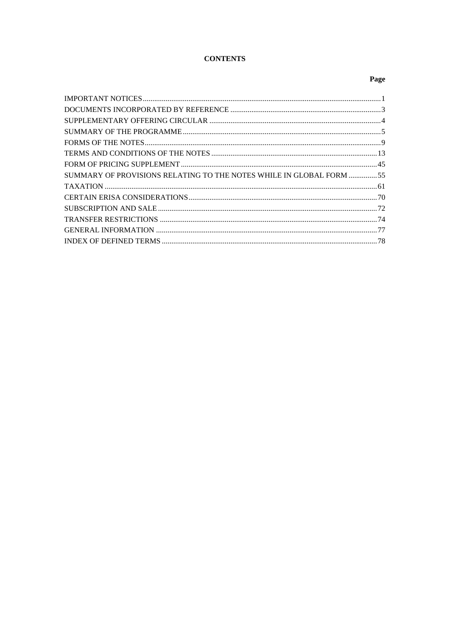# **CONTENTS**

# Page

| SUMMARY OF PROVISIONS RELATING TO THE NOTES WHILE IN GLOBAL FORM 55 |  |
|---------------------------------------------------------------------|--|
|                                                                     |  |
|                                                                     |  |
|                                                                     |  |
|                                                                     |  |
|                                                                     |  |
|                                                                     |  |
|                                                                     |  |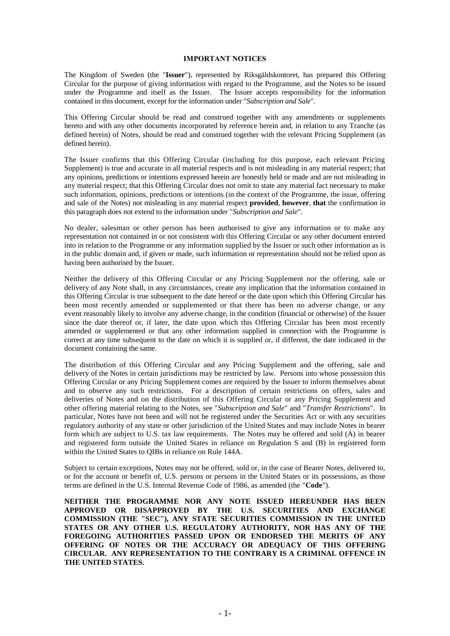### **IMPORTANT NOTICES**

The Kingdom of Sweden (the "**Issuer**"), represented by Riksgäldskontoret, has prepared this Offering Circular for the purpose of giving information with regard to the Programme, and the Notes to be issued under the Programme and itself as the Issuer. The Issuer accepts responsibility for the information contained in this document, except for the information under "*Subscription and Sale*".

This Offering Circular should be read and construed together with any amendments or supplements hereto and with any other documents incorporated by reference herein and, in relation to any Tranche (as defined herein) of Notes, should be read and construed together with the relevant Pricing Supplement (as defined herein).

The Issuer confirms that this Offering Circular (including for this purpose, each relevant Pricing Supplement) is true and accurate in all material respects and is not misleading in any material respect; that any opinions, predictions or intentions expressed herein are honestly held or made and are not misleading in any material respect; that this Offering Circular does not omit to state any material fact necessary to make such information, opinions, predictions or intentions (in the context of the Programme, the issue, offering and sale of the Notes) not misleading in any material respect **provided**, **however**, **that** the confirmation in this paragraph does not extend to the information under "*Subscription and Sale*".

No dealer, salesman or other person has been authorised to give any information or to make any representation not contained in or not consistent with this Offering Circular or any other document entered into in relation to the Programme or any information supplied by the Issuer or such other information as is in the public domain and, if given or made, such information or representation should not be relied upon as having been authorised by the Issuer.

Neither the delivery of this Offering Circular or any Pricing Supplement nor the offering, sale or delivery of any Note shall, in any circumstances, create any implication that the information contained in this Offering Circular is true subsequent to the date hereof or the date upon which this Offering Circular has been most recently amended or supplemented or that there has been no adverse change, or any event reasonably likely to involve any adverse change, in the condition (financial or otherwise) of the Issuer since the date thereof or, if later, the date upon which this Offering Circular has been most recently amended or supplemented or that any other information supplied in connection with the Programme is correct at any time subsequent to the date on which it is supplied or, if different, the date indicated in the document containing the same.

The distribution of this Offering Circular and any Pricing Supplement and the offering, sale and delivery of the Notes in certain jurisdictions may be restricted by law. Persons into whose possession this Offering Circular or any Pricing Supplement comes are required by the Issuer to inform themselves about and to observe any such restrictions. For a description of certain restrictions on offers, sales and deliveries of Notes and on the distribution of this Offering Circular or any Pricing Supplement and other offering material relating to the Notes, see "*Subscription and Sale*" and "*Transfer Restrictions*". In particular, Notes have not been and will not be registered under the Securities Act or with any securities regulatory authority of any state or other jurisdiction of the United States and may include Notes in bearer form which are subject to U.S. tax law requirements. The Notes may be offered and sold (A) in bearer and registered form outside the United States in reliance on Regulation S and (B) in registered form within the United States to QIBs in reliance on Rule 144A.

Subject to certain exceptions, Notes may not be offered, sold or, in the case of Bearer Notes, delivered to, or for the account or benefit of, U.S. persons or persons in the United States or its possessions, as those terms are defined in the U.S. Internal Revenue Code of 1986, as amended (the "**Code**").

**NEITHER THE PROGRAMME NOR ANY NOTE ISSUED HEREUNDER HAS BEEN APPROVED OR DISAPPROVED BY THE U.S. SECURITIES AND EXCHANGE COMMISSION (THE "SEC"), ANY STATE SECURITIES COMMISSION IN THE UNITED STATES OR ANY OTHER U.S. REGULATORY AUTHORITY, NOR HAS ANY OF THE FOREGOING AUTHORITIES PASSED UPON OR ENDORSED THE MERITS OF ANY OFFERING OF NOTES OR THE ACCURACY OR ADEQUACY OF THIS OFFERING CIRCULAR. ANY REPRESENTATION TO THE CONTRARY IS A CRIMINAL OFFENCE IN THE UNITED STATES.**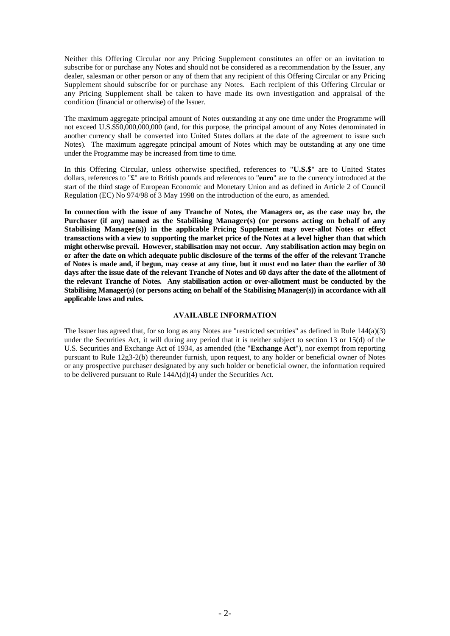Neither this Offering Circular nor any Pricing Supplement constitutes an offer or an invitation to subscribe for or purchase any Notes and should not be considered as a recommendation by the Issuer, any dealer, salesman or other person or any of them that any recipient of this Offering Circular or any Pricing Supplement should subscribe for or purchase any Notes. Each recipient of this Offering Circular or any Pricing Supplement shall be taken to have made its own investigation and appraisal of the condition (financial or otherwise) of the Issuer.

The maximum aggregate principal amount of Notes outstanding at any one time under the Programme will not exceed U.S.\$50,000,000,000 (and, for this purpose, the principal amount of any Notes denominated in another currency shall be converted into United States dollars at the date of the agreement to issue such Notes). The maximum aggregate principal amount of Notes which may be outstanding at any one time under the Programme may be increased from time to time.

In this Offering Circular, unless otherwise specified, references to "**U.S.\$**" are to United States dollars, references to "**£**" are to British pounds and references to "**euro**" are to the currency introduced at the start of the third stage of European Economic and Monetary Union and as defined in Article 2 of Council Regulation (EC) No 974/98 of 3 May 1998 on the introduction of the euro, as amended.

**In connection with the issue of any Tranche of Notes, the Managers or, as the case may be, the Purchaser (if any) named as the Stabilising Manager(s) (or persons acting on behalf of any Stabilising Manager(s)) in the applicable Pricing Supplement may over-allot Notes or effect transactions with a view to supporting the market price of the Notes at a level higher than that which might otherwise prevail. However, stabilisation may not occur. Any stabilisation action may begin on or after the date on which adequate public disclosure of the terms of the offer of the relevant Tranche of Notes is made and, if begun, may cease at any time, but it must end no later than the earlier of 30 days after the issue date of the relevant Tranche of Notes and 60 days after the date of the allotment of the relevant Tranche of Notes. Any stabilisation action or over-allotment must be conducted by the Stabilising Manager(s) (or persons acting on behalf of the Stabilising Manager(s)) in accordance with all applicable laws and rules.**

# **AVAILABLE INFORMATION**

The Issuer has agreed that, for so long as any Notes are "restricted securities" as defined in Rule  $144(a)(3)$ under the Securities Act, it will during any period that it is neither subject to section 13 or 15(d) of the U.S. Securities and Exchange Act of 1934, as amended (the "**Exchange Act**"), nor exempt from reporting pursuant to Rule 12g3-2(b) thereunder furnish, upon request, to any holder or beneficial owner of Notes or any prospective purchaser designated by any such holder or beneficial owner, the information required to be delivered pursuant to Rule 144A(d)(4) under the Securities Act.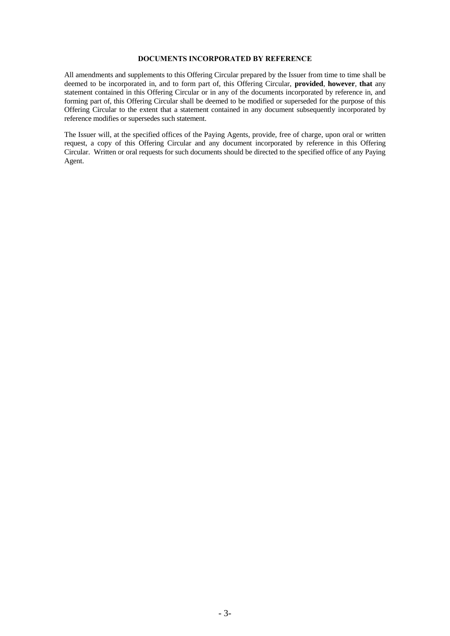# **DOCUMENTS INCORPORATED BY REFERENCE**

All amendments and supplements to this Offering Circular prepared by the Issuer from time to time shall be deemed to be incorporated in, and to form part of, this Offering Circular, **provided**, **however**, **that** any statement contained in this Offering Circular or in any of the documents incorporated by reference in, and forming part of, this Offering Circular shall be deemed to be modified or superseded for the purpose of this Offering Circular to the extent that a statement contained in any document subsequently incorporated by reference modifies or supersedes such statement.

The Issuer will, at the specified offices of the Paying Agents, provide, free of charge, upon oral or written request, a copy of this Offering Circular and any document incorporated by reference in this Offering Circular. Written or oral requests for such documents should be directed to the specified office of any Paying Agent.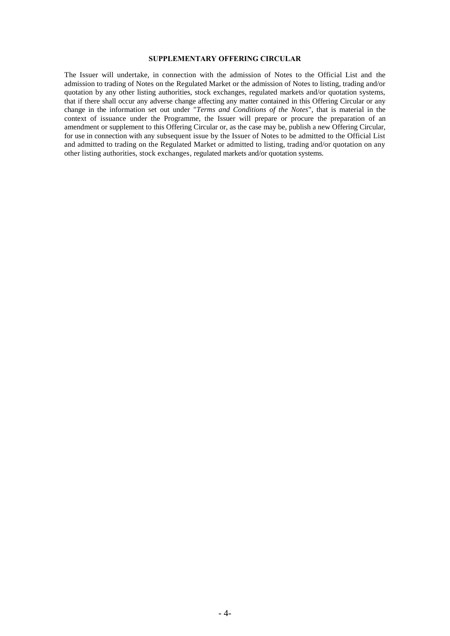# **SUPPLEMENTARY OFFERING CIRCULAR**

The Issuer will undertake, in connection with the admission of Notes to the Official List and the admission to trading of Notes on the Regulated Market or the admission of Notes to listing, trading and/or quotation by any other listing authorities, stock exchanges, regulated markets and/or quotation systems, that if there shall occur any adverse change affecting any matter contained in this Offering Circular or any change in the information set out under "*Terms and Conditions of the Notes*", that is material in the context of issuance under the Programme, the Issuer will prepare or procure the preparation of an amendment or supplement to this Offering Circular or, as the case may be, publish a new Offering Circular, for use in connection with any subsequent issue by the Issuer of Notes to be admitted to the Official List and admitted to trading on the Regulated Market or admitted to listing, trading and/or quotation on any other listing authorities, stock exchanges, regulated markets and/or quotation systems.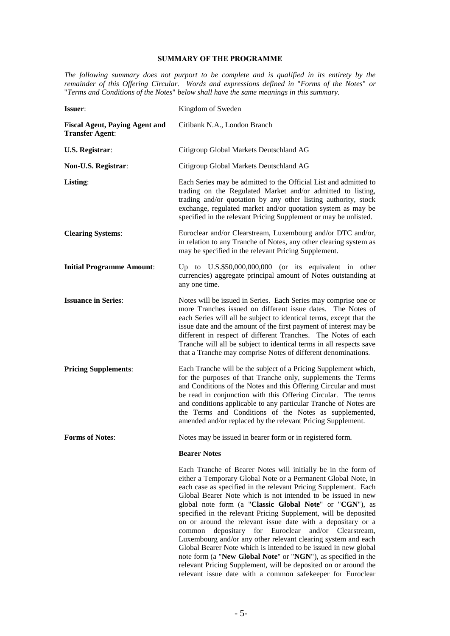# **SUMMARY OF THE PROGRAMME**

*The following summary does not purport to be complete and is qualified in its entirety by the remainder of this Offering Circular. Words and expressions defined in* "*Forms of the Notes*" *or*  "*Terms and Conditions of the Notes*" *below shall have the same meanings in this summary.*

| <b>Issuer:</b>                                                  | Kingdom of Sweden                                                                                                                                                                                                                                                                                                                                                                                                                                                                                                                                                                                                                                                                                                                                                                                   |
|-----------------------------------------------------------------|-----------------------------------------------------------------------------------------------------------------------------------------------------------------------------------------------------------------------------------------------------------------------------------------------------------------------------------------------------------------------------------------------------------------------------------------------------------------------------------------------------------------------------------------------------------------------------------------------------------------------------------------------------------------------------------------------------------------------------------------------------------------------------------------------------|
| <b>Fiscal Agent, Paying Agent and</b><br><b>Transfer Agent:</b> | Citibank N.A., London Branch                                                                                                                                                                                                                                                                                                                                                                                                                                                                                                                                                                                                                                                                                                                                                                        |
| <b>U.S. Registrar:</b>                                          | Citigroup Global Markets Deutschland AG                                                                                                                                                                                                                                                                                                                                                                                                                                                                                                                                                                                                                                                                                                                                                             |
| Non-U.S. Registrar:                                             | Citigroup Global Markets Deutschland AG                                                                                                                                                                                                                                                                                                                                                                                                                                                                                                                                                                                                                                                                                                                                                             |
| Listing:                                                        | Each Series may be admitted to the Official List and admitted to<br>trading on the Regulated Market and/or admitted to listing,<br>trading and/or quotation by any other listing authority, stock<br>exchange, regulated market and/or quotation system as may be<br>specified in the relevant Pricing Supplement or may be unlisted.                                                                                                                                                                                                                                                                                                                                                                                                                                                               |
| <b>Clearing Systems:</b>                                        | Euroclear and/or Clearstream, Luxembourg and/or DTC and/or,<br>in relation to any Tranche of Notes, any other clearing system as<br>may be specified in the relevant Pricing Supplement.                                                                                                                                                                                                                                                                                                                                                                                                                                                                                                                                                                                                            |
| <b>Initial Programme Amount:</b>                                | Up to U.S.\$50,000,000,000 (or its equivalent in other<br>currencies) aggregate principal amount of Notes outstanding at<br>any one time.                                                                                                                                                                                                                                                                                                                                                                                                                                                                                                                                                                                                                                                           |
| <b>Issuance in Series:</b>                                      | Notes will be issued in Series. Each Series may comprise one or<br>more Tranches issued on different issue dates. The Notes of<br>each Series will all be subject to identical terms, except that the<br>issue date and the amount of the first payment of interest may be<br>different in respect of different Tranches. The Notes of each<br>Tranche will all be subject to identical terms in all respects save<br>that a Tranche may comprise Notes of different denominations.                                                                                                                                                                                                                                                                                                                 |
| <b>Pricing Supplements:</b>                                     | Each Tranche will be the subject of a Pricing Supplement which,<br>for the purposes of that Tranche only, supplements the Terms<br>and Conditions of the Notes and this Offering Circular and must<br>be read in conjunction with this Offering Circular. The terms<br>and conditions applicable to any particular Tranche of Notes are<br>the Terms and Conditions of the Notes as supplemented,<br>amended and/or replaced by the relevant Pricing Supplement.                                                                                                                                                                                                                                                                                                                                    |
| <b>Forms of Notes:</b>                                          | Notes may be issued in bearer form or in registered form.                                                                                                                                                                                                                                                                                                                                                                                                                                                                                                                                                                                                                                                                                                                                           |
|                                                                 | <b>Bearer Notes</b>                                                                                                                                                                                                                                                                                                                                                                                                                                                                                                                                                                                                                                                                                                                                                                                 |
|                                                                 | Each Tranche of Bearer Notes will initially be in the form of<br>either a Temporary Global Note or a Permanent Global Note, in<br>each case as specified in the relevant Pricing Supplement. Each<br>Global Bearer Note which is not intended to be issued in new<br>global note form (a "Classic Global Note" or "CGN"), as<br>specified in the relevant Pricing Supplement, will be deposited<br>on or around the relevant issue date with a depositary or a<br>depositary for Euroclear<br>and/or Clearstream,<br>common<br>Luxembourg and/or any other relevant clearing system and each<br>Global Bearer Note which is intended to be issued in new global<br>note form (a "New Global Note" or "NGN"), as specified in the<br>relevant Pricing Supplement, will be deposited on or around the |

relevant issue date with a common safekeeper for Euroclear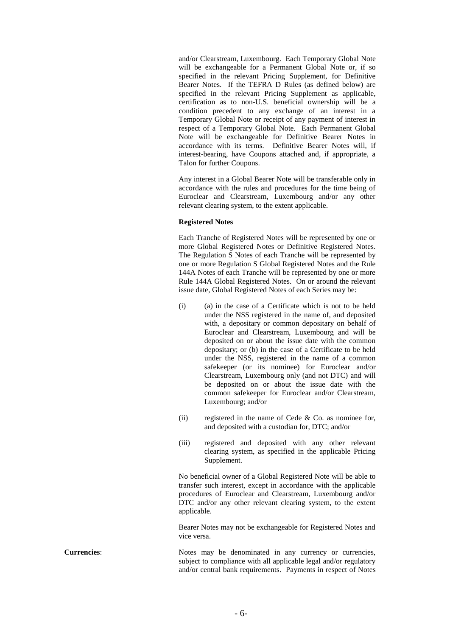and/or Clearstream, Luxembourg. Each Temporary Global Note will be exchangeable for a Permanent Global Note or, if so specified in the relevant Pricing Supplement, for Definitive Bearer Notes. If the TEFRA D Rules (as defined below) are specified in the relevant Pricing Supplement as applicable, certification as to non-U.S. beneficial ownership will be a condition precedent to any exchange of an interest in a Temporary Global Note or receipt of any payment of interest in respect of a Temporary Global Note. Each Permanent Global Note will be exchangeable for Definitive Bearer Notes in accordance with its terms. Definitive Bearer Notes will, if interest-bearing, have Coupons attached and, if appropriate, a Talon for further Coupons.

Any interest in a Global Bearer Note will be transferable only in accordance with the rules and procedures for the time being of Euroclear and Clearstream, Luxembourg and/or any other relevant clearing system, to the extent applicable.

#### **Registered Notes**

Each Tranche of Registered Notes will be represented by one or more Global Registered Notes or Definitive Registered Notes. The Regulation S Notes of each Tranche will be represented by one or more Regulation S Global Registered Notes and the Rule 144A Notes of each Tranche will be represented by one or more Rule 144A Global Registered Notes. On or around the relevant issue date, Global Registered Notes of each Series may be:

- (i) (a) in the case of a Certificate which is not to be held under the NSS registered in the name of, and deposited with, a depositary or common depositary on behalf of Euroclear and Clearstream, Luxembourg and will be deposited on or about the issue date with the common depositary; or (b) in the case of a Certificate to be held under the NSS, registered in the name of a common safekeeper (or its nominee) for Euroclear and/or Clearstream, Luxembourg only (and not DTC) and will be deposited on or about the issue date with the common safekeeper for Euroclear and/or Clearstream, Luxembourg; and/or
- (ii) registered in the name of Cede  $&$  Co. as nominee for, and deposited with a custodian for, DTC; and/or
- (iii) registered and deposited with any other relevant clearing system, as specified in the applicable Pricing Supplement.

No beneficial owner of a Global Registered Note will be able to transfer such interest, except in accordance with the applicable procedures of Euroclear and Clearstream, Luxembourg and/or DTC and/or any other relevant clearing system, to the extent applicable.

Bearer Notes may not be exchangeable for Registered Notes and vice versa.

**Currencies:** Notes may be denominated in any currency or currencies, subject to compliance with all applicable legal and/or regulatory and/or central bank requirements. Payments in respect of Notes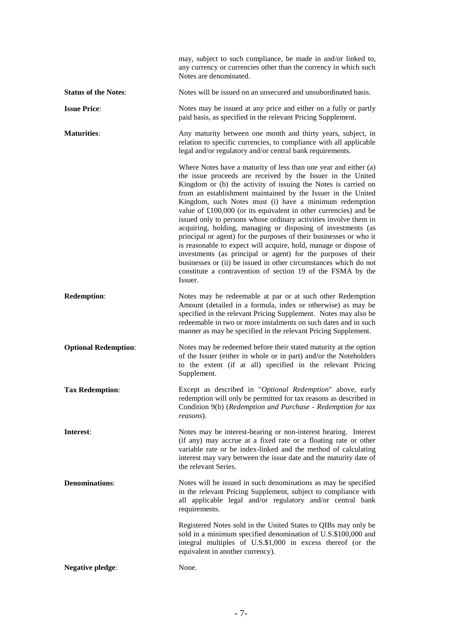|                             | may, subject to such compliance, be made in and/or linked to,<br>any currency or currencies other than the currency in which such<br>Notes are denominated.                                                                                                                                                                                                                                                                                                                                                                                                                                                                                                                                                                                                                                                                                                                                    |
|-----------------------------|------------------------------------------------------------------------------------------------------------------------------------------------------------------------------------------------------------------------------------------------------------------------------------------------------------------------------------------------------------------------------------------------------------------------------------------------------------------------------------------------------------------------------------------------------------------------------------------------------------------------------------------------------------------------------------------------------------------------------------------------------------------------------------------------------------------------------------------------------------------------------------------------|
| <b>Status of the Notes:</b> | Notes will be issued on an unsecured and unsubordinated basis.                                                                                                                                                                                                                                                                                                                                                                                                                                                                                                                                                                                                                                                                                                                                                                                                                                 |
| <b>Issue Price:</b>         | Notes may be issued at any price and either on a fully or partly<br>paid basis, as specified in the relevant Pricing Supplement.                                                                                                                                                                                                                                                                                                                                                                                                                                                                                                                                                                                                                                                                                                                                                               |
| <b>Maturities:</b>          | Any maturity between one month and thirty years, subject, in<br>relation to specific currencies, to compliance with all applicable<br>legal and/or regulatory and/or central bank requirements.                                                                                                                                                                                                                                                                                                                                                                                                                                                                                                                                                                                                                                                                                                |
|                             | Where Notes have a maturity of less than one year and either (a)<br>the issue proceeds are received by the Issuer in the United<br>Kingdom or (b) the activity of issuing the Notes is carried on<br>from an establishment maintained by the Issuer in the United<br>Kingdom, such Notes must (i) have a minimum redemption<br>value of $£100,000$ (or its equivalent in other currencies) and be<br>issued only to persons whose ordinary activities involve them in<br>acquiring, holding, managing or disposing of investments (as<br>principal or agent) for the purposes of their businesses or who it<br>is reasonable to expect will acquire, hold, manage or dispose of<br>investments (as principal or agent) for the purposes of their<br>businesses or (ii) be issued in other circumstances which do not<br>constitute a contravention of section 19 of the FSMA by the<br>Issuer. |
| <b>Redemption:</b>          | Notes may be redeemable at par or at such other Redemption<br>Amount (detailed in a formula, index or otherwise) as may be<br>specified in the relevant Pricing Supplement. Notes may also be<br>redeemable in two or more instalments on such dates and in such<br>manner as may be specified in the relevant Pricing Supplement.                                                                                                                                                                                                                                                                                                                                                                                                                                                                                                                                                             |
| <b>Optional Redemption:</b> | Notes may be redeemed before their stated maturity at the option<br>of the Issuer (either in whole or in part) and/or the Noteholders<br>to the extent (if at all) specified in the relevant Pricing<br>Supplement.                                                                                                                                                                                                                                                                                                                                                                                                                                                                                                                                                                                                                                                                            |
| <b>Tax Redemption:</b>      | Except as described in "Optional Redemption" above, early<br>redemption will only be permitted for tax reasons as described in<br>Condition 9(b) (Redemption and Purchase - Redemption for tax<br>reasons).                                                                                                                                                                                                                                                                                                                                                                                                                                                                                                                                                                                                                                                                                    |
| Interest:                   | Notes may be interest-bearing or non-interest bearing. Interest<br>(if any) may accrue at a fixed rate or a floating rate or other<br>variable rate or be index-linked and the method of calculating<br>interest may vary between the issue date and the maturity date of<br>the relevant Series.                                                                                                                                                                                                                                                                                                                                                                                                                                                                                                                                                                                              |
| <b>Denominations:</b>       | Notes will be issued in such denominations as may be specified<br>in the relevant Pricing Supplement, subject to compliance with<br>all applicable legal and/or regulatory and/or central bank<br>requirements.                                                                                                                                                                                                                                                                                                                                                                                                                                                                                                                                                                                                                                                                                |
|                             | Registered Notes sold in the United States to QIBs may only be<br>sold in a minimum specified denomination of U.S.\$100,000 and<br>integral multiples of U.S.\$1,000 in excess thereof (or the<br>equivalent in another currency).                                                                                                                                                                                                                                                                                                                                                                                                                                                                                                                                                                                                                                                             |
| <b>Negative pledge:</b>     | None.                                                                                                                                                                                                                                                                                                                                                                                                                                                                                                                                                                                                                                                                                                                                                                                                                                                                                          |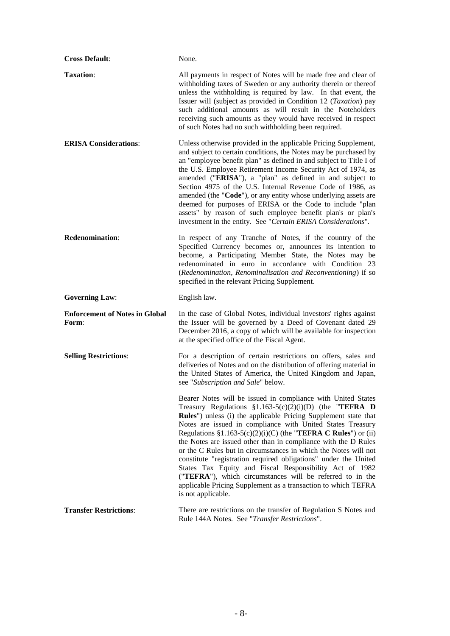| <b>Cross Default:</b>                          | None.                                                                                                                                                                                                                                                                                                                                                                                                                                                                                                                                                                                                                                                                                                                                                  |
|------------------------------------------------|--------------------------------------------------------------------------------------------------------------------------------------------------------------------------------------------------------------------------------------------------------------------------------------------------------------------------------------------------------------------------------------------------------------------------------------------------------------------------------------------------------------------------------------------------------------------------------------------------------------------------------------------------------------------------------------------------------------------------------------------------------|
| <b>Taxation:</b>                               | All payments in respect of Notes will be made free and clear of<br>withholding taxes of Sweden or any authority therein or thereof<br>unless the withholding is required by law. In that event, the<br>Issuer will (subject as provided in Condition 12 (Taxation) pay<br>such additional amounts as will result in the Noteholders<br>receiving such amounts as they would have received in respect<br>of such Notes had no such withholding been required.                                                                                                                                                                                                                                                                                           |
| <b>ERISA Considerations:</b>                   | Unless otherwise provided in the applicable Pricing Supplement,<br>and subject to certain conditions, the Notes may be purchased by<br>an "employee benefit plan" as defined in and subject to Title I of<br>the U.S. Employee Retirement Income Security Act of 1974, as<br>amended ("ERISA"), a "plan" as defined in and subject to<br>Section 4975 of the U.S. Internal Revenue Code of 1986, as<br>amended (the "Code"), or any entity whose underlying assets are<br>deemed for purposes of ERISA or the Code to include "plan<br>assets" by reason of such employee benefit plan's or plan's<br>investment in the entity. See "Certain ERISA Considerations".                                                                                    |
| <b>Redenomination:</b>                         | In respect of any Tranche of Notes, if the country of the<br>Specified Currency becomes or, announces its intention to<br>become, a Participating Member State, the Notes may be<br>redenominated in euro in accordance with Condition 23<br>(Redenomination, Renominalisation and Reconventioning) if so<br>specified in the relevant Pricing Supplement.                                                                                                                                                                                                                                                                                                                                                                                             |
| <b>Governing Law:</b>                          | English law.                                                                                                                                                                                                                                                                                                                                                                                                                                                                                                                                                                                                                                                                                                                                           |
| <b>Enforcement of Notes in Global</b><br>Form: | In the case of Global Notes, individual investors' rights against<br>the Issuer will be governed by a Deed of Covenant dated 29<br>December 2016, a copy of which will be available for inspection<br>at the specified office of the Fiscal Agent.                                                                                                                                                                                                                                                                                                                                                                                                                                                                                                     |
| <b>Selling Restrictions:</b>                   | For a description of certain restrictions on offers, sales and<br>deliveries of Notes and on the distribution of offering material in<br>the United States of America, the United Kingdom and Japan,                                                                                                                                                                                                                                                                                                                                                                                                                                                                                                                                                   |
|                                                | see "Subscription and Sale" below.                                                                                                                                                                                                                                                                                                                                                                                                                                                                                                                                                                                                                                                                                                                     |
|                                                | Bearer Notes will be issued in compliance with United States<br>Treasury Regulations $\S1.163-5(c)(2)(i)(D)$ (the "TEFRA D<br>Rules") unless (i) the applicable Pricing Supplement state that<br>Notes are issued in compliance with United States Treasury<br>Regulations $$1.163-5(c)(2)(i)(C)$ (the "TEFRA C Rules") or (ii)<br>the Notes are issued other than in compliance with the D Rules<br>or the C Rules but in circumstances in which the Notes will not<br>constitute "registration required obligations" under the United<br>States Tax Equity and Fiscal Responsibility Act of 1982<br>("TEFRA"), which circumstances will be referred to in the<br>applicable Pricing Supplement as a transaction to which TEFRA<br>is not applicable. |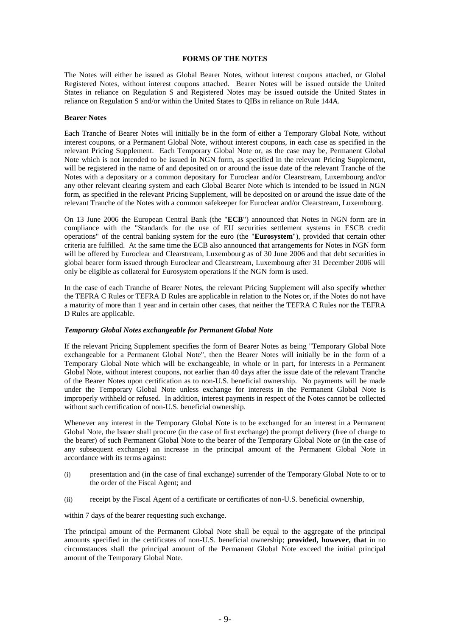### **FORMS OF THE NOTES**

The Notes will either be issued as Global Bearer Notes, without interest coupons attached, or Global Registered Notes, without interest coupons attached. Bearer Notes will be issued outside the United States in reliance on Regulation S and Registered Notes may be issued outside the United States in reliance on Regulation S and/or within the United States to QIBs in reliance on Rule 144A.

#### **Bearer Notes**

Each Tranche of Bearer Notes will initially be in the form of either a Temporary Global Note, without interest coupons, or a Permanent Global Note, without interest coupons, in each case as specified in the relevant Pricing Supplement. Each Temporary Global Note or, as the case may be, Permanent Global Note which is not intended to be issued in NGN form, as specified in the relevant Pricing Supplement, will be registered in the name of and deposited on or around the issue date of the relevant Tranche of the Notes with a depositary or a common depositary for Euroclear and/or Clearstream, Luxembourg and/or any other relevant clearing system and each Global Bearer Note which is intended to be issued in NGN form, as specified in the relevant Pricing Supplement, will be deposited on or around the issue date of the relevant Tranche of the Notes with a common safekeeper for Euroclear and/or Clearstream, Luxembourg.

On 13 June 2006 the European Central Bank (the "**ECB**") announced that Notes in NGN form are in compliance with the "Standards for the use of EU securities settlement systems in ESCB credit operations" of the central banking system for the euro (the "**Eurosystem**"), provided that certain other criteria are fulfilled. At the same time the ECB also announced that arrangements for Notes in NGN form will be offered by Euroclear and Clearstream, Luxembourg as of 30 June 2006 and that debt securities in global bearer form issued through Euroclear and Clearstream, Luxembourg after 31 December 2006 will only be eligible as collateral for Eurosystem operations if the NGN form is used.

In the case of each Tranche of Bearer Notes, the relevant Pricing Supplement will also specify whether the TEFRA C Rules or TEFRA D Rules are applicable in relation to the Notes or, if the Notes do not have a maturity of more than 1 year and in certain other cases, that neither the TEFRA C Rules nor the TEFRA D Rules are applicable.

#### *Temporary Global Notes exchangeable for Permanent Global Note*

If the relevant Pricing Supplement specifies the form of Bearer Notes as being "Temporary Global Note exchangeable for a Permanent Global Note", then the Bearer Notes will initially be in the form of a Temporary Global Note which will be exchangeable, in whole or in part, for interests in a Permanent Global Note, without interest coupons, not earlier than 40 days after the issue date of the relevant Tranche of the Bearer Notes upon certification as to non-U.S. beneficial ownership. No payments will be made under the Temporary Global Note unless exchange for interests in the Permanent Global Note is improperly withheld or refused. In addition, interest payments in respect of the Notes cannot be collected without such certification of non-U.S. beneficial ownership.

Whenever any interest in the Temporary Global Note is to be exchanged for an interest in a Permanent Global Note, the Issuer shall procure (in the case of first exchange) the prompt delivery (free of charge to the bearer) of such Permanent Global Note to the bearer of the Temporary Global Note or (in the case of any subsequent exchange) an increase in the principal amount of the Permanent Global Note in accordance with its terms against:

- (i) presentation and (in the case of final exchange) surrender of the Temporary Global Note to or to the order of the Fiscal Agent; and
- (ii) receipt by the Fiscal Agent of a certificate or certificates of non-U.S. beneficial ownership,

within 7 days of the bearer requesting such exchange.

The principal amount of the Permanent Global Note shall be equal to the aggregate of the principal amounts specified in the certificates of non-U.S. beneficial ownership; **provided, however, that** in no circumstances shall the principal amount of the Permanent Global Note exceed the initial principal amount of the Temporary Global Note.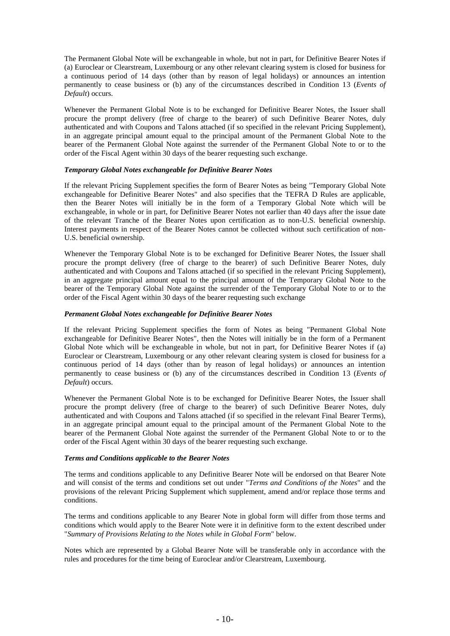The Permanent Global Note will be exchangeable in whole, but not in part, for Definitive Bearer Notes if (a) Euroclear or Clearstream, Luxembourg or any other relevant clearing system is closed for business for a continuous period of 14 days (other than by reason of legal holidays) or announces an intention permanently to cease business or (b) any of the circumstances described in Condition 13 (*Events of Default*) occurs.

Whenever the Permanent Global Note is to be exchanged for Definitive Bearer Notes, the Issuer shall procure the prompt delivery (free of charge to the bearer) of such Definitive Bearer Notes, duly authenticated and with Coupons and Talons attached (if so specified in the relevant Pricing Supplement), in an aggregate principal amount equal to the principal amount of the Permanent Global Note to the bearer of the Permanent Global Note against the surrender of the Permanent Global Note to or to the order of the Fiscal Agent within 30 days of the bearer requesting such exchange.

# *Temporary Global Notes exchangeable for Definitive Bearer Notes*

If the relevant Pricing Supplement specifies the form of Bearer Notes as being "Temporary Global Note exchangeable for Definitive Bearer Notes" and also specifies that the TEFRA D Rules are applicable, then the Bearer Notes will initially be in the form of a Temporary Global Note which will be exchangeable, in whole or in part, for Definitive Bearer Notes not earlier than 40 days after the issue date of the relevant Tranche of the Bearer Notes upon certification as to non-U.S. beneficial ownership. Interest payments in respect of the Bearer Notes cannot be collected without such certification of non-U.S. beneficial ownership.

Whenever the Temporary Global Note is to be exchanged for Definitive Bearer Notes, the Issuer shall procure the prompt delivery (free of charge to the bearer) of such Definitive Bearer Notes, duly authenticated and with Coupons and Talons attached (if so specified in the relevant Pricing Supplement), in an aggregate principal amount equal to the principal amount of the Temporary Global Note to the bearer of the Temporary Global Note against the surrender of the Temporary Global Note to or to the order of the Fiscal Agent within 30 days of the bearer requesting such exchange

#### *Permanent Global Notes exchangeable for Definitive Bearer Notes*

If the relevant Pricing Supplement specifies the form of Notes as being "Permanent Global Note exchangeable for Definitive Bearer Notes", then the Notes will initially be in the form of a Permanent Global Note which will be exchangeable in whole, but not in part, for Definitive Bearer Notes if (a) Euroclear or Clearstream, Luxembourg or any other relevant clearing system is closed for business for a continuous period of 14 days (other than by reason of legal holidays) or announces an intention permanently to cease business or (b) any of the circumstances described in Condition 13 (*Events of Default*) occurs.

Whenever the Permanent Global Note is to be exchanged for Definitive Bearer Notes, the Issuer shall procure the prompt delivery (free of charge to the bearer) of such Definitive Bearer Notes, duly authenticated and with Coupons and Talons attached (if so specified in the relevant Final Bearer Terms), in an aggregate principal amount equal to the principal amount of the Permanent Global Note to the bearer of the Permanent Global Note against the surrender of the Permanent Global Note to or to the order of the Fiscal Agent within 30 days of the bearer requesting such exchange.

### *Terms and Conditions applicable to the Bearer Notes*

The terms and conditions applicable to any Definitive Bearer Note will be endorsed on that Bearer Note and will consist of the terms and conditions set out under "*Terms and Conditions of the Notes*" and the provisions of the relevant Pricing Supplement which supplement, amend and/or replace those terms and conditions.

The terms and conditions applicable to any Bearer Note in global form will differ from those terms and conditions which would apply to the Bearer Note were it in definitive form to the extent described under "*Summary of Provisions Relating to the Notes while in Global Form*" below.

Notes which are represented by a Global Bearer Note will be transferable only in accordance with the rules and procedures for the time being of Euroclear and/or Clearstream, Luxembourg.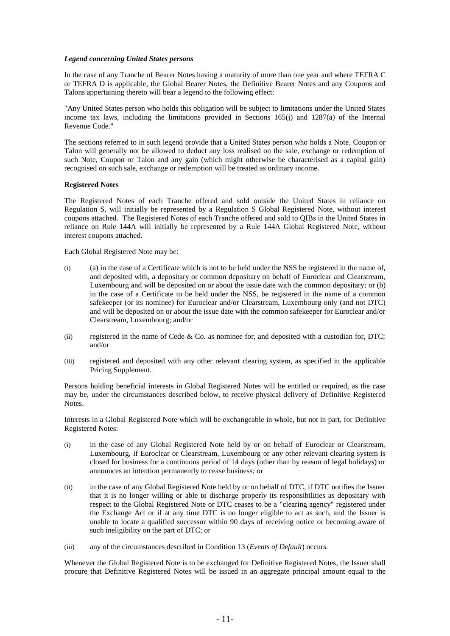# *Legend concerning United States persons*

In the case of any Tranche of Bearer Notes having a maturity of more than one year and where TEFRA C or TEFRA D is applicable, the Global Bearer Notes, the Definitive Bearer Notes and any Coupons and Talons appertaining thereto will bear a legend to the following effect:

"Any United States person who holds this obligation will be subject to limitations under the United States income tax laws, including the limitations provided in Sections 165(j) and 1287(a) of the Internal Revenue Code."

The sections referred to in such legend provide that a United States person who holds a Note, Coupon or Talon will generally not be allowed to deduct any loss realised on the sale, exchange or redemption of such Note, Coupon or Talon and any gain (which might otherwise be characterised as a capital gain) recognised on such sale, exchange or redemption will be treated as ordinary income.

# **Registered Notes**

The Registered Notes of each Tranche offered and sold outside the United States in reliance on Regulation S, will initially be represented by a Regulation S Global Registered Note, without interest coupons attached. The Registered Notes of each Tranche offered and sold to QIBs in the United States in reliance on Rule 144A will initially be represented by a Rule 144A Global Registered Note, without interest coupons attached.

Each Global Registered Note may be:

- (i) (a) in the case of a Certificate which is not to be held under the NSS be registered in the name of, and deposited with, a depositary or common depositary on behalf of Euroclear and Clearstream, Luxembourg and will be deposited on or about the issue date with the common depositary; or (b) in the case of a Certificate to be held under the NSS, be registered in the name of a common safekeeper (or its nominee) for Euroclear and/or Clearstream, Luxembourg only (and not DTC) and will be deposited on or about the issue date with the common safekeeper for Euroclear and/or Clearstream, Luxembourg; and/or
- (ii) registered in the name of Cede  $& Co.$  as nominee for, and deposited with a custodian for, DTC; and/or
- (iii) registered and deposited with any other relevant clearing system, as specified in the applicable Pricing Supplement.

Persons holding beneficial interests in Global Registered Notes will be entitled or required, as the case may be, under the circumstances described below, to receive physical delivery of Definitive Registered Notes.

Interests in a Global Registered Note which will be exchangeable in whole, but not in part, for Definitive Registered Notes:

- (i) in the case of any Global Registered Note held by or on behalf of Euroclear or Clearstream, Luxembourg, if Euroclear or Clearstream, Luxembourg or any other relevant clearing system is closed for business for a continuous period of 14 days (other than by reason of legal holidays) or announces an intention permanently to cease business; or
- (ii) in the case of any Global Registered Note held by or on behalf of DTC, if DTC notifies the Issuer that it is no longer willing or able to discharge properly its responsibilities as depositary with respect to the Global Registered Note or DTC ceases to be a "clearing agency" registered under the Exchange Act or if at any time DTC is no longer eligible to act as such, and the Issuer is unable to locate a qualified successor within 90 days of receiving notice or becoming aware of such ineligibility on the part of DTC; or
- (iii) any of the circumstances described in Condition 13 (*Events of Default*) occurs.

Whenever the Global Registered Note is to be exchanged for Definitive Registered Notes, the Issuer shall procure that Definitive Registered Notes will be issued in an aggregate principal amount equal to the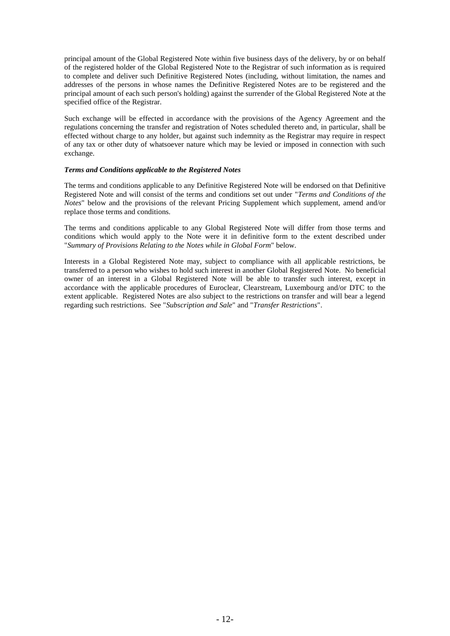principal amount of the Global Registered Note within five business days of the delivery, by or on behalf of the registered holder of the Global Registered Note to the Registrar of such information as is required to complete and deliver such Definitive Registered Notes (including, without limitation, the names and addresses of the persons in whose names the Definitive Registered Notes are to be registered and the principal amount of each such person's holding) against the surrender of the Global Registered Note at the specified office of the Registrar.

Such exchange will be effected in accordance with the provisions of the Agency Agreement and the regulations concerning the transfer and registration of Notes scheduled thereto and, in particular, shall be effected without charge to any holder, but against such indemnity as the Registrar may require in respect of any tax or other duty of whatsoever nature which may be levied or imposed in connection with such exchange.

# *Terms and Conditions applicable to the Registered Notes*

The terms and conditions applicable to any Definitive Registered Note will be endorsed on that Definitive Registered Note and will consist of the terms and conditions set out under "*Terms and Conditions of the Notes*" below and the provisions of the relevant Pricing Supplement which supplement, amend and/or replace those terms and conditions.

The terms and conditions applicable to any Global Registered Note will differ from those terms and conditions which would apply to the Note were it in definitive form to the extent described under "*Summary of Provisions Relating to the Notes while in Global Form*" below.

Interests in a Global Registered Note may, subject to compliance with all applicable restrictions, be transferred to a person who wishes to hold such interest in another Global Registered Note. No beneficial owner of an interest in a Global Registered Note will be able to transfer such interest, except in accordance with the applicable procedures of Euroclear, Clearstream, Luxembourg and/or DTC to the extent applicable. Registered Notes are also subject to the restrictions on transfer and will bear a legend regarding such restrictions. See "*Subscription and Sale*" and "*Transfer Restrictions*".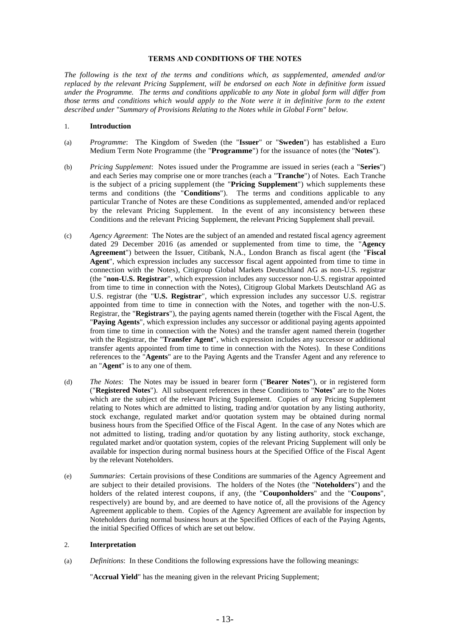# **TERMS AND CONDITIONS OF THE NOTES**

*The following is the text of the terms and conditions which, as supplemented, amended and/or replaced by the relevant Pricing Supplement, will be endorsed on each Note in definitive form issued under the Programme. The terms and conditions applicable to any Note in global form will differ from those terms and conditions which would apply to the Note were it in definitive form to the extent described under* "*Summary of Provisions Relating to the Notes while in Global Form*" *below.*

### 1. **Introduction**

- (a) *Programme*: The Kingdom of Sweden (the "**Issuer**" or "**Sweden**") has established a Euro Medium Term Note Programme (the "**Programme**") for the issuance of notes (the "**Notes**").
- (b) *Pricing Supplement*: Notes issued under the Programme are issued in series (each a "**Series**") and each Series may comprise one or more tranches (each a "**Tranche**") of Notes. Each Tranche is the subject of a pricing supplement (the "**Pricing Supplement**") which supplements these terms and conditions (the "**Conditions**"). The terms and conditions applicable to any particular Tranche of Notes are these Conditions as supplemented, amended and/or replaced by the relevant Pricing Supplement. In the event of any inconsistency between these Conditions and the relevant Pricing Supplement, the relevant Pricing Supplement shall prevail.
- (c) *Agency Agreement*: The Notes are the subject of an amended and restated fiscal agency agreement dated 29 December 2016 (as amended or supplemented from time to time, the "**Agency Agreement**") between the Issuer, Citibank, N.A., London Branch as fiscal agent (the "**Fiscal Agent**", which expression includes any successor fiscal agent appointed from time to time in connection with the Notes), Citigroup Global Markets Deutschland AG as non-U.S. registrar (the "**non-U.S. Registrar**", which expression includes any successor non-U.S. registrar appointed from time to time in connection with the Notes), Citigroup Global Markets Deutschland AG as U.S. registrar (the "**U.S. Registrar**", which expression includes any successor U.S. registrar appointed from time to time in connection with the Notes, and together with the non-U.S. Registrar, the "**Registrars**"), the paying agents named therein (together with the Fiscal Agent, the "**Paying Agents**", which expression includes any successor or additional paying agents appointed from time to time in connection with the Notes) and the transfer agent named therein (together with the Registrar, the "**Transfer Agent**", which expression includes any successor or additional transfer agents appointed from time to time in connection with the Notes). In these Conditions references to the "**Agents**" are to the Paying Agents and the Transfer Agent and any reference to an "**Agent**" is to any one of them.
- (d) *The Notes*: The Notes may be issued in bearer form ("**Bearer Notes**"), or in registered form ("**Registered Notes**"). All subsequent references in these Conditions to "**Notes**" are to the Notes which are the subject of the relevant Pricing Supplement. Copies of any Pricing Supplement relating to Notes which are admitted to listing, trading and/or quotation by any listing authority, stock exchange, regulated market and/or quotation system may be obtained during normal business hours from the Specified Office of the Fiscal Agent. In the case of any Notes which are not admitted to listing, trading and/or quotation by any listing authority, stock exchange, regulated market and/or quotation system, copies of the relevant Pricing Supplement will only be available for inspection during normal business hours at the Specified Office of the Fiscal Agent by the relevant Noteholders.
- (e) *Summaries*: Certain provisions of these Conditions are summaries of the Agency Agreement and are subject to their detailed provisions. The holders of the Notes (the "**Noteholders**") and the holders of the related interest coupons, if any, (the "**Couponholders**" and the "**Coupons**", respectively) are bound by, and are deemed to have notice of, all the provisions of the Agency Agreement applicable to them. Copies of the Agency Agreement are available for inspection by Noteholders during normal business hours at the Specified Offices of each of the Paying Agents, the initial Specified Offices of which are set out below.

#### 2. **Interpretation**

(a) *Definitions*: In these Conditions the following expressions have the following meanings:

"**Accrual Yield**" has the meaning given in the relevant Pricing Supplement;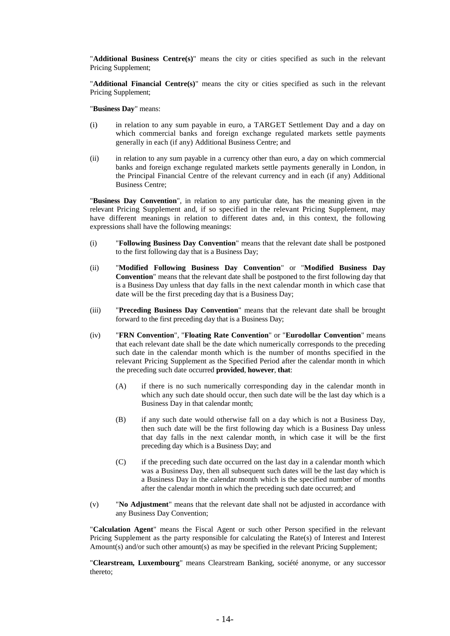"**Additional Business Centre(s)**" means the city or cities specified as such in the relevant Pricing Supplement;

"**Additional Financial Centre(s)**" means the city or cities specified as such in the relevant Pricing Supplement;

"**Business Day**" means:

- (i) in relation to any sum payable in euro, a TARGET Settlement Day and a day on which commercial banks and foreign exchange regulated markets settle payments generally in each (if any) Additional Business Centre; and
- (ii) in relation to any sum payable in a currency other than euro, a day on which commercial banks and foreign exchange regulated markets settle payments generally in London, in the Principal Financial Centre of the relevant currency and in each (if any) Additional Business Centre;

"**Business Day Convention**", in relation to any particular date, has the meaning given in the relevant Pricing Supplement and, if so specified in the relevant Pricing Supplement, may have different meanings in relation to different dates and, in this context, the following expressions shall have the following meanings:

- (i) "**Following Business Day Convention**" means that the relevant date shall be postponed to the first following day that is a Business Day;
- (ii) "**Modified Following Business Day Convention**" or "**Modified Business Day Convention**" means that the relevant date shall be postponed to the first following day that is a Business Day unless that day falls in the next calendar month in which case that date will be the first preceding day that is a Business Day;
- (iii) "**Preceding Business Day Convention**" means that the relevant date shall be brought forward to the first preceding day that is a Business Day;
- (iv) "**FRN Convention**", "**Floating Rate Convention**" or "**Eurodollar Convention**" means that each relevant date shall be the date which numerically corresponds to the preceding such date in the calendar month which is the number of months specified in the relevant Pricing Supplement as the Specified Period after the calendar month in which the preceding such date occurred **provided**, **however**, **that**:
	- (A) if there is no such numerically corresponding day in the calendar month in which any such date should occur, then such date will be the last day which is a Business Day in that calendar month;
	- (B) if any such date would otherwise fall on a day which is not a Business Day, then such date will be the first following day which is a Business Day unless that day falls in the next calendar month, in which case it will be the first preceding day which is a Business Day; and
	- (C) if the preceding such date occurred on the last day in a calendar month which was a Business Day, then all subsequent such dates will be the last day which is a Business Day in the calendar month which is the specified number of months after the calendar month in which the preceding such date occurred; and
- (v) "**No Adjustment**" means that the relevant date shall not be adjusted in accordance with any Business Day Convention;

"**Calculation Agent**" means the Fiscal Agent or such other Person specified in the relevant Pricing Supplement as the party responsible for calculating the Rate(s) of Interest and Interest Amount(s) and/or such other amount(s) as may be specified in the relevant Pricing Supplement;

"**Clearstream, Luxembourg**" means Clearstream Banking, société anonyme, or any successor thereto;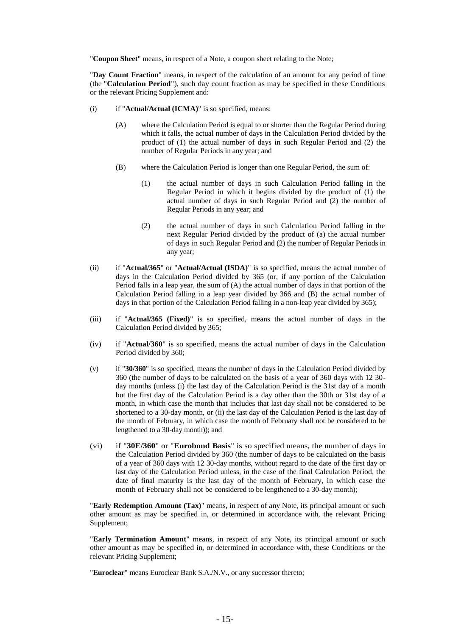"**Coupon Sheet**" means, in respect of a Note, a coupon sheet relating to the Note;

"**Day Count Fraction**" means, in respect of the calculation of an amount for any period of time (the "**Calculation Period**"), such day count fraction as may be specified in these Conditions or the relevant Pricing Supplement and:

- (i) if "**Actual/Actual (ICMA)**" is so specified, means:
	- (A) where the Calculation Period is equal to or shorter than the Regular Period during which it falls, the actual number of days in the Calculation Period divided by the product of (1) the actual number of days in such Regular Period and (2) the number of Regular Periods in any year; and
	- (B) where the Calculation Period is longer than one Regular Period, the sum of:
		- (1) the actual number of days in such Calculation Period falling in the Regular Period in which it begins divided by the product of (1) the actual number of days in such Regular Period and (2) the number of Regular Periods in any year; and
		- (2) the actual number of days in such Calculation Period falling in the next Regular Period divided by the product of (a) the actual number of days in such Regular Period and (2) the number of Regular Periods in any year;
- (ii) if "**Actual/365**" or "**Actual/Actual (ISDA)**" is so specified, means the actual number of days in the Calculation Period divided by 365 (or, if any portion of the Calculation Period falls in a leap year, the sum of (A) the actual number of days in that portion of the Calculation Period falling in a leap year divided by 366 and (B) the actual number of days in that portion of the Calculation Period falling in a non-leap year divided by 365);
- (iii) if "**Actual/365 (Fixed)**" is so specified, means the actual number of days in the Calculation Period divided by 365;
- (iv) if "**Actual/360**" is so specified, means the actual number of days in the Calculation Period divided by 360;
- (v) if "**30/360**" is so specified, means the number of days in the Calculation Period divided by 360 (the number of days to be calculated on the basis of a year of 360 days with 12 30 day months (unless (i) the last day of the Calculation Period is the 31st day of a month but the first day of the Calculation Period is a day other than the 30th or 31st day of a month, in which case the month that includes that last day shall not be considered to be shortened to a 30-day month, or (ii) the last day of the Calculation Period is the last day of the month of February, in which case the month of February shall not be considered to be lengthened to a 30-day month)); and
- (vi) if "**30E/360**" or "**Eurobond Basis**" is so specified means, the number of days in the Calculation Period divided by 360 (the number of days to be calculated on the basis of a year of 360 days with 12 30-day months, without regard to the date of the first day or last day of the Calculation Period unless, in the case of the final Calculation Period, the date of final maturity is the last day of the month of February, in which case the month of February shall not be considered to be lengthened to a 30-day month);

"**Early Redemption Amount (Tax)**" means, in respect of any Note, its principal amount or such other amount as may be specified in, or determined in accordance with, the relevant Pricing Supplement;

"**Early Termination Amount**" means, in respect of any Note, its principal amount or such other amount as may be specified in, or determined in accordance with, these Conditions or the relevant Pricing Supplement;

"**Euroclear**" means Euroclear Bank S.A./N.V., or any successor thereto;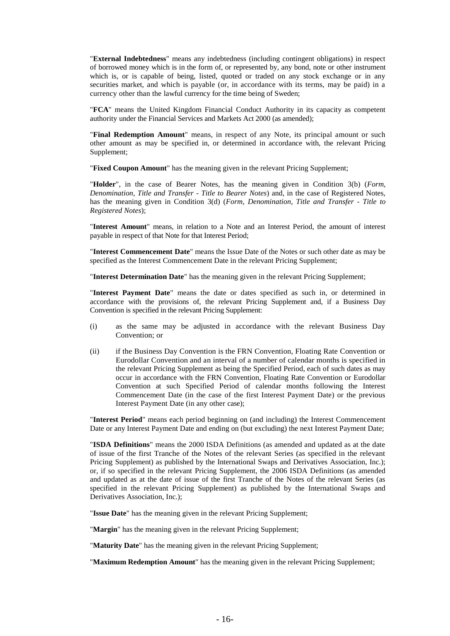"**External Indebtedness**" means any indebtedness (including contingent obligations) in respect of borrowed money which is in the form of, or represented by, any bond, note or other instrument which is, or is capable of being, listed, quoted or traded on any stock exchange or in any securities market, and which is payable (or, in accordance with its terms, may be paid) in a currency other than the lawful currency for the time being of Sweden;

"**FCA**" means the United Kingdom Financial Conduct Authority in its capacity as competent authority under the Financial Services and Markets Act 2000 (as amended);

"**Final Redemption Amount**" means, in respect of any Note, its principal amount or such other amount as may be specified in, or determined in accordance with, the relevant Pricing Supplement;

"**Fixed Coupon Amount**" has the meaning given in the relevant Pricing Supplement;

"**Holder**", in the case of Bearer Notes, has the meaning given in Condition 3(b) (*Form, Denomination, Title and Transfer - Title to Bearer Notes*) and, in the case of Registered Notes, has the meaning given in Condition 3(d) (*Form, Denomination, Title and Transfer - Title to Registered Notes*);

"**Interest Amount**" means, in relation to a Note and an Interest Period, the amount of interest payable in respect of that Note for that Interest Period;

"**Interest Commencement Date**" means the Issue Date of the Notes or such other date as may be specified as the Interest Commencement Date in the relevant Pricing Supplement;

"**Interest Determination Date**" has the meaning given in the relevant Pricing Supplement;

"**Interest Payment Date**" means the date or dates specified as such in, or determined in accordance with the provisions of, the relevant Pricing Supplement and, if a Business Day Convention is specified in the relevant Pricing Supplement:

- (i) as the same may be adjusted in accordance with the relevant Business Day Convention; or
- (ii) if the Business Day Convention is the FRN Convention, Floating Rate Convention or Eurodollar Convention and an interval of a number of calendar months is specified in the relevant Pricing Supplement as being the Specified Period, each of such dates as may occur in accordance with the FRN Convention, Floating Rate Convention or Eurodollar Convention at such Specified Period of calendar months following the Interest Commencement Date (in the case of the first Interest Payment Date) or the previous Interest Payment Date (in any other case);

"**Interest Period**" means each period beginning on (and including) the Interest Commencement Date or any Interest Payment Date and ending on (but excluding) the next Interest Payment Date;

"**ISDA Definitions**" means the 2000 ISDA Definitions (as amended and updated as at the date of issue of the first Tranche of the Notes of the relevant Series (as specified in the relevant Pricing Supplement) as published by the International Swaps and Derivatives Association, Inc.); or, if so specified in the relevant Pricing Supplement, the 2006 ISDA Definitions (as amended and updated as at the date of issue of the first Tranche of the Notes of the relevant Series (as specified in the relevant Pricing Supplement) as published by the International Swaps and Derivatives Association, Inc.);

"**Issue Date**" has the meaning given in the relevant Pricing Supplement;

"**Margin**" has the meaning given in the relevant Pricing Supplement;

"**Maturity Date**" has the meaning given in the relevant Pricing Supplement;

"**Maximum Redemption Amount**" has the meaning given in the relevant Pricing Supplement;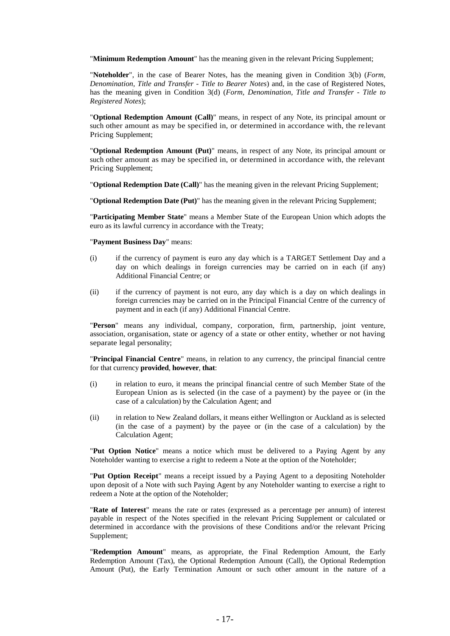"**Minimum Redemption Amount**" has the meaning given in the relevant Pricing Supplement;

"**Noteholder**", in the case of Bearer Notes, has the meaning given in Condition 3(b) (*Form, Denomination, Title and Transfer - Title to Bearer Notes*) and, in the case of Registered Notes, has the meaning given in Condition 3(d) (*Form, Denomination, Title and Transfer - Title to Registered Notes*);

"**Optional Redemption Amount (Call)**" means, in respect of any Note, its principal amount or such other amount as may be specified in, or determined in accordance with, the re levant Pricing Supplement;

"**Optional Redemption Amount (Put)**" means, in respect of any Note, its principal amount or such other amount as may be specified in, or determined in accordance with, the relevant Pricing Supplement;

"**Optional Redemption Date (Call)**" has the meaning given in the relevant Pricing Supplement;

"**Optional Redemption Date (Put)**" has the meaning given in the relevant Pricing Supplement;

"**Participating Member State**" means a Member State of the European Union which adopts the euro as its lawful currency in accordance with the Treaty;

"**Payment Business Day**" means:

- (i) if the currency of payment is euro any day which is a TARGET Settlement Day and a day on which dealings in foreign currencies may be carried on in each (if any) Additional Financial Centre; or
- (ii) if the currency of payment is not euro, any day which is a day on which dealings in foreign currencies may be carried on in the Principal Financial Centre of the currency of payment and in each (if any) Additional Financial Centre.

"**Person**" means any individual, company, corporation, firm, partnership, joint venture, association, organisation, state or agency of a state or other entity, whether or not having separate legal personality;

"**Principal Financial Centre**" means, in relation to any currency, the principal financial centre for that currency **provided**, **however**, **that**:

- (i) in relation to euro, it means the principal financial centre of such Member State of the European Union as is selected (in the case of a payment) by the payee or (in the case of a calculation) by the Calculation Agent; and
- (ii) in relation to New Zealand dollars, it means either Wellington or Auckland as is selected (in the case of a payment) by the payee or (in the case of a calculation) by the Calculation Agent;

"**Put Option Notice**" means a notice which must be delivered to a Paying Agent by any Noteholder wanting to exercise a right to redeem a Note at the option of the Noteholder;

"**Put Option Receipt**" means a receipt issued by a Paying Agent to a depositing Noteholder upon deposit of a Note with such Paying Agent by any Noteholder wanting to exercise a right to redeem a Note at the option of the Noteholder;

"**Rate of Interest**" means the rate or rates (expressed as a percentage per annum) of interest payable in respect of the Notes specified in the relevant Pricing Supplement or calculated or determined in accordance with the provisions of these Conditions and/or the relevant Pricing Supplement;

"**Redemption Amount**" means, as appropriate, the Final Redemption Amount, the Early Redemption Amount (Tax), the Optional Redemption Amount (Call), the Optional Redemption Amount (Put), the Early Termination Amount or such other amount in the nature of a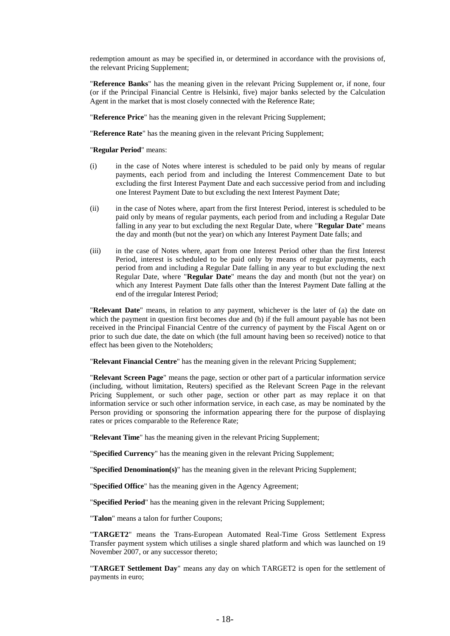redemption amount as may be specified in, or determined in accordance with the provisions of, the relevant Pricing Supplement;

"**Reference Banks**" has the meaning given in the relevant Pricing Supplement or, if none, four (or if the Principal Financial Centre is Helsinki, five) major banks selected by the Calculation Agent in the market that is most closely connected with the Reference Rate;

"**Reference Price**" has the meaning given in the relevant Pricing Supplement;

"**Reference Rate**" has the meaning given in the relevant Pricing Supplement;

"**Regular Period**" means:

- (i) in the case of Notes where interest is scheduled to be paid only by means of regular payments, each period from and including the Interest Commencement Date to but excluding the first Interest Payment Date and each successive period from and including one Interest Payment Date to but excluding the next Interest Payment Date;
- (ii) in the case of Notes where, apart from the first Interest Period, interest is scheduled to be paid only by means of regular payments, each period from and including a Regular Date falling in any year to but excluding the next Regular Date, where "**Regular Date**" means the day and month (but not the year) on which any Interest Payment Date falls; and
- (iii) in the case of Notes where, apart from one Interest Period other than the first Interest Period, interest is scheduled to be paid only by means of regular payments, each period from and including a Regular Date falling in any year to but excluding the next Regular Date, where "**Regular Date**" means the day and month (but not the year) on which any Interest Payment Date falls other than the Interest Payment Date falling at the end of the irregular Interest Period;

"**Relevant Date**" means, in relation to any payment, whichever is the later of (a) the date on which the payment in question first becomes due and (b) if the full amount payable has not been received in the Principal Financial Centre of the currency of payment by the Fiscal Agent on or prior to such due date, the date on which (the full amount having been so received) notice to that effect has been given to the Noteholders;

"**Relevant Financial Centre**" has the meaning given in the relevant Pricing Supplement;

"**Relevant Screen Page**" means the page, section or other part of a particular information service (including, without limitation, Reuters) specified as the Relevant Screen Page in the relevant Pricing Supplement, or such other page, section or other part as may replace it on that information service or such other information service, in each case, as may be nominated by the Person providing or sponsoring the information appearing there for the purpose of displaying rates or prices comparable to the Reference Rate;

"**Relevant Time**" has the meaning given in the relevant Pricing Supplement;

"**Specified Currency**" has the meaning given in the relevant Pricing Supplement;

"**Specified Denomination(s)**" has the meaning given in the relevant Pricing Supplement;

"**Specified Office**" has the meaning given in the Agency Agreement;

"**Specified Period**" has the meaning given in the relevant Pricing Supplement;

"**Talon**" means a talon for further Coupons;

"**TARGET2**" means the Trans-European Automated Real-Time Gross Settlement Express Transfer payment system which utilises a single shared platform and which was launched on 19 November 2007, or any successor thereto;

"**TARGET Settlement Day**" means any day on which TARGET2 is open for the settlement of payments in euro;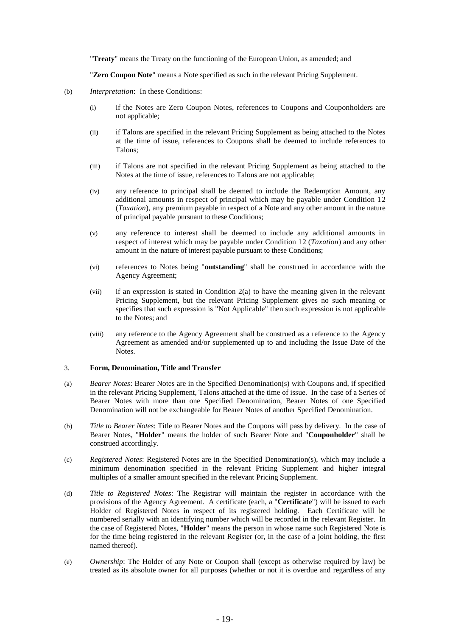"**Treaty**" means the Treaty on the functioning of the European Union, as amended; and

"**Zero Coupon Note**" means a Note specified as such in the relevant Pricing Supplement.

- (b) *Interpretation*: In these Conditions:
	- (i) if the Notes are Zero Coupon Notes, references to Coupons and Couponholders are not applicable;
	- (ii) if Talons are specified in the relevant Pricing Supplement as being attached to the Notes at the time of issue, references to Coupons shall be deemed to include references to Talons;
	- (iii) if Talons are not specified in the relevant Pricing Supplement as being attached to the Notes at the time of issue, references to Talons are not applicable;
	- (iv) any reference to principal shall be deemed to include the Redemption Amount, any additional amounts in respect of principal which may be payable under Condition 12 (*Taxation*), any premium payable in respect of a Note and any other amount in the nature of principal payable pursuant to these Conditions;
	- (v) any reference to interest shall be deemed to include any additional amounts in respect of interest which may be payable under Condition 12 (*Taxation*) and any other amount in the nature of interest payable pursuant to these Conditions;
	- (vi) references to Notes being "**outstanding**" shall be construed in accordance with the Agency Agreement;
	- (vii) if an expression is stated in Condition 2(a) to have the meaning given in the relevant Pricing Supplement, but the relevant Pricing Supplement gives no such meaning or specifies that such expression is "Not Applicable" then such expression is not applicable to the Notes; and
	- (viii) any reference to the Agency Agreement shall be construed as a reference to the Agency Agreement as amended and/or supplemented up to and including the Issue Date of the Notes.

#### 3. **Form, Denomination, Title and Transfer**

- (a) *Bearer Notes*: Bearer Notes are in the Specified Denomination(s) with Coupons and, if specified in the relevant Pricing Supplement, Talons attached at the time of issue. In the case of a Series of Bearer Notes with more than one Specified Denomination, Bearer Notes of one Specified Denomination will not be exchangeable for Bearer Notes of another Specified Denomination.
- (b) *Title to Bearer Notes*: Title to Bearer Notes and the Coupons will pass by delivery. In the case of Bearer Notes, "**Holder**" means the holder of such Bearer Note and "**Couponholder**" shall be construed accordingly.
- (c) *Registered Notes*: Registered Notes are in the Specified Denomination(s), which may include a minimum denomination specified in the relevant Pricing Supplement and higher integral multiples of a smaller amount specified in the relevant Pricing Supplement.
- (d) *Title to Registered Notes*: The Registrar will maintain the register in accordance with the provisions of the Agency Agreement. A certificate (each, a "**Certificate**") will be issued to each Holder of Registered Notes in respect of its registered holding. Each Certificate will be numbered serially with an identifying number which will be recorded in the relevant Register. In the case of Registered Notes, "**Holder**" means the person in whose name such Registered Note is for the time being registered in the relevant Register (or, in the case of a joint holding, the first named thereof).
- (e) *Ownership*: The Holder of any Note or Coupon shall (except as otherwise required by law) be treated as its absolute owner for all purposes (whether or not it is overdue and regardless of any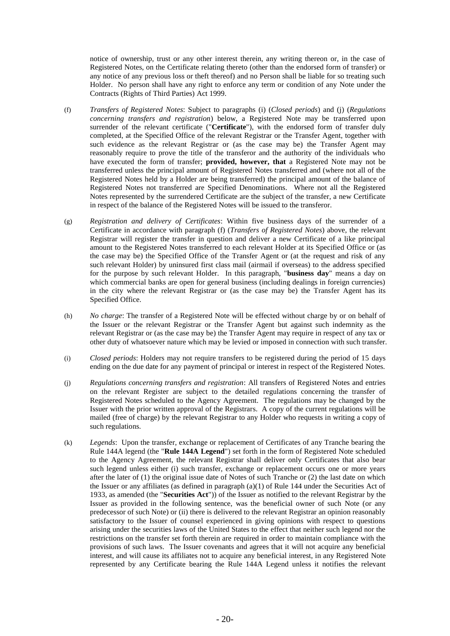notice of ownership, trust or any other interest therein, any writing thereon or, in the case of Registered Notes, on the Certificate relating thereto (other than the endorsed form of transfer) or any notice of any previous loss or theft thereof) and no Person shall be liable for so treating such Holder. No person shall have any right to enforce any term or condition of any Note under the Contracts (Rights of Third Parties) Act 1999.

- <span id="page-22-2"></span>(f) *Transfers of Registered Notes*: Subject to paragraphs [\(i\)](#page-22-0) (*Closed periods*) and [\(j\)](#page-22-1) (*Regulations concerning transfers and registration*) below, a Registered Note may be transferred upon surrender of the relevant certificate ("**Certificate**"), with the endorsed form of transfer duly completed, at the Specified Office of the relevant Registrar or the Transfer Agent, together with such evidence as the relevant Registrar or (as the case may be) the Transfer Agent may reasonably require to prove the title of the transferor and the authority of the individuals who have executed the form of transfer; **provided, however, that** a Registered Note may not be transferred unless the principal amount of Registered Notes transferred and (where not all of the Registered Notes held by a Holder are being transferred) the principal amount of the balance of Registered Notes not transferred are Specified Denominations. Where not all the Registered Notes represented by the surrendered Certificate are the subject of the transfer, a new Certificate in respect of the balance of the Registered Notes will be issued to the transferor.
- (g) *Registration and delivery of Certificates*: Within five business days of the surrender of a Certificate in accordance with paragraph [\(f\)](#page-22-2) (*Transfers of Registered Notes*) above, the relevant Registrar will register the transfer in question and deliver a new Certificate of a like principal amount to the Registered Notes transferred to each relevant Holder at its Specified Office or (as the case may be) the Specified Office of the Transfer Agent or (at the request and risk of any such relevant Holder) by uninsured first class mail (airmail if overseas) to the address specified for the purpose by such relevant Holder. In this paragraph, "**business day**" means a day on which commercial banks are open for general business (including dealings in foreign currencies) in the city where the relevant Registrar or (as the case may be) the Transfer Agent has its Specified Office.
- (h) *No charge*: The transfer of a Registered Note will be effected without charge by or on behalf of the Issuer or the relevant Registrar or the Transfer Agent but against such indemnity as the relevant Registrar or (as the case may be) the Transfer Agent may require in respect of any tax or other duty of whatsoever nature which may be levied or imposed in connection with such transfer.
- <span id="page-22-0"></span>(i) *Closed periods*: Holders may not require transfers to be registered during the period of 15 days ending on the due date for any payment of principal or interest in respect of the Registered Notes.
- <span id="page-22-1"></span>(j) *Regulations concerning transfers and registration*: All transfers of Registered Notes and entries on the relevant Register are subject to the detailed regulations concerning the transfer of Registered Notes scheduled to the Agency Agreement. The regulations may be changed by the Issuer with the prior written approval of the Registrars. A copy of the current regulations will be mailed (free of charge) by the relevant Registrar to any Holder who requests in writing a copy of such regulations.
- (k) *Legends*: Upon the transfer, exchange or replacement of Certificates of any Tranche bearing the Rule 144A legend (the "**Rule 144A Legend**") set forth in the form of Registered Note scheduled to the Agency Agreement, the relevant Registrar shall deliver only Certificates that also bear such legend unless either (i) such transfer, exchange or replacement occurs one or more years after the later of (1) the original issue date of Notes of such Tranche or (2) the last date on which the Issuer or any affiliates (as defined in paragraph (a)(1) of Rule 144 under the Securities Act of 1933, as amended (the "**Securities Act**")) of the Issuer as notified to the relevant Registrar by the Issuer as provided in the following sentence, was the beneficial owner of such Note (or any predecessor of such Note) or (ii) there is delivered to the relevant Registrar an opinion reasonably satisfactory to the Issuer of counsel experienced in giving opinions with respect to questions arising under the securities laws of the United States to the effect that neither such legend nor the restrictions on the transfer set forth therein are required in order to maintain compliance with the provisions of such laws. The Issuer covenants and agrees that it will not acquire any beneficial interest, and will cause its affiliates not to acquire any beneficial interest, in any Registered Note represented by any Certificate bearing the Rule 144A Legend unless it notifies the relevant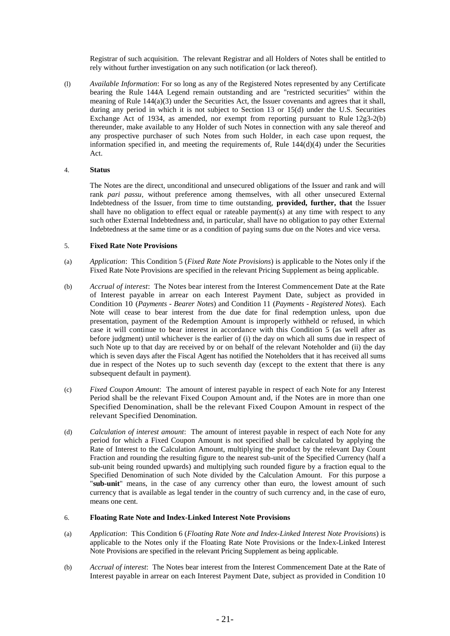Registrar of such acquisition. The relevant Registrar and all Holders of Notes shall be entitled to rely without further investigation on any such notification (or lack thereof).

(l) *Available Information*: For so long as any of the Registered Notes represented by any Certificate bearing the Rule 144A Legend remain outstanding and are "restricted securities" within the meaning of Rule 144(a)(3) under the Securities Act, the Issuer covenants and agrees that it shall, during any period in which it is not subject to Section 13 or 15(d) under the U.S. Securities Exchange Act of 1934, as amended, nor exempt from reporting pursuant to Rule 12g3-2(b) thereunder, make available to any Holder of such Notes in connection with any sale thereof and any prospective purchaser of such Notes from such Holder, in each case upon request, the information specified in, and meeting the requirements of, Rule  $144(d)(4)$  under the Securities Act.

# 4. **Status**

The Notes are the direct, unconditional and unsecured obligations of the Issuer and rank and will rank *pari passu*, without preference among themselves, with all other unsecured External Indebtedness of the Issuer, from time to time outstanding, **provided, further, that** the Issuer shall have no obligation to effect equal or rateable payment(s) at any time with respect to any such other External Indebtedness and, in particular, shall have no obligation to pay other External Indebtedness at the same time or as a condition of paying sums due on the Notes and vice versa.

# 5. **Fixed Rate Note Provisions**

- (a) *Application*: This Condition 5 (*Fixed Rate Note Provisions*) is applicable to the Notes only if the Fixed Rate Note Provisions are specified in the relevant Pricing Supplement as being applicable.
- (b) *Accrual of interest*: The Notes bear interest from the Interest Commencement Date at the Rate of Interest payable in arrear on each Interest Payment Date, subject as provided in Condition 10 (*Payments - Bearer Notes*) and Condition 11 (*Payments - Registered Notes*). Each Note will cease to bear interest from the due date for final redemption unless, upon due presentation, payment of the Redemption Amount is improperly withheld or refused, in which case it will continue to bear interest in accordance with this Condition 5 (as well after as before judgment) until whichever is the earlier of (i) the day on which all sums due in respect of such Note up to that day are received by or on behalf of the relevant Noteholder and (ii) the day which is seven days after the Fiscal Agent has notified the Noteholders that it has received all sums due in respect of the Notes up to such seventh day (except to the extent that there is any subsequent default in payment).
- (c) *Fixed Coupon Amount*: The amount of interest payable in respect of each Note for any Interest Period shall be the relevant Fixed Coupon Amount and, if the Notes are in more than one Specified Denomination, shall be the relevant Fixed Coupon Amount in respect of the relevant Specified Denomination.
- (d) *Calculation of interest amount*: The amount of interest payable in respect of each Note for any period for which a Fixed Coupon Amount is not specified shall be calculated by applying the Rate of Interest to the Calculation Amount, multiplying the product by the relevant Day Count Fraction and rounding the resulting figure to the nearest sub-unit of the Specified Currency (half a sub-unit being rounded upwards) and multiplying such rounded figure by a fraction equal to the Specified Denomination of such Note divided by the Calculation Amount. For this purpose a "**sub-unit**" means, in the case of any currency other than euro, the lowest amount of such currency that is available as legal tender in the country of such currency and, in the case of euro, means one cent.

# 6. **Floating Rate Note and Index-Linked Interest Note Provisions**

- (a) *Application*: This Condition 6 (*Floating Rate Note and Index-Linked Interest Note Provisions*) is applicable to the Notes only if the Floating Rate Note Provisions or the Index-Linked Interest Note Provisions are specified in the relevant Pricing Supplement as being applicable.
- (b) *Accrual of interest*: The Notes bear interest from the Interest Commencement Date at the Rate of Interest payable in arrear on each Interest Payment Date, subject as provided in Condition 10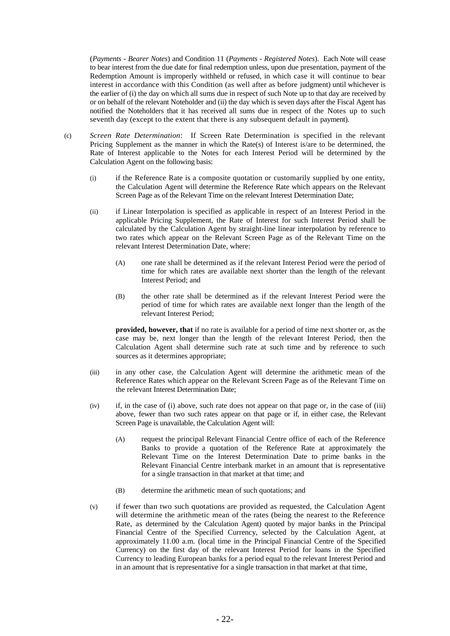(*Payments - Bearer Notes*) and Condition 11 (*Payments - Registered Notes*). Each Note will cease to bear interest from the due date for final redemption unless, upon due presentation, payment of the Redemption Amount is improperly withheld or refused, in which case it will continue to bear interest in accordance with this Condition (as well after as before judgment) until whichever is the earlier of (i) the day on which all sums due in respect of such Note up to that day are received by or on behalf of the relevant Noteholder and (ii) the day which is seven days after the Fiscal Agent has notified the Noteholders that it has received all sums due in respect of the Notes up to such seventh day (except to the extent that there is any subsequent default in payment).

- (c) *Screen Rate Determination*: If Screen Rate Determination is specified in the relevant Pricing Supplement as the manner in which the Rate(s) of Interest is/are to be determined, the Rate of Interest applicable to the Notes for each Interest Period will be determined by the Calculation Agent on the following basis:
	- (i) if the Reference Rate is a composite quotation or customarily supplied by one entity, the Calculation Agent will determine the Reference Rate which appears on the Relevant Screen Page as of the Relevant Time on the relevant Interest Determination Date;
	- (ii) if Linear Interpolation is specified as applicable in respect of an Interest Period in the applicable Pricing Supplement, the Rate of Interest for such Interest Period shall be calculated by the Calculation Agent by straight-line linear interpolation by reference to two rates which appear on the Relevant Screen Page as of the Relevant Time on the relevant Interest Determination Date, where:
		- (A) one rate shall be determined as if the relevant Interest Period were the period of time for which rates are available next shorter than the length of the relevant Interest Period; and
		- (B) the other rate shall be determined as if the relevant Interest Period were the period of time for which rates are available next longer than the length of the relevant Interest Period;

**provided, however, that** if no rate is available for a period of time next shorter or, as the case may be, next longer than the length of the relevant Interest Period, then the Calculation Agent shall determine such rate at such time and by reference to such sources as it determines appropriate;

- (iii) in any other case, the Calculation Agent will determine the arithmetic mean of the Reference Rates which appear on the Relevant Screen Page as of the Relevant Time on the relevant Interest Determination Date;
- (iv) if, in the case of (i) above, such rate does not appear on that page or, in the case of (iii) above, fewer than two such rates appear on that page or if, in either case, the Relevant Screen Page is unavailable, the Calculation Agent will:
	- (A) request the principal Relevant Financial Centre office of each of the Reference Banks to provide a quotation of the Reference Rate at approximately the Relevant Time on the Interest Determination Date to prime banks in the Relevant Financial Centre interbank market in an amount that is representative for a single transaction in that market at that time; and
	- (B) determine the arithmetic mean of such quotations; and
- (v) if fewer than two such quotations are provided as requested, the Calculation Agent will determine the arithmetic mean of the rates (being the nearest to the Reference Rate, as determined by the Calculation Agent) quoted by major banks in the Principal Financial Centre of the Specified Currency, selected by the Calculation Agent, at approximately 11.00 a.m. (local time in the Principal Financial Centre of the Specified Currency) on the first day of the relevant Interest Period for loans in the Specified Currency to leading European banks for a period equal to the relevant Interest Period and in an amount that is representative for a single transaction in that market at that time,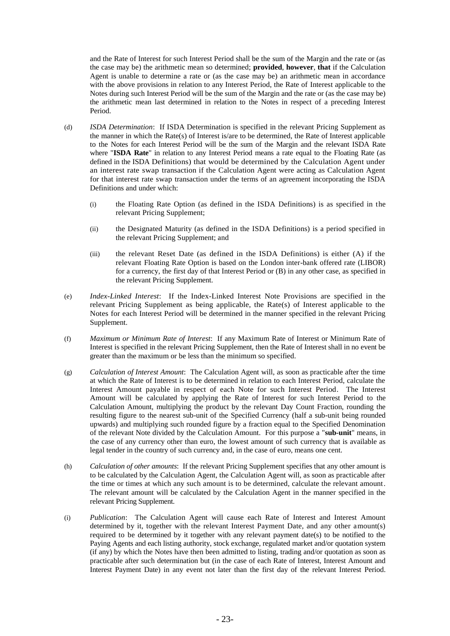and the Rate of Interest for such Interest Period shall be the sum of the Margin and the rate or (as the case may be) the arithmetic mean so determined; **provided**, **however**, **that** if the Calculation Agent is unable to determine a rate or (as the case may be) an arithmetic mean in accordance with the above provisions in relation to any Interest Period, the Rate of Interest applicable to the Notes during such Interest Period will be the sum of the Margin and the rate or (as the case may be) the arithmetic mean last determined in relation to the Notes in respect of a preceding Interest Period.

- (d) *ISDA Determination*: If ISDA Determination is specified in the relevant Pricing Supplement as the manner in which the Rate(s) of Interest is/are to be determined, the Rate of Interest applicable to the Notes for each Interest Period will be the sum of the Margin and the relevant ISDA Rate where "**ISDA Rate**" in relation to any Interest Period means a rate equal to the Floating Rate (as defined in the ISDA Definitions) that would be determined by the Calculation Agent under an interest rate swap transaction if the Calculation Agent were acting as Calculation Agent for that interest rate swap transaction under the terms of an agreement incorporating the ISDA Definitions and under which:
	- (i) the Floating Rate Option (as defined in the ISDA Definitions) is as specified in the relevant Pricing Supplement;
	- (ii) the Designated Maturity (as defined in the ISDA Definitions) is a period specified in the relevant Pricing Supplement; and
	- (iii) the relevant Reset Date (as defined in the ISDA Definitions) is either (A) if the relevant Floating Rate Option is based on the London inter-bank offered rate (LIBOR) for a currency, the first day of that Interest Period or (B) in any other case, as specified in the relevant Pricing Supplement.
- (e) *Index-Linked Interest*: If the Index-Linked Interest Note Provisions are specified in the relevant Pricing Supplement as being applicable, the Rate(s) of Interest applicable to the Notes for each Interest Period will be determined in the manner specified in the relevant Pricing Supplement.
- (f) *Maximum or Minimum Rate of Interest*: If any Maximum Rate of Interest or Minimum Rate of Interest is specified in the relevant Pricing Supplement, then the Rate of Interest shall in no event be greater than the maximum or be less than the minimum so specified.
- (g) *Calculation of Interest Amount*: The Calculation Agent will, as soon as practicable after the time at which the Rate of Interest is to be determined in relation to each Interest Period, calculate the Interest Amount payable in respect of each Note for such Interest Period. The Interest Amount will be calculated by applying the Rate of Interest for such Interest Period to the Calculation Amount, multiplying the product by the relevant Day Count Fraction, rounding the resulting figure to the nearest sub-unit of the Specified Currency (half a sub-unit being rounded upwards) and multiplying such rounded figure by a fraction equal to the Specified Denomination of the relevant Note divided by the Calculation Amount. For this purpose a "**sub-unit**" means, in the case of any currency other than euro, the lowest amount of such currency that is available as legal tender in the country of such currency and, in the case of euro, means one cent.
- (h) *Calculation of other amounts*: If the relevant Pricing Supplement specifies that any other amount is to be calculated by the Calculation Agent, the Calculation Agent will, as soon as practicable after the time or times at which any such amount is to be determined, calculate the relevant amount. The relevant amount will be calculated by the Calculation Agent in the manner specified in the relevant Pricing Supplement.
- (i) *Publication*: The Calculation Agent will cause each Rate of Interest and Interest Amount determined by it, together with the relevant Interest Payment Date, and any other amount(s) required to be determined by it together with any relevant payment date(s) to be notified to the Paying Agents and each listing authority, stock exchange, regulated market and/or quotation system (if any) by which the Notes have then been admitted to listing, trading and/or quotation as soon as practicable after such determination but (in the case of each Rate of Interest, Interest Amount and Interest Payment Date) in any event not later than the first day of the relevant Interest Period.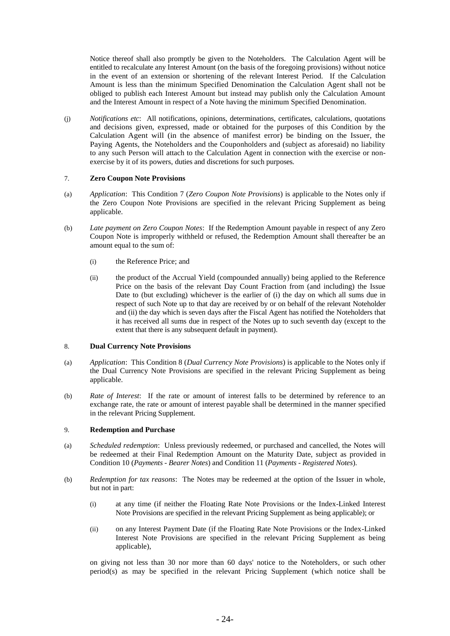Notice thereof shall also promptly be given to the Noteholders. The Calculation Agent will be entitled to recalculate any Interest Amount (on the basis of the foregoing provisions) without notice in the event of an extension or shortening of the relevant Interest Period. If the Calculation Amount is less than the minimum Specified Denomination the Calculation Agent shall not be obliged to publish each Interest Amount but instead may publish only the Calculation Amount and the Interest Amount in respect of a Note having the minimum Specified Denomination.

(j) *Notifications etc*: All notifications, opinions, determinations, certificates, calculations, quotations and decisions given, expressed, made or obtained for the purposes of this Condition by the Calculation Agent will (in the absence of manifest error) be binding on the Issuer, the Paying Agents, the Noteholders and the Couponholders and (subject as aforesaid) no liability to any such Person will attach to the Calculation Agent in connection with the exercise or nonexercise by it of its powers, duties and discretions for such purposes.

# 7. **Zero Coupon Note Provisions**

- (a) *Application*: This Condition 7 (*Zero Coupon Note Provisions*) is applicable to the Notes only if the Zero Coupon Note Provisions are specified in the relevant Pricing Supplement as being applicable.
- (b) *Late payment on Zero Coupon Notes*: If the Redemption Amount payable in respect of any Zero Coupon Note is improperly withheld or refused, the Redemption Amount shall thereafter be an amount equal to the sum of:
	- (i) the Reference Price; and
	- (ii) the product of the Accrual Yield (compounded annually) being applied to the Reference Price on the basis of the relevant Day Count Fraction from (and including) the Issue Date to (but excluding) whichever is the earlier of (i) the day on which all sums due in respect of such Note up to that day are received by or on behalf of the relevant Noteholder and (ii) the day which is seven days after the Fiscal Agent has notified the Noteholders that it has received all sums due in respect of the Notes up to such seventh day (except to the extent that there is any subsequent default in payment).

### 8. **Dual Currency Note Provisions**

- (a) *Application*: This Condition 8 (*Dual Currency Note Provisions*) is applicable to the Notes only if the Dual Currency Note Provisions are specified in the relevant Pricing Supplement as being applicable.
- (b) *Rate of Interest*: If the rate or amount of interest falls to be determined by reference to an exchange rate, the rate or amount of interest payable shall be determined in the manner specified in the relevant Pricing Supplement.

# 9. **Redemption and Purchase**

- (a) *Scheduled redemption*: Unless previously redeemed, or purchased and cancelled, the Notes will be redeemed at their Final Redemption Amount on the Maturity Date, subject as provided in Condition 10 (*Payments - Bearer Notes*) and Condition 11 (*Payments - Registered Notes*).
- (b) *Redemption for tax reasons*: The Notes may be redeemed at the option of the Issuer in whole, but not in part:
	- (i) at any time (if neither the Floating Rate Note Provisions or the Index-Linked Interest Note Provisions are specified in the relevant Pricing Supplement as being applicable); or
	- (ii) on any Interest Payment Date (if the Floating Rate Note Provisions or the Index-Linked Interest Note Provisions are specified in the relevant Pricing Supplement as being applicable),

on giving not less than 30 nor more than 60 days' notice to the Noteholders, or such other period(s) as may be specified in the relevant Pricing Supplement (which notice shall be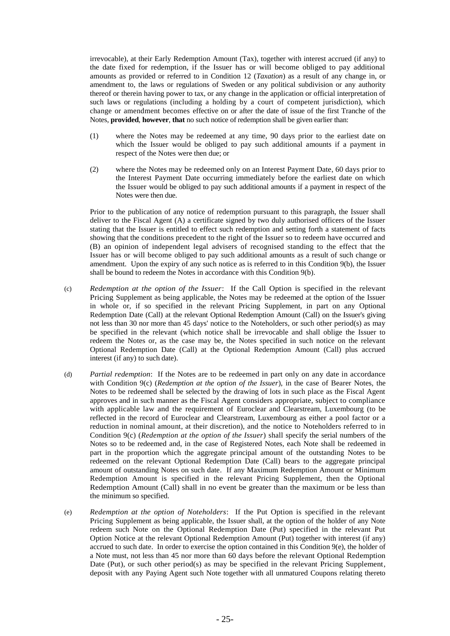irrevocable), at their Early Redemption Amount (Tax), together with interest accrued (if any) to the date fixed for redemption, if the Issuer has or will become obliged to pay additional amounts as provided or referred to in Condition 12 (*Taxation*) as a result of any change in, or amendment to, the laws or regulations of Sweden or any political subdivision or any authority thereof or therein having power to tax, or any change in the application or official interpretation of such laws or regulations (including a holding by a court of competent jurisdiction), which change or amendment becomes effective on or after the date of issue of the first Tranche of the Notes, **provided**, **however**, **that** no such notice of redemption shall be given earlier than:

- (1) where the Notes may be redeemed at any time, 90 days prior to the earliest date on which the Issuer would be obliged to pay such additional amounts if a payment in respect of the Notes were then due; or
- (2) where the Notes may be redeemed only on an Interest Payment Date, 60 days prior to the Interest Payment Date occurring immediately before the earliest date on which the Issuer would be obliged to pay such additional amounts if a payment in respect of the Notes were then due.

Prior to the publication of any notice of redemption pursuant to this paragraph, the Issuer shall deliver to the Fiscal Agent (A) a certificate signed by two duly authorised officers of the Issuer stating that the Issuer is entitled to effect such redemption and setting forth a statement of facts showing that the conditions precedent to the right of the Issuer so to redeem have occurred and (B) an opinion of independent legal advisers of recognised standing to the effect that the Issuer has or will become obliged to pay such additional amounts as a result of such change or amendment. Upon the expiry of any such notice as is referred to in this Condition 9(b), the Issuer shall be bound to redeem the Notes in accordance with this Condition 9(b).

- (c) *Redemption at the option of the Issuer*: If the Call Option is specified in the relevant Pricing Supplement as being applicable, the Notes may be redeemed at the option of the Issuer in whole or, if so specified in the relevant Pricing Supplement, in part on any Optional Redemption Date (Call) at the relevant Optional Redemption Amount (Call) on the Issuer's giving not less than 30 nor more than 45 days' notice to the Noteholders, or such other period(s) as may be specified in the relevant (which notice shall be irrevocable and shall oblige the Issuer to redeem the Notes or, as the case may be, the Notes specified in such notice on the relevant Optional Redemption Date (Call) at the Optional Redemption Amount (Call) plus accrued interest (if any) to such date).
- (d) *Partial redemption*: If the Notes are to be redeemed in part only on any date in accordance with Condition 9(c) (*Redemption at the option of the Issuer*), in the case of Bearer Notes, the Notes to be redeemed shall be selected by the drawing of lots in such place as the Fiscal Agent approves and in such manner as the Fiscal Agent considers appropriate, subject to compliance with applicable law and the requirement of Euroclear and Clearstream, Luxembourg (to be reflected in the record of Euroclear and Clearstream, Luxembourg as either a pool factor or a reduction in nominal amount, at their discretion), and the notice to Noteholders referred to in Condition 9(c) (*Redemption at the option of the Issuer*) shall specify the serial numbers of the Notes so to be redeemed and, in the case of Registered Notes, each Note shall be redeemed in part in the proportion which the aggregate principal amount of the outstanding Notes to be redeemed on the relevant Optional Redemption Date (Call) bears to the aggregate principal amount of outstanding Notes on such date. If any Maximum Redemption Amount or Minimum Redemption Amount is specified in the relevant Pricing Supplement, then the Optional Redemption Amount (Call) shall in no event be greater than the maximum or be less than the minimum so specified.
- (e) *Redemption at the option of Noteholders*: If the Put Option is specified in the relevant Pricing Supplement as being applicable, the Issuer shall, at the option of the holder of any Note redeem such Note on the Optional Redemption Date (Put) specified in the relevant Put Option Notice at the relevant Optional Redemption Amount (Put) together with interest (if any) accrued to such date. In order to exercise the option contained in this Condition 9(e), the holder of a Note must, not less than 45 nor more than 60 days before the relevant Optional Redemption Date (Put), or such other period(s) as may be specified in the relevant Pricing Supplement, deposit with any Paying Agent such Note together with all unmatured Coupons relating thereto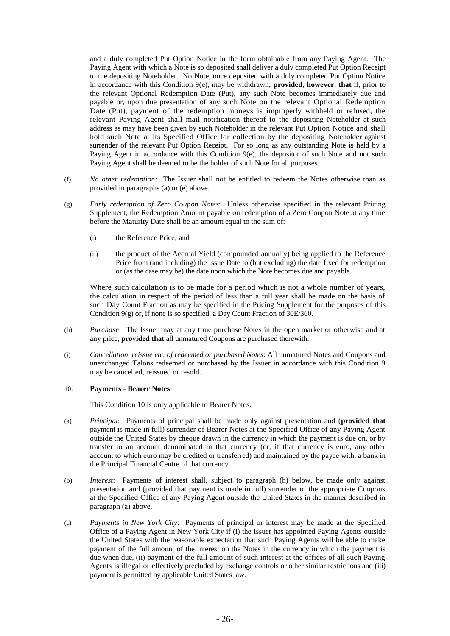and a duly completed Put Option Notice in the form obtainable from any Paying Agent. The Paying Agent with which a Note is so deposited shall deliver a duly completed Put Option Receipt to the depositing Noteholder. No Note, once deposited with a duly completed Put Option Notice in accordance with this Condition 9(e), may be withdrawn; **provided**, **however**, **that** if, prior to the relevant Optional Redemption Date (Put), any such Note becomes immediately due and payable or, upon due presentation of any such Note on the relevant Optional Redemption Date (Put), payment of the redemption moneys is improperly withheld or refused, the relevant Paying Agent shall mail notification thereof to the depositing Noteholder at such address as may have been given by such Noteholder in the relevant Put Option Notice and shall hold such Note at its Specified Office for collection by the depositing Noteholder against surrender of the relevant Put Option Receipt. For so long as any outstanding Note is held by a Paying Agent in accordance with this Condition 9(e), the depositor of such Note and not such Paying Agent shall be deemed to be the holder of such Note for all purposes.

- (f) *No other redemption*: The Issuer shall not be entitled to redeem the Notes otherwise than as provided in paragraphs (a) to (e) above.
- (g) *Early redemption of Zero Coupon Notes*: Unless otherwise specified in the relevant Pricing Supplement, the Redemption Amount payable on redemption of a Zero Coupon Note at any time before the Maturity Date shall be an amount equal to the sum of:
	- (i) the Reference Price; and
	- (ii) the product of the Accrual Yield (compounded annually) being applied to the Reference Price from (and including) the Issue Date to (but excluding) the date fixed for redemption or (as the case may be) the date upon which the Note becomes due and payable.

Where such calculation is to be made for a period which is not a whole number of years, the calculation in respect of the period of less than a full year shall be made on the basis of such Day Count Fraction as may be specified in the Pricing Supplement for the purposes of this Condition 9(g) or, if none is so specified, a Day Count Fraction of 30E/360.

- (h) *Purchase*: The Issuer may at any time purchase Notes in the open market or otherwise and at any price, **provided that** all unmatured Coupons are purchased therewith.
- (i) *Cancellation, reissue etc. of redeemed or purchased Notes*: All unmatured Notes and Coupons and unexchanged Talons redeemed or purchased by the Issuer in accordance with this Condition 9 may be cancelled, reissued or resold.

# 10. **Payments - Bearer Notes**

This Condition 10 is only applicable to Bearer Notes.

- (a) *Principal*: Payments of principal shall be made only against presentation and (**provided that** payment is made in full) surrender of Bearer Notes at the Specified Office of any Paying Agent outside the United States by cheque drawn in the currency in which the payment is due on, or by transfer to an account denominated in that currency (or, if that currency is euro, any other account to which euro may be credited or transferred) and maintained by the payee with, a bank in the Principal Financial Centre of that currency.
- (b) *Interest*: Payments of interest shall, subject to paragraph (h) below, be made only against presentation and (provided that payment is made in full) surrender of the appropriate Coupons at the Specified Office of any Paying Agent outside the United States in the manner described in paragraph (a) above.
- (c) *Payments in New York City*: Payments of principal or interest may be made at the Specified Office of a Paying Agent in New York City if (i) the Issuer has appointed Paying Agents outside the United States with the reasonable expectation that such Paying Agents will be able to make payment of the full amount of the interest on the Notes in the currency in which the payment is due when due, (ii) payment of the full amount of such interest at the offices of all such Paying Agents is illegal or effectively precluded by exchange controls or other similar restrictions and (iii) payment is permitted by applicable United States law.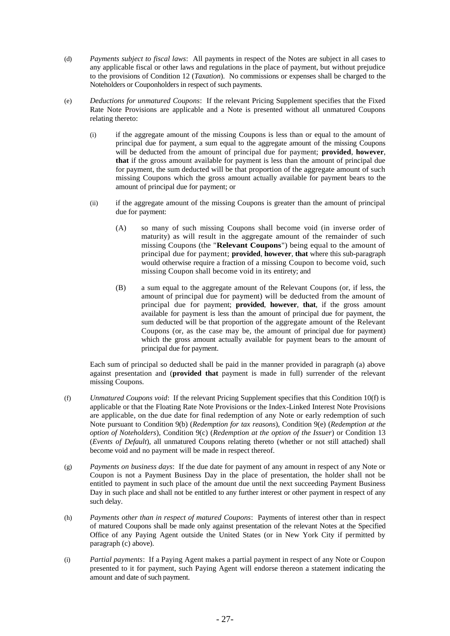- (d) *Payments subject to fiscal laws*: All payments in respect of the Notes are subject in all cases to any applicable fiscal or other laws and regulations in the place of payment, but without prejudice to the provisions of Condition 12 (*Taxation*). No commissions or expenses shall be charged to the Noteholders or Couponholders in respect of such payments.
- (e) *Deductions for unmatured Coupons*: If the relevant Pricing Supplement specifies that the Fixed Rate Note Provisions are applicable and a Note is presented without all unmatured Coupons relating thereto:
	- (i) if the aggregate amount of the missing Coupons is less than or equal to the amount of principal due for payment, a sum equal to the aggregate amount of the missing Coupons will be deducted from the amount of principal due for payment; **provided**, **however**, **that** if the gross amount available for payment is less than the amount of principal due for payment, the sum deducted will be that proportion of the aggregate amount of such missing Coupons which the gross amount actually available for payment bears to the amount of principal due for payment; or
	- (ii) if the aggregate amount of the missing Coupons is greater than the amount of principal due for payment:
		- (A) so many of such missing Coupons shall become void (in inverse order of maturity) as will result in the aggregate amount of the remainder of such missing Coupons (the "**Relevant Coupons**") being equal to the amount of principal due for payment; **provided**, **however**, **that** where this sub-paragraph would otherwise require a fraction of a missing Coupon to become void, such missing Coupon shall become void in its entirety; and
		- (B) a sum equal to the aggregate amount of the Relevant Coupons (or, if less, the amount of principal due for payment) will be deducted from the amount of principal due for payment; **provided**, **however**, **that**, if the gross amount available for payment is less than the amount of principal due for payment, the sum deducted will be that proportion of the aggregate amount of the Relevant Coupons (or, as the case may be, the amount of principal due for payment) which the gross amount actually available for payment bears to the amount of principal due for payment.

Each sum of principal so deducted shall be paid in the manner provided in paragraph (a) above against presentation and (**provided that** payment is made in full) surrender of the relevant missing Coupons.

- (f) *Unmatured Coupons void*: If the relevant Pricing Supplement specifies that this Condition 10(f) is applicable or that the Floating Rate Note Provisions or the Index-Linked Interest Note Provisions are applicable, on the due date for final redemption of any Note or early redemption of such Note pursuant to Condition 9(b) (*Redemption for tax reasons*), Condition 9(e) (*Redemption at the option of Noteholders*), Condition 9(c) (*Redemption at the option of the Issuer*) or Condition 13 (*Events of Default*), all unmatured Coupons relating thereto (whether or not still attached) shall become void and no payment will be made in respect thereof.
- (g) *Payments on business days*: If the due date for payment of any amount in respect of any Note or Coupon is not a Payment Business Day in the place of presentation, the holder shall not be entitled to payment in such place of the amount due until the next succeeding Payment Business Day in such place and shall not be entitled to any further interest or other payment in respect of any such delay.
- (h) *Payments other than in respect of matured Coupons*: Payments of interest other than in respect of matured Coupons shall be made only against presentation of the relevant Notes at the Specified Office of any Paying Agent outside the United States (or in New York City if permitted by paragraph (c) above).
- (i) *Partial payments*: If a Paying Agent makes a partial payment in respect of any Note or Coupon presented to it for payment, such Paying Agent will endorse thereon a statement indicating the amount and date of such payment.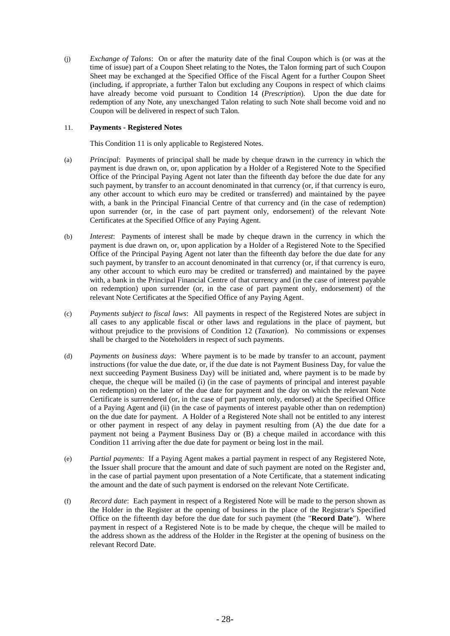(j) *Exchange of Talons*: On or after the maturity date of the final Coupon which is (or was at the time of issue) part of a Coupon Sheet relating to the Notes, the Talon forming part of such Coupon Sheet may be exchanged at the Specified Office of the Fiscal Agent for a further Coupon Sheet (including, if appropriate, a further Talon but excluding any Coupons in respect of which claims have already become void pursuant to Condition 14 (*Prescription*). Upon the due date for redemption of any Note, any unexchanged Talon relating to such Note shall become void and no Coupon will be delivered in respect of such Talon.

# <span id="page-30-0"></span>11. **Payments - Registered Notes**

This Condition [11](#page-30-0) is only applicable to Registered Notes.

- (a) *Principal*:Payments of principal shall be made by cheque drawn in the currency in which the payment is due drawn on, or, upon application by a Holder of a Registered Note to the Specified Office of the Principal Paying Agent not later than the fifteenth day before the due date for any such payment, by transfer to an account denominated in that currency (or, if that currency is euro, any other account to which euro may be credited or transferred) and maintained by the payee with, a bank in the Principal Financial Centre of that currency and (in the case of redemption) upon surrender (or, in the case of part payment only, endorsement) of the relevant Note Certificates at the Specified Office of any Paying Agent.
- (b) *Interest*: Payments of interest shall be made by cheque drawn in the currency in which the payment is due drawn on, or, upon application by a Holder of a Registered Note to the Specified Office of the Principal Paying Agent not later than the fifteenth day before the due date for any such payment, by transfer to an account denominated in that currency (or, if that currency is euro, any other account to which euro may be credited or transferred) and maintained by the payee with, a bank in the Principal Financial Centre of that currency and (in the case of interest payable on redemption) upon surrender (or, in the case of part payment only, endorsement) of the relevant Note Certificates at the Specified Office of any Paying Agent.
- (c) *Payments subject to fiscal laws*: All payments in respect of the Registered Notes are subject in all cases to any applicable fiscal or other laws and regulations in the place of payment, but without prejudice to the provisions of Condition 12 (*Taxation*). No commissions or expenses shall be charged to the Noteholders in respect of such payments.
- (d) *Payments on business days*:Where payment is to be made by transfer to an account, payment instructions (for value the due date, or, if the due date is not Payment Business Day, for value the next succeeding Payment Business Day) will be initiated and, where payment is to be made by cheque, the cheque will be mailed (i) (in the case of payments of principal and interest payable on redemption) on the later of the due date for payment and the day on which the relevant Note Certificate is surrendered (or, in the case of part payment only, endorsed) at the Specified Office of a Paying Agent and (ii) (in the case of payments of interest payable other than on redemption) on the due date for payment. A Holder of a Registered Note shall not be entitled to any interest or other payment in respect of any delay in payment resulting from (A) the due date for a payment not being a Payment Business Day or (B) a cheque mailed in accordance with this Condition 11 arriving after the due date for payment or being lost in the mail.
- (e) *Partial payments*: If a Paying Agent makes a partial payment in respect of any Registered Note, the Issuer shall procure that the amount and date of such payment are noted on the Register and, in the case of partial payment upon presentation of a Note Certificate, that a statement indicating the amount and the date of such payment is endorsed on the relevant Note Certificate.
- (f) *Record date*: Each payment in respect of a Registered Note will be made to the person shown as the Holder in the Register at the opening of business in the place of the Registrar's Specified Office on the fifteenth day before the due date for such payment (the "**Record Date**"). Where payment in respect of a Registered Note is to be made by cheque, the cheque will be mailed to the address shown as the address of the Holder in the Register at the opening of business on the relevant Record Date.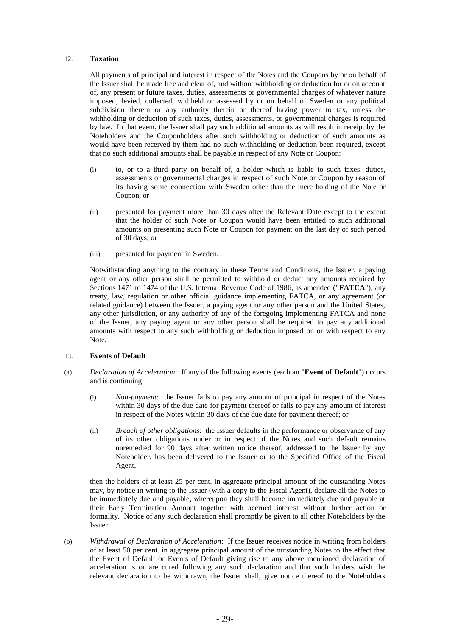# 12. **Taxation**

All payments of principal and interest in respect of the Notes and the Coupons by or on behalf of the Issuer shall be made free and clear of, and without withholding or deduction for or on account of, any present or future taxes, duties, assessments or governmental charges of whatever nature imposed, levied, collected, withheld or assessed by or on behalf of Sweden or any political subdivision therein or any authority therein or thereof having power to tax, unless the withholding or deduction of such taxes, duties, assessments, or governmental charges is required by law. In that event, the Issuer shall pay such additional amounts as will result in receipt by the Noteholders and the Couponholders after such withholding or deduction of such amounts as would have been received by them had no such withholding or deduction been required, except that no such additional amounts shall be payable in respect of any Note or Coupon:

- (i) to, or to a third party on behalf of, a holder which is liable to such taxes, duties, assessments or governmental charges in respect of such Note or Coupon by reason of its having some connection with Sweden other than the mere holding of the Note or Coupon; or
- (ii) presented for payment more than 30 days after the Relevant Date except to the extent that the holder of such Note or Coupon would have been entitled to such additional amounts on presenting such Note or Coupon for payment on the last day of such period of 30 days; or
- (iii) presented for payment in Sweden.

Notwithstanding anything to the contrary in these Terms and Conditions, the Issuer, a paying agent or any other person shall be permitted to withhold or deduct any amounts required by Sections 1471 to 1474 of the U.S. Internal Revenue Code of 1986, as amended ("**FATCA**"), any treaty, law, regulation or other official guidance implementing FATCA, or any agreement (or related guidance) between the Issuer, a paying agent or any other person and the United States, any other jurisdiction, or any authority of any of the foregoing implementing FATCA and none of the Issuer, any paying agent or any other person shall be required to pay any additional amounts with respect to any such withholding or deduction imposed on or with respect to any Note.

#### 13. **Events of Default**

- (a) *Declaration of Acceleration*: If any of the following events (each an "**Event of Default**") occurs and is continuing:
	- (i) *Non-payment*: the Issuer fails to pay any amount of principal in respect of the Notes within 30 days of the due date for payment thereof or fails to pay any amount of interest in respect of the Notes within 30 days of the due date for payment thereof; or
	- (ii) *Breach of other obligations*: the Issuer defaults in the performance or observance of any of its other obligations under or in respect of the Notes and such default remains unremedied for 90 days after written notice thereof, addressed to the Issuer by any Noteholder, has been delivered to the Issuer or to the Specified Office of the Fiscal Agent,

then the holders of at least 25 per cent. in aggregate principal amount of the outstanding Notes may, by notice in writing to the Issuer (with a copy to the Fiscal Agent), declare all the Notes to be immediately due and payable, whereupon they shall become immediately due and payable at their Early Termination Amount together with accrued interest without further action or formality. Notice of any such declaration shall promptly be given to all other Noteholders by the Issuer.

(b) *Withdrawal of Declaration of Acceleration*: If the Issuer receives notice in writing from holders of at least 50 per cent. in aggregate principal amount of the outstanding Notes to the effect that the Event of Default or Events of Default giving rise to any above mentioned declaration of acceleration is or are cured following any such declaration and that such holders wish the relevant declaration to be withdrawn, the Issuer shall, give notice thereof to the Noteholders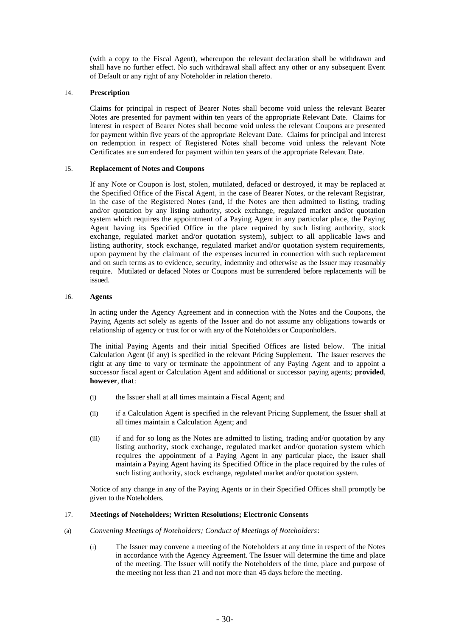(with a copy to the Fiscal Agent), whereupon the relevant declaration shall be withdrawn and shall have no further effect. No such withdrawal shall affect any other or any subsequent Event of Default or any right of any Noteholder in relation thereto.

# 14. **Prescription**

Claims for principal in respect of Bearer Notes shall become void unless the relevant Bearer Notes are presented for payment within ten years of the appropriate Relevant Date. Claims for interest in respect of Bearer Notes shall become void unless the relevant Coupons are presented for payment within five years of the appropriate Relevant Date. Claims for principal and interest on redemption in respect of Registered Notes shall become void unless the relevant Note Certificates are surrendered for payment within ten years of the appropriate Relevant Date.

# 15. **Replacement of Notes and Coupons**

If any Note or Coupon is lost, stolen, mutilated, defaced or destroyed, it may be replaced at the Specified Office of the Fiscal Agent, in the case of Bearer Notes, or the relevant Registrar, in the case of the Registered Notes (and, if the Notes are then admitted to listing, trading and/or quotation by any listing authority, stock exchange, regulated market and/or quotation system which requires the appointment of a Paying Agent in any particular place, the Paying Agent having its Specified Office in the place required by such listing authority, stock exchange, regulated market and/or quotation system), subject to all applicable laws and listing authority, stock exchange, regulated market and/or quotation system requirements, upon payment by the claimant of the expenses incurred in connection with such replacement and on such terms as to evidence, security, indemnity and otherwise as the Issuer may reasonably require. Mutilated or defaced Notes or Coupons must be surrendered before replacements will be issued.

# 16. **Agents**

In acting under the Agency Agreement and in connection with the Notes and the Coupons, the Paying Agents act solely as agents of the Issuer and do not assume any obligations towards or relationship of agency or trust for or with any of the Noteholders or Couponholders.

The initial Paying Agents and their initial Specified Offices are listed below. The initial Calculation Agent (if any) is specified in the relevant Pricing Supplement. The Issuer reserves the right at any time to vary or terminate the appointment of any Paying Agent and to appoint a successor fiscal agent or Calculation Agent and additional or successor paying agents; **provided**, **however**, **that**:

- (i) the Issuer shall at all times maintain a Fiscal Agent; and
- (ii) if a Calculation Agent is specified in the relevant Pricing Supplement, the Issuer shall at all times maintain a Calculation Agent; and
- (iii) if and for so long as the Notes are admitted to listing, trading and/or quotation by any listing authority, stock exchange, regulated market and/or quotation system which requires the appointment of a Paying Agent in any particular place, the Issuer shall maintain a Paying Agent having its Specified Office in the place required by the rules of such listing authority, stock exchange, regulated market and/or quotation system.

Notice of any change in any of the Paying Agents or in their Specified Offices shall promptly be given to the Noteholders.

# 17. **Meetings of Noteholders; Written Resolutions; Electronic Consents**

- (a) *Convening Meetings of Noteholders; Conduct of Meetings of Noteholders*:
	- (i) The Issuer may convene a meeting of the Noteholders at any time in respect of the Notes in accordance with the Agency Agreement. The Issuer will determine the time and place of the meeting. The Issuer will notify the Noteholders of the time, place and purpose of the meeting not less than 21 and not more than 45 days before the meeting.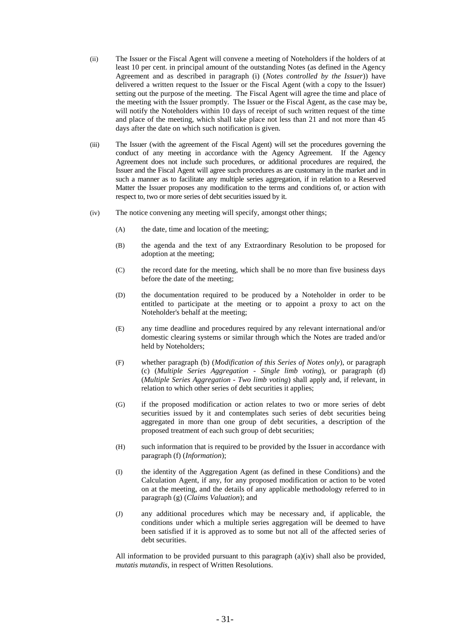- (ii) The Issuer or the Fiscal Agent will convene a meeting of Noteholders if the holders of at least 10 per cent. in principal amount of the outstanding Notes (as defined in the Agency Agreement and as described in paragraph (i) (*Notes controlled by the Issuer*)) have delivered a written request to the Issuer or the Fiscal Agent (with a copy to the Issuer) setting out the purpose of the meeting. The Fiscal Agent will agree the time and place of the meeting with the Issuer promptly. The Issuer or the Fiscal Agent, as the case may be, will notify the Noteholders within 10 days of receipt of such written request of the time and place of the meeting, which shall take place not less than 21 and not more than 45 days after the date on which such notification is given.
- (iii) The Issuer (with the agreement of the Fiscal Agent) will set the procedures governing the conduct of any meeting in accordance with the Agency Agreement. If the Agency Agreement does not include such procedures, or additional procedures are required, the Issuer and the Fiscal Agent will agree such procedures as are customary in the market and in such a manner as to facilitate any multiple series aggregation, if in relation to a Reserved Matter the Issuer proposes any modification to the terms and conditions of, or action with respect to, two or more series of debt securities issued by it.
- (iv) The notice convening any meeting will specify, amongst other things;
	- (A) the date, time and location of the meeting;
	- (B) the agenda and the text of any Extraordinary Resolution to be proposed for adoption at the meeting;
	- (C) the record date for the meeting, which shall be no more than five business days before the date of the meeting;
	- (D) the documentation required to be produced by a Noteholder in order to be entitled to participate at the meeting or to appoint a proxy to act on the Noteholder's behalf at the meeting;
	- (E) any time deadline and procedures required by any relevant international and/or domestic clearing systems or similar through which the Notes are traded and/or held by Noteholders;
	- (F) whether paragraph (b) (*Modification of this Series of Notes only*), or paragraph (c) (*Multiple Series Aggregation - Single limb voting*), or paragraph (d) (*Multiple Series Aggregation - Two limb voting*) shall apply and, if relevant, in relation to which other series of debt securities it applies;
	- (G) if the proposed modification or action relates to two or more series of debt securities issued by it and contemplates such series of debt securities being aggregated in more than one group of debt securities, a description of the proposed treatment of each such group of debt securities;
	- (H) such information that is required to be provided by the Issuer in accordance with paragraph (f) (*Information*);
	- (I) the identity of the Aggregation Agent (as defined in these Conditions) and the Calculation Agent, if any, for any proposed modification or action to be voted on at the meeting, and the details of any applicable methodology referred to in paragraph (g) (*Claims Valuation*); and
	- (J) any additional procedures which may be necessary and, if applicable, the conditions under which a multiple series aggregation will be deemed to have been satisfied if it is approved as to some but not all of the affected series of debt securities.

All information to be provided pursuant to this paragraph  $(a)(iv)$  shall also be provided, *mutatis mutandis*, in respect of Written Resolutions.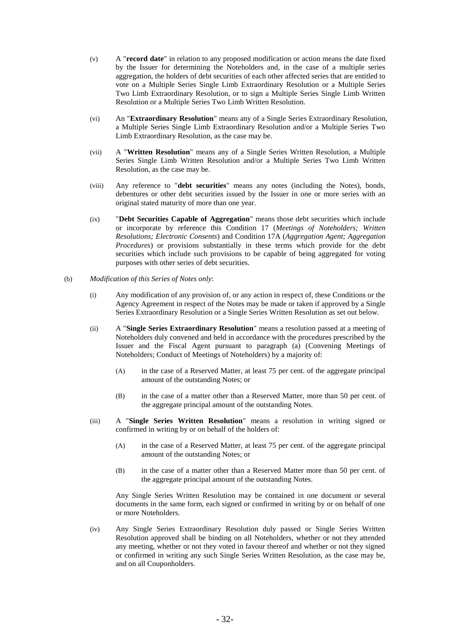- (v) A "**record date**" in relation to any proposed modification or action means the date fixed by the Issuer for determining the Noteholders and, in the case of a multiple series aggregation, the holders of debt securities of each other affected series that are entitled to vote on a Multiple Series Single Limb Extraordinary Resolution or a Multiple Series Two Limb Extraordinary Resolution, or to sign a Multiple Series Single Limb Written Resolution or a Multiple Series Two Limb Written Resolution.
- (vi) An "**Extraordinary Resolution**" means any of a Single Series Extraordinary Resolution, a Multiple Series Single Limb Extraordinary Resolution and/or a Multiple Series Two Limb Extraordinary Resolution, as the case may be.
- (vii) A "**Written Resolution**" means any of a Single Series Written Resolution, a Multiple Series Single Limb Written Resolution and/or a Multiple Series Two Limb Written Resolution, as the case may be.
- (viii) Any reference to "**debt securities**" means any notes (including the Notes), bonds, debentures or other debt securities issued by the Issuer in one or more series with an original stated maturity of more than one year.
- (ix) "**Debt Securities Capable of Aggregation**" means those debt securities which include or incorporate by reference this Condition 17 (*Meetings of Noteholders; Written Resolutions; Electronic Consents*) and Condition 17A (*Aggregation Agent; Aggregation Procedures*) or provisions substantially in these terms which provide for the debt securities which include such provisions to be capable of being aggregated for voting purposes with other series of debt securities.
- (b) *Modification of this Series of Notes only*:
	- (i) Any modification of any provision of, or any action in respect of, these Conditions or the Agency Agreement in respect of the Notes may be made or taken if approved by a Single Series Extraordinary Resolution or a Single Series Written Resolution as set out below.
	- (ii) A "**Single Series Extraordinary Resolution**" means a resolution passed at a meeting of Noteholders duly convened and held in accordance with the procedures prescribed by the Issuer and the Fiscal Agent pursuant to paragraph (a) (Convening Meetings of Noteholders; Conduct of Meetings of Noteholders) by a majority of:
		- (A) in the case of a Reserved Matter, at least 75 per cent. of the aggregate principal amount of the outstanding Notes; or
		- (B) in the case of a matter other than a Reserved Matter, more than 50 per cent. of the aggregate principal amount of the outstanding Notes.
	- (iii) A "**Single Series Written Resolution**" means a resolution in writing signed or confirmed in writing by or on behalf of the holders of:
		- (A) in the case of a Reserved Matter, at least 75 per cent. of the aggregate principal amount of the outstanding Notes; or
		- (B) in the case of a matter other than a Reserved Matter more than 50 per cent. of the aggregate principal amount of the outstanding Notes.

Any Single Series Written Resolution may be contained in one document or several documents in the same form, each signed or confirmed in writing by or on behalf of one or more Noteholders.

(iv) Any Single Series Extraordinary Resolution duly passed or Single Series Written Resolution approved shall be binding on all Noteholders, whether or not they attended any meeting, whether or not they voted in favour thereof and whether or not they signed or confirmed in writing any such Single Series Written Resolution, as the case may be, and on all Couponholders.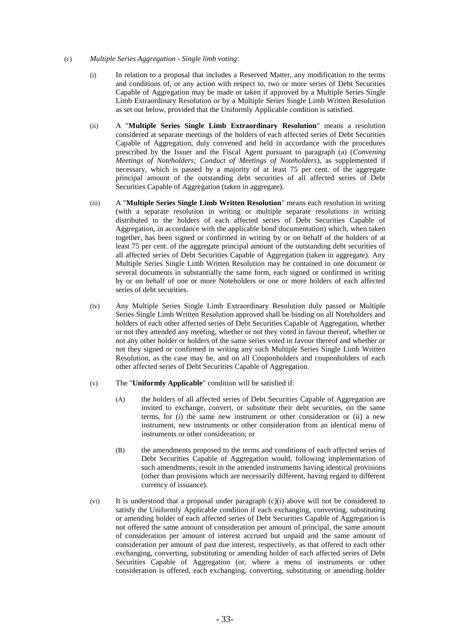#### (c) *Multiple Series Aggregation - Single limb voting*:

- (i) In relation to a proposal that includes a Reserved Matter, any modification to the terms and conditions of, or any action with respect to, two or more series of Debt Securities Capable of Aggregation may be made or taken if approved by a Multiple Series Single Limb Extraordinary Resolution or by a Multiple Series Single Limb Written Resolution as set out below, provided that the Uniformly Applicable condition is satisfied.
- (ii) A "**Multiple Series Single Limb Extraordinary Resolution**" means a resolution considered at separate meetings of the holders of each affected series of Debt Securities Capable of Aggregation, duly convened and held in accordance with the procedures prescribed by the Issuer and the Fiscal Agent pursuant to paragraph (a) (*Convening Meetings of Noteholders; Conduct of Meetings of Noteholders*), as supplemented if necessary, which is passed by a majority of at least 75 per cent. of the aggregate principal amount of the outstanding debt securities of all affected series of Debt Securities Capable of Aggregation (taken in aggregate).
- (iii) A "**Multiple Series Single Limb Written Resolution**" means each resolution in writing (with a separate resolution in writing or multiple separate resolutions in writing distributed to the holders of each affected series of Debt Securities Capable of Aggregation, in accordance with the applicable bond documentation) which, when taken together, has been signed or confirmed in writing by or on behalf of the holders of at least 75 per cent. of the aggregate principal amount of the outstanding debt securities of all affected series of Debt Securities Capable of Aggregation (taken in aggregate). Any Multiple Series Single Limb Written Resolution may be contained in one document or several documents in substantially the same form, each signed or confirmed in writing by or on behalf of one or more Noteholders or one or more holders of each affected series of debt securities.
- (iv) Any Multiple Series Single Limb Extraordinary Resolution duly passed or Multiple Series Single Limb Written Resolution approved shall be binding on all Noteholders and holders of each other affected series of Debt Securities Capable of Aggregation, whether or not they attended any meeting, whether or not they voted in favour thereof, whether or not any other holder or holders of the same series voted in favour thereof and whether or not they signed or confirmed in writing any such Multiple Series Single Limb Written Resolution, as the case may be, and on all Couponholders and couponholders of each other affected series of Debt Securities Capable of Aggregation.
- (v) The "**Uniformly Applicable**" condition will be satisfied if:
	- (A) the holders of all affected series of Debt Securities Capable of Aggregation are invited to exchange, convert, or substitute their debt securities, on the same terms, for (i) the same new instrument or other consideration or (ii) a new instrument, new instruments or other consideration from an identical menu of instruments or other consideration; or
	- (B) the amendments proposed to the terms and conditions of each affected series of Debt Securities Capable of Aggregation would, following implementation of such amendments, result in the amended instruments having identical provisions (other than provisions which are necessarily different, having regard to different currency of issuance).
- (vi) It is understood that a proposal under paragraph (c)(i) above will not be considered to satisfy the Uniformly Applicable condition if each exchanging, converting, substituting or amending holder of each affected series of Debt Securities Capable of Aggregation is not offered the same amount of consideration per amount of principal, the same amount of consideration per amount of interest accrued but unpaid and the same amount of consideration per amount of past due interest, respectively, as that offered to each other exchanging, converting, substituting or amending holder of each affected series of Debt Securities Capable of Aggregation (or, where a menu of instruments or other consideration is offered, each exchanging, converting, substituting or amending holder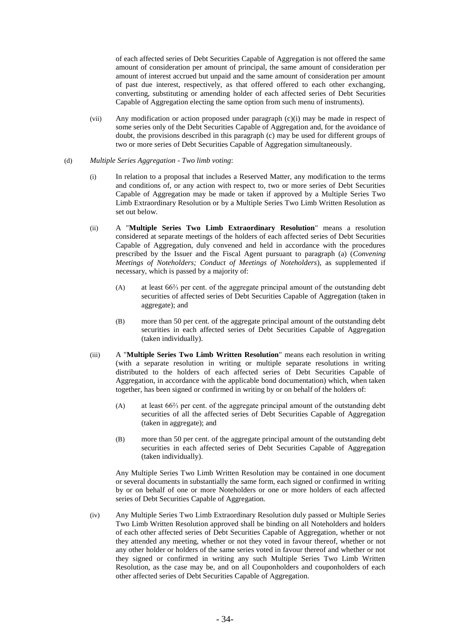of each affected series of Debt Securities Capable of Aggregation is not offered the same amount of consideration per amount of principal, the same amount of consideration per amount of interest accrued but unpaid and the same amount of consideration per amount of past due interest, respectively, as that offered offered to each other exchanging, converting, substituting or amending holder of each affected series of Debt Securities Capable of Aggregation electing the same option from such menu of instruments).

(vii) Any modification or action proposed under paragraph (c)(i) may be made in respect of some series only of the Debt Securities Capable of Aggregation and, for the avoidance of doubt, the provisions described in this paragraph (c) may be used for different groups of two or more series of Debt Securities Capable of Aggregation simultaneously.

#### (d) *Multiple Series Aggregation - Two limb voting*:

- (i) In relation to a proposal that includes a Reserved Matter, any modification to the terms and conditions of, or any action with respect to, two or more series of Debt Securities Capable of Aggregation may be made or taken if approved by a Multiple Series Two Limb Extraordinary Resolution or by a Multiple Series Two Limb Written Resolution as set out below.
- (ii) A "**Multiple Series Two Limb Extraordinary Resolution**" means a resolution considered at separate meetings of the holders of each affected series of Debt Securities Capable of Aggregation, duly convened and held in accordance with the procedures prescribed by the Issuer and the Fiscal Agent pursuant to paragraph (a) (*Convening Meetings of Noteholders; Conduct of Meetings of Noteholders*), as supplemented if necessary, which is passed by a majority of:
	- (A) at least 66⅔ per cent. of the aggregate principal amount of the outstanding debt securities of affected series of Debt Securities Capable of Aggregation (taken in aggregate); and
	- (B) more than 50 per cent. of the aggregate principal amount of the outstanding debt securities in each affected series of Debt Securities Capable of Aggregation (taken individually).
- (iii) A "**Multiple Series Two Limb Written Resolution**" means each resolution in writing (with a separate resolution in writing or multiple separate resolutions in writing distributed to the holders of each affected series of Debt Securities Capable of Aggregation, in accordance with the applicable bond documentation) which, when taken together, has been signed or confirmed in writing by or on behalf of the holders of:
	- (A) at least 66⅔ per cent. of the aggregate principal amount of the outstanding debt securities of all the affected series of Debt Securities Capable of Aggregation (taken in aggregate); and
	- (B) more than 50 per cent. of the aggregate principal amount of the outstanding debt securities in each affected series of Debt Securities Capable of Aggregation (taken individually).

Any Multiple Series Two Limb Written Resolution may be contained in one document or several documents in substantially the same form, each signed or confirmed in writing by or on behalf of one or more Noteholders or one or more holders of each affected series of Debt Securities Capable of Aggregation.

(iv) Any Multiple Series Two Limb Extraordinary Resolution duly passed or Multiple Series Two Limb Written Resolution approved shall be binding on all Noteholders and holders of each other affected series of Debt Securities Capable of Aggregation, whether or not they attended any meeting, whether or not they voted in favour thereof, whether or not any other holder or holders of the same series voted in favour thereof and whether or not they signed or confirmed in writing any such Multiple Series Two Limb Written Resolution, as the case may be, and on all Couponholders and couponholders of each other affected series of Debt Securities Capable of Aggregation.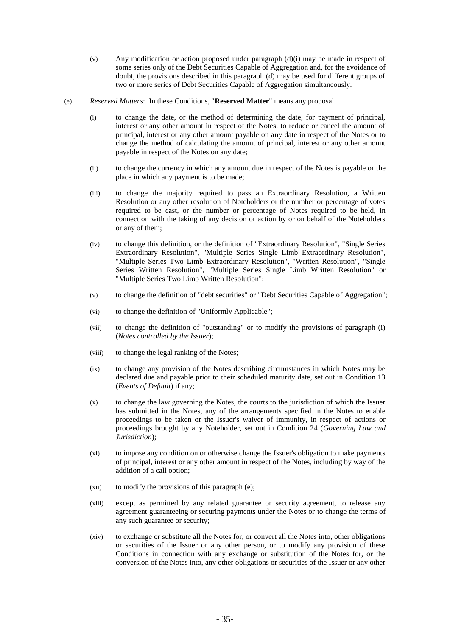- (v) Any modification or action proposed under paragraph (d)(i) may be made in respect of some series only of the Debt Securities Capable of Aggregation and, for the avoidance of doubt, the provisions described in this paragraph (d) may be used for different groups of two or more series of Debt Securities Capable of Aggregation simultaneously.
- (e) *Reserved Matters*: In these Conditions, "**Reserved Matter**" means any proposal:
	- (i) to change the date, or the method of determining the date, for payment of principal, interest or any other amount in respect of the Notes, to reduce or cancel the amount of principal, interest or any other amount payable on any date in respect of the Notes or to change the method of calculating the amount of principal, interest or any other amount payable in respect of the Notes on any date;
	- (ii) to change the currency in which any amount due in respect of the Notes is payable or the place in which any payment is to be made;
	- (iii) to change the majority required to pass an Extraordinary Resolution, a Written Resolution or any other resolution of Noteholders or the number or percentage of votes required to be cast, or the number or percentage of Notes required to be held, in connection with the taking of any decision or action by or on behalf of the Noteholders or any of them;
	- (iv) to change this definition, or the definition of "Extraordinary Resolution", "Single Series Extraordinary Resolution", "Multiple Series Single Limb Extraordinary Resolution", "Multiple Series Two Limb Extraordinary Resolution", "Written Resolution", "Single Series Written Resolution", "Multiple Series Single Limb Written Resolution" or "Multiple Series Two Limb Written Resolution";
	- (v) to change the definition of "debt securities" or "Debt Securities Capable of Aggregation";
	- (vi) to change the definition of "Uniformly Applicable";
	- (vii) to change the definition of "outstanding" or to modify the provisions of paragraph (i) (*Notes controlled by the Issuer*);
	- (viii) to change the legal ranking of the Notes;
	- (ix) to change any provision of the Notes describing circumstances in which Notes may be declared due and payable prior to their scheduled maturity date, set out in Condition 13 (*Events of Default*) if any;
	- (x) to change the law governing the Notes, the courts to the jurisdiction of which the Issuer has submitted in the Notes, any of the arrangements specified in the Notes to enable proceedings to be taken or the Issuer's waiver of immunity, in respect of actions or proceedings brought by any Noteholder, set out in Condition 24 (*Governing Law and Jurisdiction*);
	- (xi) to impose any condition on or otherwise change the Issuer's obligation to make payments of principal, interest or any other amount in respect of the Notes, including by way of the addition of a call option;
	- (xii) to modify the provisions of this paragraph (e);
	- (xiii) except as permitted by any related guarantee or security agreement, to release any agreement guaranteeing or securing payments under the Notes or to change the terms of any such guarantee or security;
	- (xiv) to exchange or substitute all the Notes for, or convert all the Notes into, other obligations or securities of the Issuer or any other person, or to modify any provision of these Conditions in connection with any exchange or substitution of the Notes for, or the conversion of the Notes into, any other obligations or securities of the Issuer or any other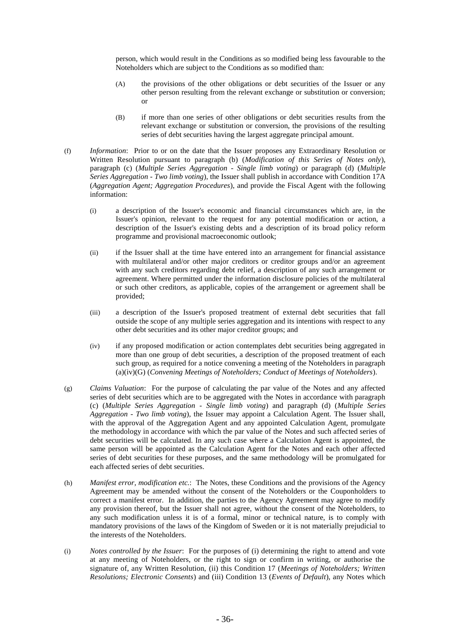person, which would result in the Conditions as so modified being less favourable to the Noteholders which are subject to the Conditions as so modified than:

- (A) the provisions of the other obligations or debt securities of the Issuer or any other person resulting from the relevant exchange or substitution or conversion; or
- (B) if more than one series of other obligations or debt securities results from the relevant exchange or substitution or conversion, the provisions of the resulting series of debt securities having the largest aggregate principal amount.
- (f) *Information*: Prior to or on the date that the Issuer proposes any Extraordinary Resolution or Written Resolution pursuant to paragraph (b) (*Modification of this Series of Notes only*), paragraph (c) (*Multiple Series Aggregation - Single limb voting*) or paragraph (d) (*Multiple Series Aggregation - Two limb voting*), the Issuer shall publish in accordance with Condition 17A (*Aggregation Agent; Aggregation Procedures*), and provide the Fiscal Agent with the following information:
	- (i) a description of the Issuer's economic and financial circumstances which are, in the Issuer's opinion, relevant to the request for any potential modification or action, a description of the Issuer's existing debts and a description of its broad policy reform programme and provisional macroeconomic outlook;
	- (ii) if the Issuer shall at the time have entered into an arrangement for financial assistance with multilateral and/or other major creditors or creditor groups and/or an agreement with any such creditors regarding debt relief, a description of any such arrangement or agreement. Where permitted under the information disclosure policies of the multilateral or such other creditors, as applicable, copies of the arrangement or agreement shall be provided;
	- (iii) a description of the Issuer's proposed treatment of external debt securities that fall outside the scope of any multiple series aggregation and its intentions with respect to any other debt securities and its other major creditor groups; and
	- (iv) if any proposed modification or action contemplates debt securities being aggregated in more than one group of debt securities, a description of the proposed treatment of each such group, as required for a notice convening a meeting of the Noteholders in paragraph (a)(iv)(G) (*Convening Meetings of Noteholders; Conduct of Meetings of Noteholders*).
- (g) *Claims Valuation*: For the purpose of calculating the par value of the Notes and any affected series of debt securities which are to be aggregated with the Notes in accordance with paragraph (c) (*Multiple Series Aggregation - Single limb voting*) and paragraph (d) (*Multiple Series Aggregation - Two limb voting*), the Issuer may appoint a Calculation Agent. The Issuer shall, with the approval of the Aggregation Agent and any appointed Calculation Agent, promulgate the methodology in accordance with which the par value of the Notes and such affected series of debt securities will be calculated. In any such case where a Calculation Agent is appointed, the same person will be appointed as the Calculation Agent for the Notes and each other affected series of debt securities for these purposes, and the same methodology will be promulgated for each affected series of debt securities.
- (h) *Manifest error, modification etc.*: The Notes, these Conditions and the provisions of the Agency Agreement may be amended without the consent of the Noteholders or the Couponholders to correct a manifest error. In addition, the parties to the Agency Agreement may agree to modify any provision thereof, but the Issuer shall not agree, without the consent of the Noteholders, to any such modification unless it is of a formal, minor or technical nature, is to comply with mandatory provisions of the laws of the Kingdom of Sweden or it is not materially prejudicial to the interests of the Noteholders.
- (i) *Notes controlled by the Issuer*: For the purposes of (i) determining the right to attend and vote at any meeting of Noteholders, or the right to sign or confirm in writing, or authorise the signature of, any Written Resolution, (ii) this Condition 17 (*Meetings of Noteholders; Written Resolutions; Electronic Consents*) and (iii) Condition 13 (*Events of Default*), any Notes which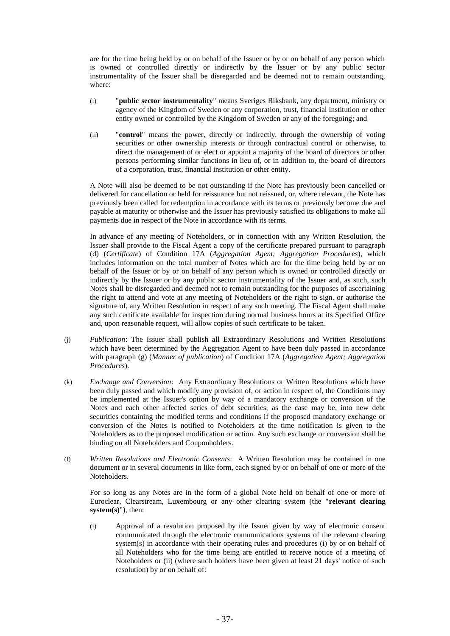are for the time being held by or on behalf of the Issuer or by or on behalf of any person which is owned or controlled directly or indirectly by the Issuer or by any public sector instrumentality of the Issuer shall be disregarded and be deemed not to remain outstanding, where:

- (i) "**public sector instrumentality**" means Sveriges Riksbank, any department, ministry or agency of the Kingdom of Sweden or any corporation, trust, financial institution or other entity owned or controlled by the Kingdom of Sweden or any of the foregoing; and
- (ii) "**control**" means the power, directly or indirectly, through the ownership of voting securities or other ownership interests or through contractual control or otherwise, to direct the management of or elect or appoint a majority of the board of directors or other persons performing similar functions in lieu of, or in addition to, the board of directors of a corporation, trust, financial institution or other entity.

A Note will also be deemed to be not outstanding if the Note has previously been cancelled or delivered for cancellation or held for reissuance but not reissued, or, where relevant, the Note has previously been called for redemption in accordance with its terms or previously become due and payable at maturity or otherwise and the Issuer has previously satisfied its obligations to make all payments due in respect of the Note in accordance with its terms.

In advance of any meeting of Noteholders, or in connection with any Written Resolution, the Issuer shall provide to the Fiscal Agent a copy of the certificate prepared pursuant to paragraph (d) (*Certificate*) of Condition 17A (*Aggregation Agent; Aggregation Procedures*), which includes information on the total number of Notes which are for the time being held by or on behalf of the Issuer or by or on behalf of any person which is owned or controlled directly or indirectly by the Issuer or by any public sector instrumentality of the Issuer and, as such, such Notes shall be disregarded and deemed not to remain outstanding for the purposes of ascertaining the right to attend and vote at any meeting of Noteholders or the right to sign, or authorise the signature of, any Written Resolution in respect of any such meeting. The Fiscal Agent shall make any such certificate available for inspection during normal business hours at its Specified Office and, upon reasonable request, will allow copies of such certificate to be taken.

- (j) *Publication*: The Issuer shall publish all Extraordinary Resolutions and Written Resolutions which have been determined by the Aggregation Agent to have been duly passed in accordance with paragraph (g) (*Manner of publication*) of Condition 17A (*Aggregation Agent; Aggregation Procedures*).
- (k) *Exchange and Conversion*: Any Extraordinary Resolutions or Written Resolutions which have been duly passed and which modify any provision of, or action in respect of, the Conditions may be implemented at the Issuer's option by way of a mandatory exchange or conversion of the Notes and each other affected series of debt securities, as the case may be, into new debt securities containing the modified terms and conditions if the proposed mandatory exchange or conversion of the Notes is notified to Noteholders at the time notification is given to the Noteholders as to the proposed modification or action. Any such exchange or conversion shall be binding on all Noteholders and Couponholders.
- (l) *Written Resolutions and Electronic Consents*: A Written Resolution may be contained in one document or in several documents in like form, each signed by or on behalf of one or more of the Noteholders.

For so long as any Notes are in the form of a global Note held on behalf of one or more of Euroclear, Clearstream, Luxembourg or any other clearing system (the "**relevant clearing system(s)**"), then:

(i) Approval of a resolution proposed by the Issuer given by way of electronic consent communicated through the electronic communications systems of the relevant clearing system(s) in accordance with their operating rules and procedures (i) by or on behalf of all Noteholders who for the time being are entitled to receive notice of a meeting of Noteholders or (ii) (where such holders have been given at least 21 days' notice of such resolution) by or on behalf of: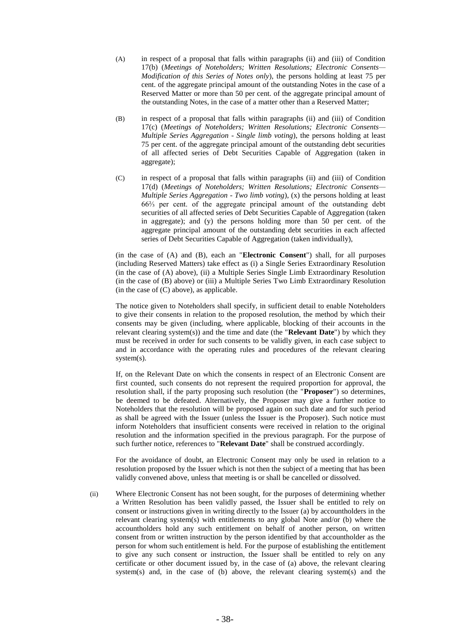- (A) in respect of a proposal that falls within paragraphs (ii) and (iii) of Condition 17(b) (*Meetings of Noteholders; Written Resolutions; Electronic Consents— Modification of this Series of Notes only*), the persons holding at least 75 per cent. of the aggregate principal amount of the outstanding Notes in the case of a Reserved Matter or more than 50 per cent. of the aggregate principal amount of the outstanding Notes, in the case of a matter other than a Reserved Matter;
- (B) in respect of a proposal that falls within paragraphs (ii) and (iii) of Condition 17(c) (*Meetings of Noteholders; Written Resolutions; Electronic Consents— Multiple Series Aggregation - Single limb voting*), the persons holding at least 75 per cent. of the aggregate principal amount of the outstanding debt securities of all affected series of Debt Securities Capable of Aggregation (taken in aggregate);
- (C) in respect of a proposal that falls within paragraphs (ii) and (iii) of Condition 17(d) (*Meetings of Noteholders; Written Resolutions; Electronic Consents— Multiple Series Aggregation - Two limb voting*), (x) the persons holding at least 66⅔ per cent. of the aggregate principal amount of the outstanding debt securities of all affected series of Debt Securities Capable of Aggregation (taken in aggregate); and (y) the persons holding more than 50 per cent. of the aggregate principal amount of the outstanding debt securities in each affected series of Debt Securities Capable of Aggregation (taken individually),

(in the case of (A) and (B), each an "**Electronic Consent**") shall, for all purposes (including Reserved Matters) take effect as (i) a Single Series Extraordinary Resolution (in the case of (A) above), (ii) a Multiple Series Single Limb Extraordinary Resolution (in the case of (B) above) or (iii) a Multiple Series Two Limb Extraordinary Resolution  $(in the case of (C) above)$ , as applicable.

The notice given to Noteholders shall specify, in sufficient detail to enable Noteholders to give their consents in relation to the proposed resolution, the method by which their consents may be given (including, where applicable, blocking of their accounts in the relevant clearing system(s)) and the time and date (the "**Relevant Date**") by which they must be received in order for such consents to be validly given, in each case subject to and in accordance with the operating rules and procedures of the relevant clearing system(s).

If, on the Relevant Date on which the consents in respect of an Electronic Consent are first counted, such consents do not represent the required proportion for approval, the resolution shall, if the party proposing such resolution (the "**Proposer**") so determines, be deemed to be defeated. Alternatively, the Proposer may give a further notice to Noteholders that the resolution will be proposed again on such date and for such period as shall be agreed with the Issuer (unless the Issuer is the Proposer). Such notice must inform Noteholders that insufficient consents were received in relation to the original resolution and the information specified in the previous paragraph. For the purpose of such further notice, references to "**Relevant Date**" shall be construed accordingly.

For the avoidance of doubt, an Electronic Consent may only be used in relation to a resolution proposed by the Issuer which is not then the subject of a meeting that has been validly convened above, unless that meeting is or shall be cancelled or dissolved.

(ii) Where Electronic Consent has not been sought, for the purposes of determining whether a Written Resolution has been validly passed, the Issuer shall be entitled to rely on consent or instructions given in writing directly to the Issuer (a) by accountholders in the relevant clearing system(s) with entitlements to any global Note and/or (b) where the accountholders hold any such entitlement on behalf of another person, on written consent from or written instruction by the person identified by that accountholder as the person for whom such entitlement is held. For the purpose of establishing the entitlement to give any such consent or instruction, the Issuer shall be entitled to rely on any certificate or other document issued by, in the case of (a) above, the relevant clearing system(s) and, in the case of  $(b)$  above, the relevant clearing system(s) and the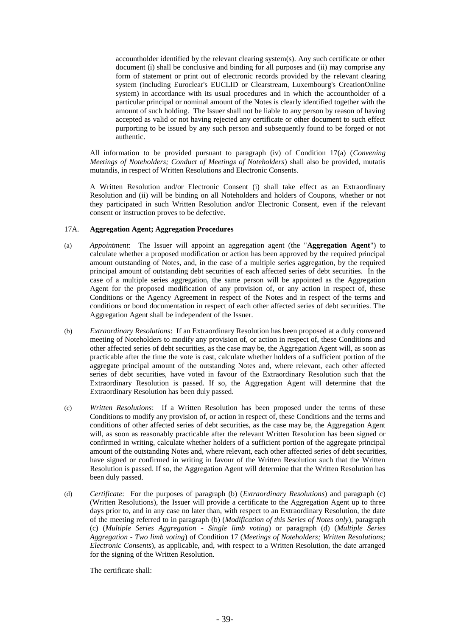accountholder identified by the relevant clearing system(s). Any such certificate or other document (i) shall be conclusive and binding for all purposes and (ii) may comprise any form of statement or print out of electronic records provided by the relevant clearing system (including Euroclear's EUCLID or Clearstream, Luxembourg's CreationOnline system) in accordance with its usual procedures and in which the accountholder of a particular principal or nominal amount of the Notes is clearly identified together with the amount of such holding. The Issuer shall not be liable to any person by reason of having accepted as valid or not having rejected any certificate or other document to such effect purporting to be issued by any such person and subsequently found to be forged or not authentic.

All information to be provided pursuant to paragraph (iv) of Condition 17(a) (*Convening Meetings of Noteholders; Conduct of Meetings of Noteholders*) shall also be provided, mutatis mutandis, in respect of Written Resolutions and Electronic Consents.

A Written Resolution and/or Electronic Consent (i) shall take effect as an Extraordinary Resolution and (ii) will be binding on all Noteholders and holders of Coupons, whether or not they participated in such Written Resolution and/or Electronic Consent, even if the relevant consent or instruction proves to be defective.

# 17A. **Aggregation Agent; Aggregation Procedures**

- (a) *Appointment*: The Issuer will appoint an aggregation agent (the "**Aggregation Agent**") to calculate whether a proposed modification or action has been approved by the required principal amount outstanding of Notes, and, in the case of a multiple series aggregation, by the required principal amount of outstanding debt securities of each affected series of debt securities. In the case of a multiple series aggregation, the same person will be appointed as the Aggregation Agent for the proposed modification of any provision of, or any action in respect of, these Conditions or the Agency Agreement in respect of the Notes and in respect of the terms and conditions or bond documentation in respect of each other affected series of debt securities. The Aggregation Agent shall be independent of the Issuer.
- (b) *Extraordinary Resolutions*: If an Extraordinary Resolution has been proposed at a duly convened meeting of Noteholders to modify any provision of, or action in respect of, these Conditions and other affected series of debt securities, as the case may be, the Aggregation Agent will, as soon as practicable after the time the vote is cast, calculate whether holders of a sufficient portion of the aggregate principal amount of the outstanding Notes and, where relevant, each other affected series of debt securities, have voted in favour of the Extraordinary Resolution such that the Extraordinary Resolution is passed. If so, the Aggregation Agent will determine that the Extraordinary Resolution has been duly passed.
- (c) *Written Resolutions*: If a Written Resolution has been proposed under the terms of these Conditions to modify any provision of, or action in respect of, these Conditions and the terms and conditions of other affected series of debt securities, as the case may be, the Aggregation Agent will, as soon as reasonably practicable after the relevant Written Resolution has been signed or confirmed in writing, calculate whether holders of a sufficient portion of the aggregate principal amount of the outstanding Notes and, where relevant, each other affected series of debt securities, have signed or confirmed in writing in favour of the Written Resolution such that the Written Resolution is passed. If so, the Aggregation Agent will determine that the Written Resolution has been duly passed.
- (d) *Certificate*: For the purposes of paragraph (b) (*Extraordinary Resolutions*) and paragraph (c) (Written Resolutions), the Issuer will provide a certificate to the Aggregation Agent up to three days prior to, and in any case no later than, with respect to an Extraordinary Resolution, the date of the meeting referred to in paragraph (b) (*Modification of this Series of Notes only*), paragraph (c) (*Multiple Series Aggregation - Single limb voting*) or paragraph (d) (*Multiple Series Aggregation - Two limb voting*) of Condition 17 (*Meetings of Noteholders; Written Resolutions; Electronic Consents*), as applicable, and, with respect to a Written Resolution, the date arranged for the signing of the Written Resolution.

The certificate shall: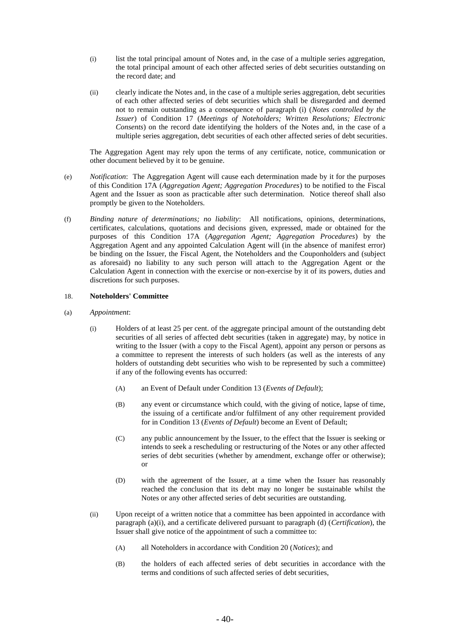- (i) list the total principal amount of Notes and, in the case of a multiple series aggregation, the total principal amount of each other affected series of debt securities outstanding on the record date; and
- (ii) clearly indicate the Notes and, in the case of a multiple series aggregation, debt securities of each other affected series of debt securities which shall be disregarded and deemed not to remain outstanding as a consequence of paragraph (i) (*Notes controlled by the Issuer*) of Condition 17 (*Meetings of Noteholders; Written Resolutions; Electronic Consents*) on the record date identifying the holders of the Notes and, in the case of a multiple series aggregation, debt securities of each other affected series of debt securities.

The Aggregation Agent may rely upon the terms of any certificate, notice, communication or other document believed by it to be genuine.

- (e) *Notification*: The Aggregation Agent will cause each determination made by it for the purposes of this Condition 17A (*Aggregation Agent; Aggregation Procedures*) to be notified to the Fiscal Agent and the Issuer as soon as practicable after such determination. Notice thereof shall also promptly be given to the Noteholders.
- (f) *Binding nature of determinations; no liability*: All notifications, opinions, determinations, certificates, calculations, quotations and decisions given, expressed, made or obtained for the purposes of this Condition 17A (*Aggregation Agent; Aggregation Procedures*) by the Aggregation Agent and any appointed Calculation Agent will (in the absence of manifest error) be binding on the Issuer, the Fiscal Agent, the Noteholders and the Couponholders and (subject as aforesaid) no liability to any such person will attach to the Aggregation Agent or the Calculation Agent in connection with the exercise or non-exercise by it of its powers, duties and discretions for such purposes.

## 18. **Noteholders' Committee**

- (a) *Appointment*:
	- (i) Holders of at least 25 per cent. of the aggregate principal amount of the outstanding debt securities of all series of affected debt securities (taken in aggregate) may, by notice in writing to the Issuer (with a copy to the Fiscal Agent), appoint any person or persons as a committee to represent the interests of such holders (as well as the interests of any holders of outstanding debt securities who wish to be represented by such a committee) if any of the following events has occurred:
		- (A) an Event of Default under Condition 13 (*Events of Default*);
		- (B) any event or circumstance which could, with the giving of notice, lapse of time, the issuing of a certificate and/or fulfilment of any other requirement provided for in Condition 13 (*Events of Default*) become an Event of Default;
		- (C) any public announcement by the Issuer, to the effect that the Issuer is seeking or intends to seek a rescheduling or restructuring of the Notes or any other affected series of debt securities (whether by amendment, exchange offer or otherwise); or
		- (D) with the agreement of the Issuer, at a time when the Issuer has reasonably reached the conclusion that its debt may no longer be sustainable whilst the Notes or any other affected series of debt securities are outstanding.
	- (ii) Upon receipt of a written notice that a committee has been appointed in accordance with paragraph (a)(i), and a certificate delivered pursuant to paragraph (d) (*Certification*), the Issuer shall give notice of the appointment of such a committee to:
		- (A) all Noteholders in accordance with Condition 20 (*Notices*); and
		- (B) the holders of each affected series of debt securities in accordance with the terms and conditions of such affected series of debt securities,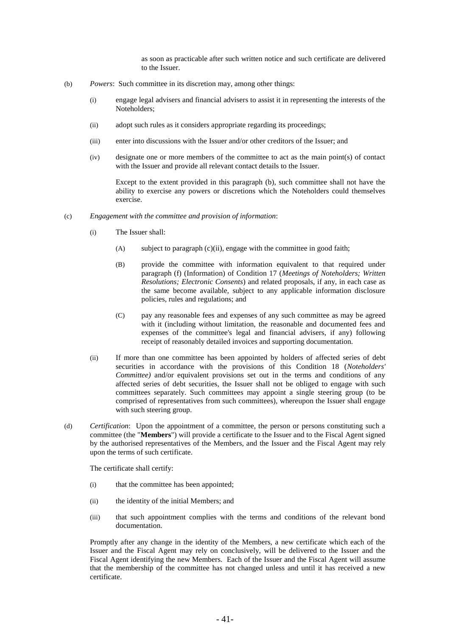as soon as practicable after such written notice and such certificate are delivered to the Issuer.

- (b) *Powers*: Such committee in its discretion may, among other things:
	- (i) engage legal advisers and financial advisers to assist it in representing the interests of the Noteholders;
	- (ii) adopt such rules as it considers appropriate regarding its proceedings;
	- (iii) enter into discussions with the Issuer and/or other creditors of the Issuer; and
	- (iv) designate one or more members of the committee to act as the main point(s) of contact with the Issuer and provide all relevant contact details to the Issuer.

Except to the extent provided in this paragraph (b), such committee shall not have the ability to exercise any powers or discretions which the Noteholders could themselves exercise.

- (c) *Engagement with the committee and provision of information*:
	- (i) The Issuer shall:
		- (A) subject to paragraph (c)(ii), engage with the committee in good faith;
		- (B) provide the committee with information equivalent to that required under paragraph (f) (Information) of Condition 17 (*Meetings of Noteholders; Written Resolutions; Electronic Consents*) and related proposals, if any, in each case as the same become available, subject to any applicable information disclosure policies, rules and regulations; and
		- (C) pay any reasonable fees and expenses of any such committee as may be agreed with it (including without limitation, the reasonable and documented fees and expenses of the committee's legal and financial advisers, if any) following receipt of reasonably detailed invoices and supporting documentation.
	- (ii) If more than one committee has been appointed by holders of affected series of debt securities in accordance with the provisions of this Condition 18 (*Noteholders' Committee)* and/or equivalent provisions set out in the terms and conditions of any affected series of debt securities, the Issuer shall not be obliged to engage with such committees separately. Such committees may appoint a single steering group (to be comprised of representatives from such committees), whereupon the Issuer shall engage with such steering group.
- (d) *Certification*: Upon the appointment of a committee, the person or persons constituting such a committee (the "**Members**") will provide a certificate to the Issuer and to the Fiscal Agent signed by the authorised representatives of the Members, and the Issuer and the Fiscal Agent may rely upon the terms of such certificate.

The certificate shall certify:

- (i) that the committee has been appointed;
- (ii) the identity of the initial Members; and
- (iii) that such appointment complies with the terms and conditions of the relevant bond documentation.

Promptly after any change in the identity of the Members, a new certificate which each of the Issuer and the Fiscal Agent may rely on conclusively, will be delivered to the Issuer and the Fiscal Agent identifying the new Members. Each of the Issuer and the Fiscal Agent will assume that the membership of the committee has not changed unless and until it has received a new certificate.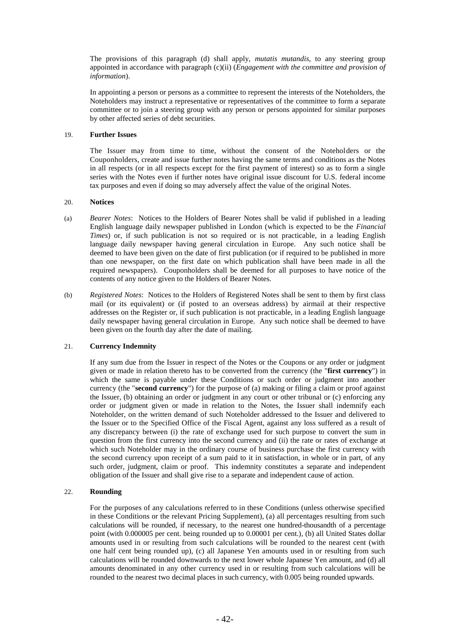The provisions of this paragraph (d) shall apply, *mutatis mutandis*, to any steering group appointed in accordance with paragraph (c)(ii) (*Engagement with the committee and provision of information*).

In appointing a person or persons as a committee to represent the interests of the Noteholders, the Noteholders may instruct a representative or representatives of the committee to form a separate committee or to join a steering group with any person or persons appointed for similar purposes by other affected series of debt securities.

## 19. **Further Issues**

The Issuer may from time to time, without the consent of the Noteholders or the Couponholders, create and issue further notes having the same terms and conditions as the Notes in all respects (or in all respects except for the first payment of interest) so as to form a single series with the Notes even if further notes have original issue discount for U.S. federal income tax purposes and even if doing so may adversely affect the value of the original Notes.

## 20. **Notices**

- (a) *Bearer Notes*:Notices to the Holders of Bearer Notes shall be valid if published in a leading English language daily newspaper published in London (which is expected to be the *Financial Times*) or, if such publication is not so required or is not practicable, in a leading English language daily newspaper having general circulation in Europe. Any such notice shall be deemed to have been given on the date of first publication (or if required to be published in more than one newspaper, on the first date on which publication shall have been made in all the required newspapers). Couponholders shall be deemed for all purposes to have notice of the contents of any notice given to the Holders of Bearer Notes.
- (b) *Registered Notes*:Notices to the Holders of Registered Notes shall be sent to them by first class mail (or its equivalent) or (if posted to an overseas address) by airmail at their respective addresses on the Register or, if such publication is not practicable, in a leading English language daily newspaper having general circulation in Europe. Any such notice shall be deemed to have been given on the fourth day after the date of mailing.

# 21. **Currency Indemnity**

If any sum due from the Issuer in respect of the Notes or the Coupons or any order or judgment given or made in relation thereto has to be converted from the currency (the "**first currency**") in which the same is payable under these Conditions or such order or judgment into another currency (the "**second currency**") for the purpose of (a) making or filing a claim or proof against the Issuer, (b) obtaining an order or judgment in any court or other tribunal or (c) enforcing any order or judgment given or made in relation to the Notes, the Issuer shall indemnify each Noteholder, on the written demand of such Noteholder addressed to the Issuer and delivered to the Issuer or to the Specified Office of the Fiscal Agent, against any loss suffered as a result of any discrepancy between (i) the rate of exchange used for such purpose to convert the sum in question from the first currency into the second currency and (ii) the rate or rates of exchange at which such Noteholder may in the ordinary course of business purchase the first currency with the second currency upon receipt of a sum paid to it in satisfaction, in whole or in part, of any such order, judgment, claim or proof. This indemnity constitutes a separate and independent obligation of the Issuer and shall give rise to a separate and independent cause of action.

# 22. **Rounding**

For the purposes of any calculations referred to in these Conditions (unless otherwise specified in these Conditions or the relevant Pricing Supplement), (a) all percentages resulting from such calculations will be rounded, if necessary, to the nearest one hundred-thousandth of a percentage point (with 0.000005 per cent. being rounded up to 0.00001 per cent.), (b) all United States dollar amounts used in or resulting from such calculations will be rounded to the nearest cent (with one half cent being rounded up), (c) all Japanese Yen amounts used in or resulting from such calculations will be rounded downwards to the next lower whole Japanese Yen amount, and (d) all amounts denominated in any other currency used in or resulting from such calculations will be rounded to the nearest two decimal places in such currency, with 0.005 being rounded upwards.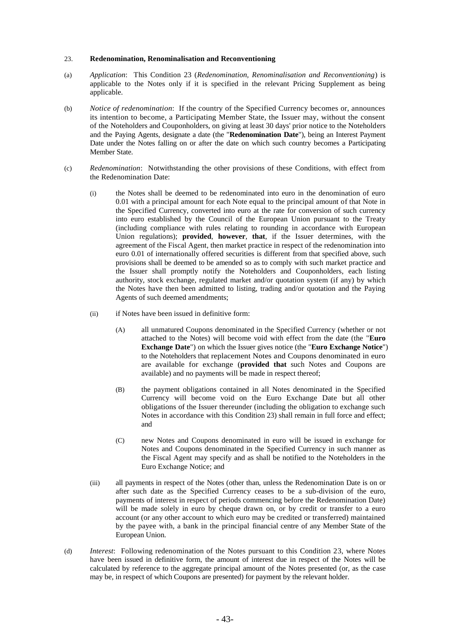## 23. **Redenomination, Renominalisation and Reconventioning**

- (a) *Application*: This Condition 23 (*Redenomination, Renominalisation and Reconventioning*) is applicable to the Notes only if it is specified in the relevant Pricing Supplement as being applicable.
- (b) *Notice of redenomination*: If the country of the Specified Currency becomes or, announces its intention to become, a Participating Member State, the Issuer may, without the consent of the Noteholders and Couponholders, on giving at least 30 days' prior notice to the Noteholders and the Paying Agents, designate a date (the "**Redenomination Date**"), being an Interest Payment Date under the Notes falling on or after the date on which such country becomes a Participating Member State.
- (c) *Redenomination*: Notwithstanding the other provisions of these Conditions, with effect from the Redenomination Date:
	- (i) the Notes shall be deemed to be redenominated into euro in the denomination of euro 0.01 with a principal amount for each Note equal to the principal amount of that Note in the Specified Currency, converted into euro at the rate for conversion of such currency into euro established by the Council of the European Union pursuant to the Treaty (including compliance with rules relating to rounding in accordance with European Union regulations); **provided**, **however**, **that**, if the Issuer determines, with the agreement of the Fiscal Agent, then market practice in respect of the redenomination into euro 0.01 of internationally offered securities is different from that specified above, such provisions shall be deemed to be amended so as to comply with such market practice and the Issuer shall promptly notify the Noteholders and Couponholders, each listing authority, stock exchange, regulated market and/or quotation system (if any) by which the Notes have then been admitted to listing, trading and/or quotation and the Paying Agents of such deemed amendments;
	- (ii) if Notes have been issued in definitive form:
		- (A) all unmatured Coupons denominated in the Specified Currency (whether or not attached to the Notes) will become void with effect from the date (the "**Euro Exchange Date**") on which the Issuer gives notice (the "**Euro Exchange Notice**") to the Noteholders that replacement Notes and Coupons denominated in euro are available for exchange (**provided that** such Notes and Coupons are available) and no payments will be made in respect thereof;
		- (B) the payment obligations contained in all Notes denominated in the Specified Currency will become void on the Euro Exchange Date but all other obligations of the Issuer thereunder (including the obligation to exchange such Notes in accordance with this Condition 23) shall remain in full force and effect; and
		- (C) new Notes and Coupons denominated in euro will be issued in exchange for Notes and Coupons denominated in the Specified Currency in such manner as the Fiscal Agent may specify and as shall be notified to the Noteholders in the Euro Exchange Notice; and
	- (iii) all payments in respect of the Notes (other than, unless the Redenomination Date is on or after such date as the Specified Currency ceases to be a sub-division of the euro, payments of interest in respect of periods commencing before the Redenomination Date) will be made solely in euro by cheque drawn on, or by credit or transfer to a euro account (or any other account to which euro may be credited or transferred) maintained by the payee with, a bank in the principal financial centre of any Member State of the European Union.
- (d) *Interest*: Following redenomination of the Notes pursuant to this Condition 23, where Notes have been issued in definitive form, the amount of interest due in respect of the Notes will be calculated by reference to the aggregate principal amount of the Notes presented (or, as the case may be, in respect of which Coupons are presented) for payment by the relevant holder.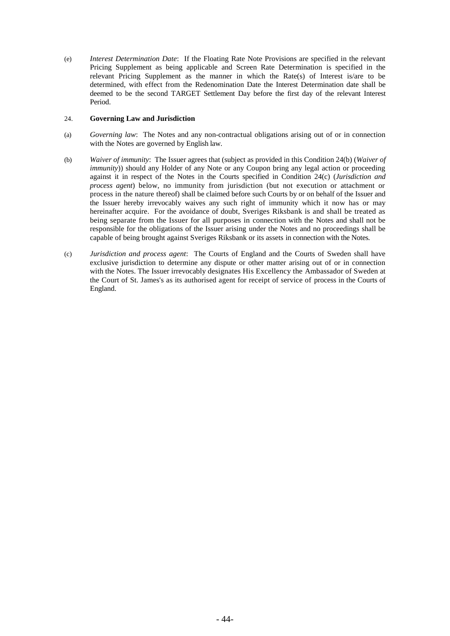(e) *Interest Determination Date*: If the Floating Rate Note Provisions are specified in the relevant Pricing Supplement as being applicable and Screen Rate Determination is specified in the relevant Pricing Supplement as the manner in which the Rate(s) of Interest is/are to be determined, with effect from the Redenomination Date the Interest Determination date shall be deemed to be the second TARGET Settlement Day before the first day of the relevant Interest Period.

# 24. **Governing Law and Jurisdiction**

- (a) *Governing law*: The Notes and any non-contractual obligations arising out of or in connection with the Notes are governed by English law.
- (b) *Waiver of immunity*: The Issuer agrees that (subject as provided in this Condition 24(b) (*Waiver of immunity*)) should any Holder of any Note or any Coupon bring any legal action or proceeding against it in respect of the Notes in the Courts specified in Condition 24(c) (*Jurisdiction and process agent*) below, no immunity from jurisdiction (but not execution or attachment or process in the nature thereof) shall be claimed before such Courts by or on behalf of the Issuer and the Issuer hereby irrevocably waives any such right of immunity which it now has or may hereinafter acquire. For the avoidance of doubt, Sveriges Riksbank is and shall be treated as being separate from the Issuer for all purposes in connection with the Notes and shall not be responsible for the obligations of the Issuer arising under the Notes and no proceedings shall be capable of being brought against Sveriges Riksbank or its assets in connection with the Notes.
- (c) *Jurisdiction and process agent*: The Courts of England and the Courts of Sweden shall have exclusive jurisdiction to determine any dispute or other matter arising out of or in connection with the Notes. The Issuer irrevocably designates His Excellency the Ambassador of Sweden at the Court of St. James's as its authorised agent for receipt of service of process in the Courts of England.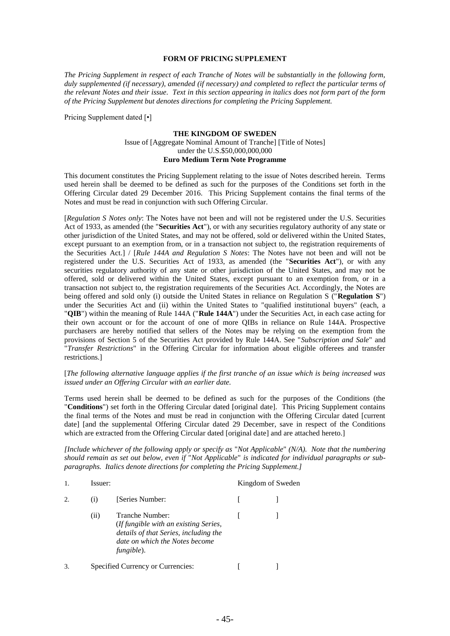## **FORM OF PRICING SUPPLEMENT**

*The Pricing Supplement in respect of each Tranche of Notes will be substantially in the following form, duly supplemented (if necessary), amended (if necessary) and completed to reflect the particular terms of the relevant Notes and their issue. Text in this section appearing in italics does not form part of the form of the Pricing Supplement but denotes directions for completing the Pricing Supplement.*

Pricing Supplement dated [•]

#### **THE KINGDOM OF SWEDEN**

## Issue of [Aggregate Nominal Amount of Tranche] [Title of Notes] under the U.S.\$50,000,000,000 **Euro Medium Term Note Programme**

This document constitutes the Pricing Supplement relating to the issue of Notes described herein. Terms used herein shall be deemed to be defined as such for the purposes of the Conditions set forth in the Offering Circular dated 29 December 2016. This Pricing Supplement contains the final terms of the Notes and must be read in conjunction with such Offering Circular.

[*Regulation S Notes only*: The Notes have not been and will not be registered under the U.S. Securities Act of 1933, as amended (the "**Securities Act**"), or with any securities regulatory authority of any state or other jurisdiction of the United States, and may not be offered, sold or delivered within the United States, except pursuant to an exemption from, or in a transaction not subject to, the registration requirements of the Securities Act.] / [*Rule 144A and Regulation S Notes*: The Notes have not been and will not be registered under the U.S. Securities Act of 1933, as amended (the "**Securities Act**"), or with any securities regulatory authority of any state or other jurisdiction of the United States, and may not be offered, sold or delivered within the United States, except pursuant to an exemption from, or in a transaction not subject to, the registration requirements of the Securities Act. Accordingly, the Notes are being offered and sold only (i) outside the United States in reliance on Regulation S ("**Regulation S**") under the Securities Act and (ii) within the United States to "qualified institutional buyers" (each, a "**QIB**") within the meaning of Rule 144A ("**Rule 144A**") under the Securities Act, in each case acting for their own account or for the account of one of more QIBs in reliance on Rule 144A. Prospective purchasers are hereby notified that sellers of the Notes may be relying on the exemption from the provisions of Section 5 of the Securities Act provided by Rule 144A. See "*Subscription and Sale*" and "*Transfer Restrictions*" in the Offering Circular for information about eligible offerees and transfer restrictions.]

## [*The following alternative language applies if the first tranche of an issue which is being increased was issued under an Offering Circular with an earlier date.*

Terms used herein shall be deemed to be defined as such for the purposes of the Conditions (the "**Conditions**") set forth in the Offering Circular dated [original date]. This Pricing Supplement contains the final terms of the Notes and must be read in conjunction with the Offering Circular dated [current date] [and the supplemental Offering Circular dated 29 December, save in respect of the Conditions which are extracted from the Offering Circular dated [original date] and are attached hereto.]

*[Include whichever of the following apply or specify as* "*Not Applicable*" *(N/A). Note that the numbering should remain as set out below, even if* "*Not Applicable*" *is indicated for individual paragraphs or subparagraphs. Italics denote directions for completing the Pricing Supplement.]*

|                        | Issuer:          |                                                                                                                                                          | Kingdom of Sweden |
|------------------------|------------------|----------------------------------------------------------------------------------------------------------------------------------------------------------|-------------------|
| $\mathcal{D}_{\alpha}$ | $\left(1\right)$ | [Series Number:                                                                                                                                          |                   |
|                        | (i)              | Tranche Number:<br><i>(If fungible with an existing Series,</i><br>details of that Series, including the<br>date on which the Notes become<br>fungible). |                   |
|                        |                  | Specified Currency or Currencies:                                                                                                                        |                   |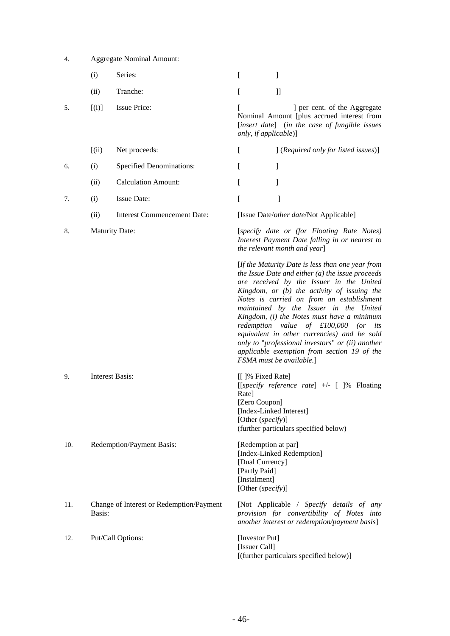| 4.  |        | <b>Aggregate Nominal Amount:</b>         |                                                                                              |                                                                                                                                                                                                                                                                                                                                                                                                                                                                                                                                                                   |
|-----|--------|------------------------------------------|----------------------------------------------------------------------------------------------|-------------------------------------------------------------------------------------------------------------------------------------------------------------------------------------------------------------------------------------------------------------------------------------------------------------------------------------------------------------------------------------------------------------------------------------------------------------------------------------------------------------------------------------------------------------------|
|     | (i)    | Series:                                  | L                                                                                            | 1                                                                                                                                                                                                                                                                                                                                                                                                                                                                                                                                                                 |
|     | (ii)   | Tranche:                                 | L                                                                                            | $]]% \centering \includegraphics[width=1\textwidth]{Figures/PQ1.png} \caption{The 3D (blue) and 4D (blue) are shown in Fig.~\ref{fig:10}. The 3D (blue) is shown in Fig.~\ref{fig:10}. The 3D (blue) is shown in Fig.~\ref{fig:10}.} \label{fig:11}$                                                                                                                                                                                                                                                                                                              |
| 5.  | [(i)]  | <b>Issue Price:</b>                      | only, if applicable)]                                                                        | ] per cent. of the Aggregate<br>Nominal Amount [plus accrued interest from<br>[insert date] (in the case of fungible issues                                                                                                                                                                                                                                                                                                                                                                                                                                       |
|     | [(ii)] | Net proceeds:                            | <sub>[</sub>                                                                                 | [(Required only for listed issues)]                                                                                                                                                                                                                                                                                                                                                                                                                                                                                                                               |
| 6.  | (i)    | <b>Specified Denominations:</b>          | L                                                                                            | ]                                                                                                                                                                                                                                                                                                                                                                                                                                                                                                                                                                 |
|     | (ii)   | <b>Calculation Amount:</b>               | L                                                                                            | 1                                                                                                                                                                                                                                                                                                                                                                                                                                                                                                                                                                 |
| 7.  | (i)    | Issue Date:                              | ſ                                                                                            | 1                                                                                                                                                                                                                                                                                                                                                                                                                                                                                                                                                                 |
|     | (ii)   | Interest Commencement Date:              |                                                                                              | [Issue Date/other date/Not Applicable]                                                                                                                                                                                                                                                                                                                                                                                                                                                                                                                            |
| 8.  |        | <b>Maturity Date:</b>                    |                                                                                              | [specify date or (for Floating Rate Notes)<br>Interest Payment Date falling in or nearest to<br>the relevant month and year]                                                                                                                                                                                                                                                                                                                                                                                                                                      |
|     |        |                                          |                                                                                              | [If the Maturity Date is less than one year from<br>the Issue Date and either $(a)$ the issue proceeds<br>are received by the Issuer in the United<br>Kingdom, or (b) the activity of issuing the<br>Notes is carried on from an establishment<br>maintained by the Issuer in the United<br>Kingdom, (i) the Notes must have a minimum<br>redemption value of $£100,000$ (or<br>its<br>equivalent in other currencies) and be sold<br>only to "professional investors" or (ii) another<br>applicable exemption from section 19 of the<br>FSMA must be available.] |
| 9.  |        | Interest Basis:                          | [[]% Fixed Rate]<br>Rate]<br>[Zero Coupon]<br>[Other (specify)]                              | [[specify reference rate] $+/-$ [ ]% Floating<br>[Index-Linked Interest]<br>(further particulars specified below)                                                                                                                                                                                                                                                                                                                                                                                                                                                 |
| 10. |        | Redemption/Payment Basis:                | [Redemption at par]<br>[Dual Currency]<br>[Partly Paid]<br>[Instalment]<br>[Other (specify)] | [Index-Linked Redemption]                                                                                                                                                                                                                                                                                                                                                                                                                                                                                                                                         |
| 11. | Basis: | Change of Interest or Redemption/Payment |                                                                                              | [Not Applicable / Specify details of any<br>provision for convertibility of Notes into<br>another interest or redemption/payment basis]                                                                                                                                                                                                                                                                                                                                                                                                                           |
| 12. |        | Put/Call Options:                        | [Investor Put]<br>[Issuer Call]                                                              |                                                                                                                                                                                                                                                                                                                                                                                                                                                                                                                                                                   |

[(further particulars specified below)]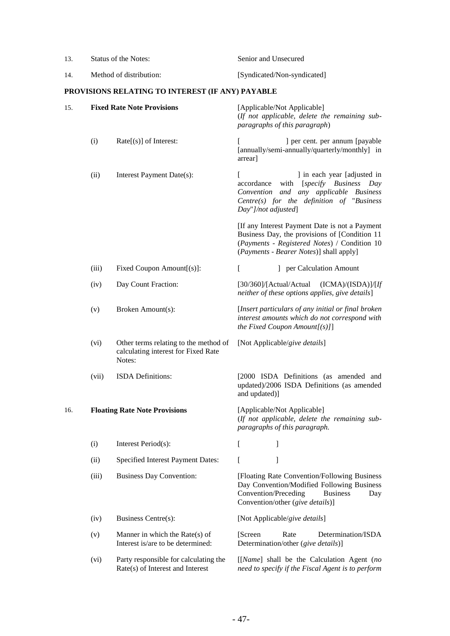| 13. | Status of the Notes:    |                                                                                        | Senior and Unsecured                                                                                                                                                                            |  |
|-----|-------------------------|----------------------------------------------------------------------------------------|-------------------------------------------------------------------------------------------------------------------------------------------------------------------------------------------------|--|
| 14. | Method of distribution: |                                                                                        | [Syndicated/Non-syndicated]                                                                                                                                                                     |  |
|     |                         | PROVISIONS RELATING TO INTEREST (IF ANY) PAYABLE                                       |                                                                                                                                                                                                 |  |
| 15. |                         | <b>Fixed Rate Note Provisions</b>                                                      | [Applicable/Not Applicable]<br>(If not applicable, delete the remaining sub-<br>paragraphs of this paragraph)                                                                                   |  |
|     | (i)                     | $Rate[(s)]$ of Interest:                                                               | ] per cent. per annum [payable<br>[annually/semi-annually/quarterly/monthly] in<br>arrear]                                                                                                      |  |
|     | (ii)                    | Interest Payment Date(s):                                                              | $\Gamma$<br>] in each year [adjusted in<br>accordance with [specify Business Day<br>Convention and any applicable Business<br>Centre(s) for the definition of "Business"<br>Day"]/not adjusted] |  |
|     |                         |                                                                                        | [If any Interest Payment Date is not a Payment<br>Business Day, the provisions of [Condition 11<br>(Payments - Registered Notes) / Condition 10<br>(Payments - Bearer Notes)] shall apply]      |  |
|     | (iii)                   | Fixed Coupon Amount[(s)]:                                                              | ] per Calculation Amount<br>$\mathbf{I}$                                                                                                                                                        |  |
|     | (iv)                    | Day Count Fraction:                                                                    | [30/360]/[Actual/Actual<br>(ICMA)/(ISDA)]/[If<br>neither of these options applies, give details]                                                                                                |  |
|     | (v)                     | Broken Amount(s):                                                                      | [Insert particulars of any initial or final broken]<br>interest amounts which do not correspond with<br>the Fixed Coupon Amount $[(s)]$                                                         |  |
|     | (vi)                    | Other terms relating to the method of<br>calculating interest for Fixed Rate<br>Notes: | [Not Applicable/give details]                                                                                                                                                                   |  |
|     | (vii)                   | <b>ISDA</b> Definitions:                                                               | [2000 ISDA Definitions (as amended and<br>updated)/2006 ISDA Definitions (as amended<br>and updated)]                                                                                           |  |
| 16. |                         | <b>Floating Rate Note Provisions</b>                                                   | [Applicable/Not Applicable]<br>(If not applicable, delete the remaining sub-<br>paragraphs of this paragraph.                                                                                   |  |
|     | (i)                     | Interest Period(s):                                                                    | I<br>$\mathbf{I}$                                                                                                                                                                               |  |
|     | (ii)                    | Specified Interest Payment Dates:                                                      | 1<br>ſ                                                                                                                                                                                          |  |
|     | (iii)                   | <b>Business Day Convention:</b>                                                        | [Floating Rate Convention/Following Business<br>Day Convention/Modified Following Business<br>Convention/Preceding<br><b>Business</b><br>Day<br>Convention/other (give details)]                |  |
|     | (iv)                    | Business Centre(s):                                                                    | [Not Applicable/give details]                                                                                                                                                                   |  |
|     | (v)                     | Manner in which the Rate $(s)$ of<br>Interest is/are to be determined:                 | Determination/ISDA<br>[Screen]<br>Rate<br>Determination/other (give details)]                                                                                                                   |  |
|     | (vi)                    | Party responsible for calculating the<br>Rate(s) of Interest and Interest              | [[Name] shall be the Calculation Agent (no<br>need to specify if the Fiscal Agent is to perform                                                                                                 |  |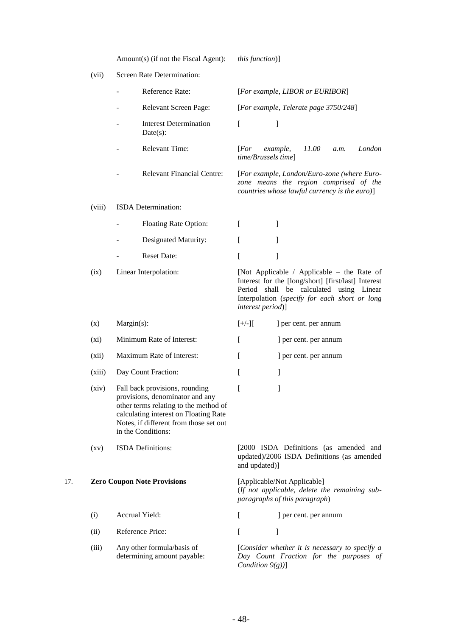|     | (vii)                         |               | Screen Rate Determination:                                                                                                                                                                                          |                                                                                                               |                                 |                                                                                                                                        |      |        |
|-----|-------------------------------|---------------|---------------------------------------------------------------------------------------------------------------------------------------------------------------------------------------------------------------------|---------------------------------------------------------------------------------------------------------------|---------------------------------|----------------------------------------------------------------------------------------------------------------------------------------|------|--------|
|     |                               |               | Reference Rate:                                                                                                                                                                                                     |                                                                                                               |                                 | [For example, LIBOR or EURIBOR]                                                                                                        |      |        |
|     |                               |               | Relevant Screen Page:                                                                                                                                                                                               |                                                                                                               |                                 | [For example, Telerate page 3750/248]                                                                                                  |      |        |
|     |                               |               | <b>Interest Determination</b><br>Date(s):                                                                                                                                                                           | ſ                                                                                                             | 1                               |                                                                                                                                        |      |        |
|     |                               |               | <b>Relevant Time:</b>                                                                                                                                                                                               | [For                                                                                                          | example,<br>time/Brussels time] | 11.00                                                                                                                                  | a.m. | London |
|     |                               |               | <b>Relevant Financial Centre:</b>                                                                                                                                                                                   |                                                                                                               |                                 | [For example, London/Euro-zone (where Euro-<br>zone means the region comprised of the<br>countries whose lawful currency is the euro)] |      |        |
|     | (viii)                        |               | ISDA Determination:                                                                                                                                                                                                 |                                                                                                               |                                 |                                                                                                                                        |      |        |
|     |                               |               | Floating Rate Option:                                                                                                                                                                                               | L                                                                                                             | 1                               |                                                                                                                                        |      |        |
|     |                               |               | Designated Maturity:                                                                                                                                                                                                | ſ                                                                                                             | 1                               |                                                                                                                                        |      |        |
|     |                               |               | <b>Reset Date:</b>                                                                                                                                                                                                  | ſ                                                                                                             | 1                               |                                                                                                                                        |      |        |
|     | Linear Interpolation:<br>(ix) |               | [Not Applicable / Applicable – the Rate of<br>Interest for the [long/short] [first/last] Interest<br>Period shall be calculated using Linear<br>Interpolation (specify for each short or long<br>interest period)]  |                                                                                                               |                                 |                                                                                                                                        |      |        |
|     | (x)                           | $Margin(s)$ : |                                                                                                                                                                                                                     | $[+/$ ][                                                                                                      |                                 | ] per cent. per annum                                                                                                                  |      |        |
|     | $(x_i)$                       |               | Minimum Rate of Interest:                                                                                                                                                                                           | ſ                                                                                                             |                                 | ] per cent. per annum                                                                                                                  |      |        |
|     | (xii)                         |               | Maximum Rate of Interest:                                                                                                                                                                                           | L                                                                                                             |                                 | ] per cent. per annum                                                                                                                  |      |        |
|     | (xiii)                        |               | Day Count Fraction:                                                                                                                                                                                                 | L                                                                                                             | 1                               |                                                                                                                                        |      |        |
|     | (xiv)                         |               | Fall back provisions, rounding<br>provisions, denominator and any<br>other terms relating to the method of<br>calculating interest on Floating Rate<br>Notes, if different from those set out<br>in the Conditions: | I                                                                                                             | 1                               |                                                                                                                                        |      |        |
|     | $\left( xy\right)$            |               | ISDA Definitions:                                                                                                                                                                                                   | and updated)]                                                                                                 |                                 | [2000 ISDA Definitions (as amended and<br>updated)/2006 ISDA Definitions (as amended                                                   |      |        |
| 17. |                               |               | <b>Zero Coupon Note Provisions</b>                                                                                                                                                                                  | [Applicable/Not Applicable]<br>(If not applicable, delete the remaining sub-<br>paragraphs of this paragraph) |                                 |                                                                                                                                        |      |        |
|     | (i)                           |               | Accrual Yield:                                                                                                                                                                                                      | L                                                                                                             |                                 | ] per cent. per annum                                                                                                                  |      |        |
|     | (ii)                          |               | Reference Price:                                                                                                                                                                                                    | L                                                                                                             | 1                               |                                                                                                                                        |      |        |
|     | (iii)                         |               | Any other formula/basis of<br>determining amount payable:                                                                                                                                                           |                                                                                                               | Condition $9(g)$ ]              | [Consider whether it is necessary to specify a<br>Day Count Fraction for the purposes of                                               |      |        |

Amount(s) (if not the Fiscal Agent): *this function*)]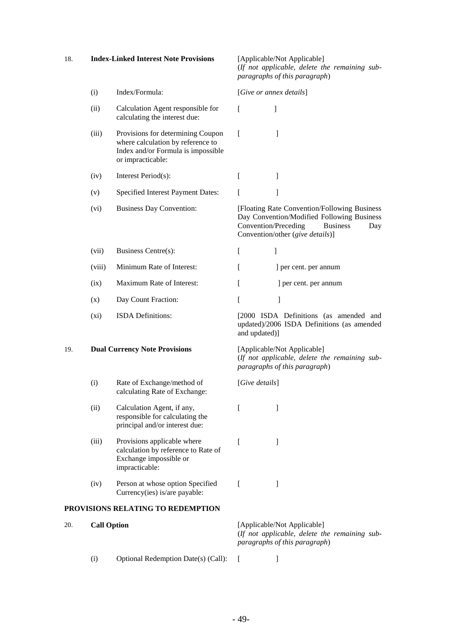| 18. | <b>Index-Linked Interest Note Provisions</b> | [Applicable/Not Applicable] |
|-----|----------------------------------------------|-----------------------------|
|     |                                              |                             |

(*If not applicable, delete the remaining subparagraphs of this paragraph*)

|     | (i)                | Index/Formula:                                                                                                                    |                | [Give or annex details]                                                                                                                                                          |
|-----|--------------------|-----------------------------------------------------------------------------------------------------------------------------------|----------------|----------------------------------------------------------------------------------------------------------------------------------------------------------------------------------|
|     | (ii)               | Calculation Agent responsible for<br>calculating the interest due:                                                                | L              | 1                                                                                                                                                                                |
|     | (iii)              | Provisions for determining Coupon<br>where calculation by reference to<br>Index and/or Formula is impossible<br>or impracticable: | L              | 1                                                                                                                                                                                |
|     | (iv)               | Interest Period(s):                                                                                                               | L              | 1                                                                                                                                                                                |
|     | (v)                | Specified Interest Payment Dates:                                                                                                 | L              | 1                                                                                                                                                                                |
|     | (vi)               | <b>Business Day Convention:</b>                                                                                                   |                | [Floating Rate Convention/Following Business<br>Day Convention/Modified Following Business<br>Convention/Preceding<br><b>Business</b><br>Day<br>Convention/other (give details)] |
|     | (vii)              | Business Centre(s):                                                                                                               | $\Gamma$       | 1                                                                                                                                                                                |
|     | (viii)             | Minimum Rate of Interest:                                                                                                         | L              | ] per cent. per annum                                                                                                                                                            |
|     | (ix)               | Maximum Rate of Interest:                                                                                                         | L              | ] per cent. per annum                                                                                                                                                            |
|     | (x)                | Day Count Fraction:                                                                                                               | L              | 1                                                                                                                                                                                |
|     | (xi)               | <b>ISDA</b> Definitions:                                                                                                          | and updated)]  | [2000 ISDA Definitions (as amended and<br>updated)/2006 ISDA Definitions (as amended                                                                                             |
| 19. |                    | <b>Dual Currency Note Provisions</b>                                                                                              |                | [Applicable/Not Applicable]<br>(If not applicable, delete the remaining sub-<br>paragraphs of this paragraph)                                                                    |
|     | (i)                | Rate of Exchange/method of<br>calculating Rate of Exchange:                                                                       | [Give details] |                                                                                                                                                                                  |
|     | (ii)               | Calculation Agent, if any,<br>responsible for calculating the<br>principal and/or interest due:                                   | t              | J                                                                                                                                                                                |
|     | (iii)              | Provisions applicable where<br>calculation by reference to Rate of<br>Exchange impossible or<br>impracticable:                    | L              | 1                                                                                                                                                                                |
|     | (iv)               | Person at whose option Specified<br>Currency(ies) is/are payable:                                                                 | L              | $\mathbf{I}$                                                                                                                                                                     |
|     |                    | PROVISIONS RELATING TO REDEMPTION                                                                                                 |                |                                                                                                                                                                                  |
| 20. | <b>Call Option</b> |                                                                                                                                   |                | [Applicable/Not Applicable]<br>(If not applicable, delete the remaining sub-<br>paragraphs of this paragraph)                                                                    |

(i) Optional Redemption Date(s) (Call): [ ]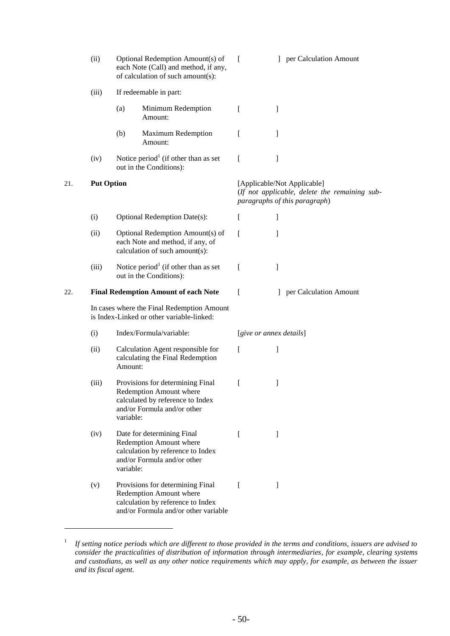<span id="page-52-0"></span>

|     | (ii)  |                   | Optional Redemption Amount(s) of<br>each Note (Call) and method, if any,<br>of calculation of such amount(s):                            | $\Gamma$     |                         | ] per Calculation Amount                                                                                                                  |  |  |  |
|-----|-------|-------------------|------------------------------------------------------------------------------------------------------------------------------------------|--------------|-------------------------|-------------------------------------------------------------------------------------------------------------------------------------------|--|--|--|
|     | (iii) |                   | If redeemable in part:                                                                                                                   |              |                         |                                                                                                                                           |  |  |  |
|     |       | (a)               | Minimum Redemption<br>Amount:                                                                                                            | I            | 1                       |                                                                                                                                           |  |  |  |
|     |       | (b)               | Maximum Redemption<br>Amount:                                                                                                            | L            | 1                       |                                                                                                                                           |  |  |  |
|     | (iv)  |                   | Notice period <sup>1</sup> (if other than as set<br>out in the Conditions):                                                              | L            | $\overline{1}$          |                                                                                                                                           |  |  |  |
| 21. |       | <b>Put Option</b> |                                                                                                                                          |              |                         | [Applicable/Not Applicable]<br>(If not applicable, delete the remaining sub-<br>paragraphs of this paragraph)<br>] per Calculation Amount |  |  |  |
|     | (i)   |                   | Optional Redemption Date(s):                                                                                                             | $\mathbf{I}$ | 1                       |                                                                                                                                           |  |  |  |
|     | (ii)  |                   | Optional Redemption Amount(s) of<br>each Note and method, if any, of<br>calculation of such amount(s):                                   | ſ            | 1                       |                                                                                                                                           |  |  |  |
|     | (iii) |                   | Notice period <sup>1</sup> (if other than as set<br>out in the Conditions):                                                              | L            | 1                       |                                                                                                                                           |  |  |  |
| 22. |       |                   | <b>Final Redemption Amount of each Note</b>                                                                                              | f            |                         |                                                                                                                                           |  |  |  |
|     |       |                   | In cases where the Final Redemption Amount<br>is Index-Linked or other variable-linked:                                                  |              |                         |                                                                                                                                           |  |  |  |
|     | (i)   |                   | Index/Formula/variable:                                                                                                                  |              | [give or annex details] |                                                                                                                                           |  |  |  |
|     | (ii)  | Amount:           | Calculation Agent responsible for<br>calculating the Final Redemption                                                                    | L            | 1                       |                                                                                                                                           |  |  |  |
|     | (iii) | variable:         | Provisions for determining Final<br>Redemption Amount where<br>calculated by reference to Index<br>and/or Formula and/or other           | T            | I                       |                                                                                                                                           |  |  |  |
|     | (iv)  | variable:         | Date for determining Final<br>Redemption Amount where<br>calculation by reference to Index<br>and/or Formula and/or other                | $\mathbf{I}$ | I                       |                                                                                                                                           |  |  |  |
|     | (v)   |                   | Provisions for determining Final<br>Redemption Amount where<br>calculation by reference to Index<br>and/or Formula and/or other variable | f            | $\mathbf{I}$            |                                                                                                                                           |  |  |  |
|     |       |                   |                                                                                                                                          |              |                         |                                                                                                                                           |  |  |  |

 $\overline{a}$ 

<sup>1</sup> *If setting notice periods which are different to those provided in the terms and conditions, issuers are advised to consider the practicalities of distribution of information through intermediaries, for example, clearing systems and custodians, as well as any other notice requirements which may apply, for example, as between the issuer and its fiscal agent.*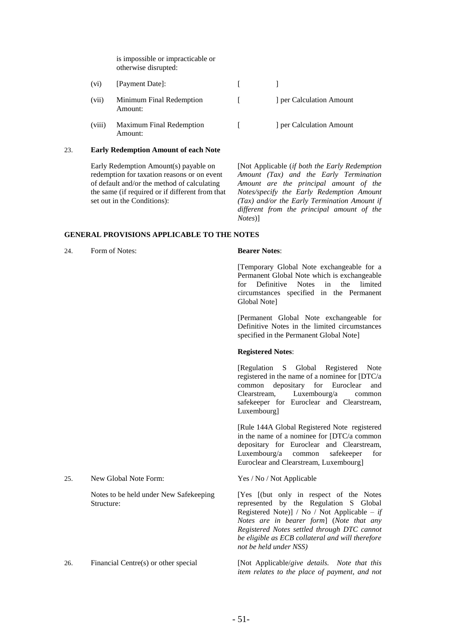is impossible or impracticable or otherwise disrupted:

(vi) [Payment Date]: [ ] (vii) Minimum Final Redemption Amount: [ ] per Calculation Amount (viii) Maximum Final Redemption Amount: [ ] per Calculation Amount

#### 23. **Early Redemption Amount of each Note**

Early Redemption Amount(s) payable on redemption for taxation reasons or on event of default and/or the method of calculating the same (if required or if different from that set out in the Conditions):

[Not Applicable (*if both the Early Redemption Amount (Tax) and the Early Termination Amount are the principal amount of the Notes/specify the Early Redemption Amount (Tax) and/or the Early Termination Amount if different from the principal amount of the Notes*)]

## **GENERAL PROVISIONS APPLICABLE TO THE NOTES**

24. Form of Notes: **Bearer Notes**:

[Temporary Global Note exchangeable for a Permanent Global Note which is exchangeable for Definitive Notes in the limited circumstances specified in the Permanent Global Note]

[Permanent Global Note exchangeable for Definitive Notes in the limited circumstances specified in the Permanent Global Note]

## **Registered Notes**:

[Regulation S Global Registered Note registered in the name of a nominee for [DTC/a common depositary for Euroclear and Clearstream, Luxembourg/a common safekeeper for Euroclear and Clearstream, Luxembourg]

[Rule 144A Global Registered Note registered in the name of a nominee for [DTC/a common depositary for Euroclear and Clearstream, Luxembourg/a common safekeeper for Euroclear and Clearstream, Luxembourg]

[Yes [(but only in respect of the Notes represented by the Regulation S Global Registered Note)] / No / Not Applicable – *if Notes are in bearer form*] (*Note that any Registered Notes settled through DTC cannot be eligible as ECB collateral and will therefore not be held under NSS)*

26. Financial Centre(s) or other special [Not Applicable/*give details. Note that this item relates to the place of payment, and not* 

## 25. New Global Note Form: Yes / No / Not Applicable

Notes to be held under New Safekeeping Structure: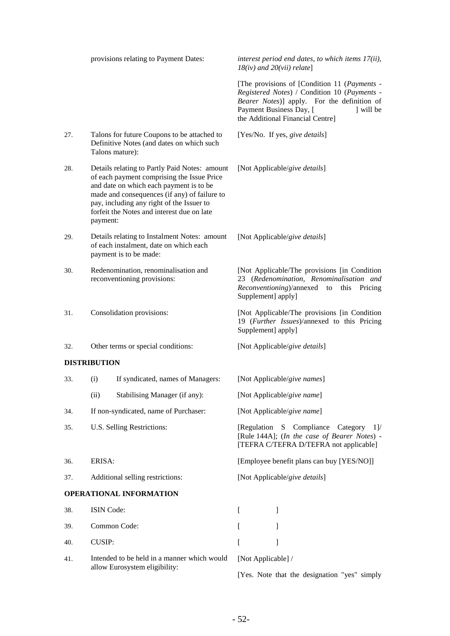|     | provisions relating to Payment Dates:                                                                                                                                                                                                                                                         |                                                                                                             | interest period end dates, to which items 17(ii),<br>$18(iv)$ and $20(vii)$ relate]                                                                                                                                   |  |  |
|-----|-----------------------------------------------------------------------------------------------------------------------------------------------------------------------------------------------------------------------------------------------------------------------------------------------|-------------------------------------------------------------------------------------------------------------|-----------------------------------------------------------------------------------------------------------------------------------------------------------------------------------------------------------------------|--|--|
|     |                                                                                                                                                                                                                                                                                               |                                                                                                             | [The provisions of [Condition 11 (Payments -<br>Registered Notes) / Condition 10 (Payments -<br>Bearer Notes)] apply. For the definition of<br>Payment Business Day, [<br>will be<br>the Additional Financial Centre] |  |  |
| 27. |                                                                                                                                                                                                                                                                                               | Talons for future Coupons to be attached to<br>Definitive Notes (and dates on which such<br>Talons mature): | [Yes/No. If yes, give details]                                                                                                                                                                                        |  |  |
| 28. | Details relating to Partly Paid Notes: amount<br>of each payment comprising the Issue Price<br>and date on which each payment is to be<br>made and consequences (if any) of failure to<br>pay, including any right of the Issuer to<br>forfeit the Notes and interest due on late<br>payment: |                                                                                                             | [Not Applicable/give details]                                                                                                                                                                                         |  |  |
| 29. | Details relating to Instalment Notes: amount<br>of each instalment, date on which each<br>payment is to be made:                                                                                                                                                                              |                                                                                                             | [Not Applicable/give details]                                                                                                                                                                                         |  |  |
| 30. |                                                                                                                                                                                                                                                                                               | Redenomination, renominalisation and<br>reconventioning provisions:                                         | [Not Applicable/The provisions [in Condition]<br>23 (Redenomination, Renominalisation and<br>Reconventioning)/annexed<br>Pricing<br>to<br>this<br>Supplement] apply]                                                  |  |  |
| 31. | Consolidation provisions:                                                                                                                                                                                                                                                                     |                                                                                                             | [Not Applicable/The provisions [in Condition<br>19 (Further Issues)/annexed to this Pricing<br>Supplement] apply]                                                                                                     |  |  |
| 32. |                                                                                                                                                                                                                                                                                               | Other terms or special conditions:                                                                          | [Not Applicable/give details]                                                                                                                                                                                         |  |  |
|     | <b>DISTRIBUTION</b>                                                                                                                                                                                                                                                                           |                                                                                                             |                                                                                                                                                                                                                       |  |  |
| 33. | (i)                                                                                                                                                                                                                                                                                           | If syndicated, names of Managers:                                                                           | [Not Applicable/give names]                                                                                                                                                                                           |  |  |
|     | (ii)                                                                                                                                                                                                                                                                                          | Stabilising Manager (if any):                                                                               | [Not Applicable/give name]                                                                                                                                                                                            |  |  |
| 34. |                                                                                                                                                                                                                                                                                               | If non-syndicated, name of Purchaser:                                                                       | [Not Applicable/give name]                                                                                                                                                                                            |  |  |
| 35. | U.S. Selling Restrictions:                                                                                                                                                                                                                                                                    |                                                                                                             | [Regulation S Compliance Category<br>1V<br>[Rule 144A]; (In the case of Bearer Notes) -<br>[TEFRA C/TEFRA D/TEFRA not applicable]                                                                                     |  |  |
| 36. | ERISA:                                                                                                                                                                                                                                                                                        |                                                                                                             | [Employee benefit plans can buy [YES/NO]]                                                                                                                                                                             |  |  |
| 37. | Additional selling restrictions:                                                                                                                                                                                                                                                              |                                                                                                             | [Not Applicable/give details]                                                                                                                                                                                         |  |  |
|     |                                                                                                                                                                                                                                                                                               | <b>OPERATIONAL INFORMATION</b>                                                                              |                                                                                                                                                                                                                       |  |  |
| 38. | ISIN Code:                                                                                                                                                                                                                                                                                    |                                                                                                             | L<br>1                                                                                                                                                                                                                |  |  |
| 39. |                                                                                                                                                                                                                                                                                               | Common Code:                                                                                                | L<br>]                                                                                                                                                                                                                |  |  |
| 40. | <b>CUSIP:</b>                                                                                                                                                                                                                                                                                 |                                                                                                             | 1<br>L                                                                                                                                                                                                                |  |  |
| 41. |                                                                                                                                                                                                                                                                                               | Intended to be held in a manner which would<br>allow Eurosystem eligibility:                                | [Not Applicable] /                                                                                                                                                                                                    |  |  |

[Yes. Note that the designation "yes" simply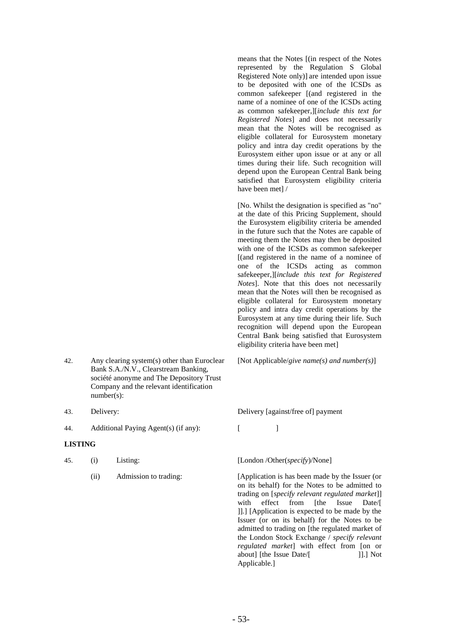- 42. Any clearing system(s) other than Euroclear Bank S.A./N.V., Clearstream Banking, société anonyme and The Depository Trust Company and the relevant identification number(s):
- 
- 44. Additional Paying Agent(s) (if any): [

# **LISTING**

| 45. | (i) | Listing: |
|-----|-----|----------|
|-----|-----|----------|

means that the Notes [(in respect of the Notes represented by the Regulation S Global Registered Note only)] are intended upon issue to be deposited with one of the ICSDs as common safekeeper [(and registered in the name of a nominee of one of the ICSDs acting as common safekeeper,][*include this text for Registered Notes*] and does not necessarily mean that the Notes will be recognised as eligible collateral for Eurosystem monetary policy and intra day credit operations by the Eurosystem either upon issue or at any or all times during their life. Such recognition will depend upon the European Central Bank being satisfied that Eurosystem eligibility criteria have been met] /

[No. Whilst the designation is specified as "no" at the date of this Pricing Supplement, should the Eurosystem eligibility criteria be amended in the future such that the Notes are capable of meeting them the Notes may then be deposited with one of the ICSDs as common safekeeper [(and registered in the name of a nominee of one of the ICSDs acting as common safekeeper,][*include this text for Registered Notes*]. Note that this does not necessarily mean that the Notes will then be recognised as eligible collateral for Eurosystem monetary policy and intra day credit operations by the Eurosystem at any time during their life. Such recognition will depend upon the European Central Bank being satisfied that Eurosystem eligibility criteria have been met]

[Not Applicable/*give name(s) and number(s)*]

43. Delivery: Delivery [against/free of] payment

# [London /Other(*specify*)/None]

(ii) Admission to trading: [Application is has been made by the Issuer (or on its behalf) for the Notes to be admitted to trading on [*specify relevant regulated market*]] with effect from [the Issue Date/[ ]].] [Application is expected to be made by the Issuer (or on its behalf) for the Notes to be admitted to trading on [the regulated market of the London Stock Exchange / *specify relevant regulated market*] with effect from [on or about] [the Issue Date/[ ]].] Not Applicable.]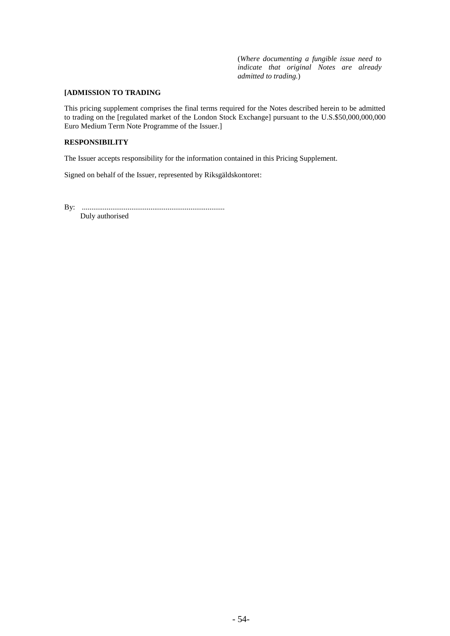(*Where documenting a fungible issue need to indicate that original Notes are already admitted to trading.*)

# **[ADMISSION TO TRADING**

This pricing supplement comprises the final terms required for the Notes described herein to be admitted to trading on the [regulated market of the London Stock Exchange] pursuant to the U.S.\$50,000,000,000 Euro Medium Term Note Programme of the Issuer.]

## **RESPONSIBILITY**

The Issuer accepts responsibility for the information contained in this Pricing Supplement.

Signed on behalf of the Issuer, represented by Riksgäldskontoret:

By: ...........................................................................

Duly authorised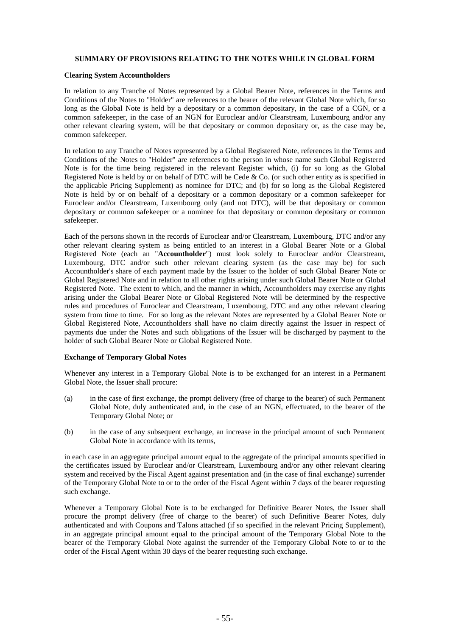# **SUMMARY OF PROVISIONS RELATING TO THE NOTES WHILE IN GLOBAL FORM**

## **Clearing System Accountholders**

In relation to any Tranche of Notes represented by a Global Bearer Note, references in the Terms and Conditions of the Notes to "Holder" are references to the bearer of the relevant Global Note which, for so long as the Global Note is held by a depositary or a common depositary, in the case of a CGN, or a common safekeeper, in the case of an NGN for Euroclear and/or Clearstream, Luxembourg and/or any other relevant clearing system, will be that depositary or common depositary or, as the case may be, common safekeeper.

In relation to any Tranche of Notes represented by a Global Registered Note, references in the Terms and Conditions of the Notes to "Holder" are references to the person in whose name such Global Registered Note is for the time being registered in the relevant Register which, (i) for so long as the Global Registered Note is held by or on behalf of DTC will be Cede & Co. (or such other entity as is specified in the applicable Pricing Supplement) as nominee for DTC; and (b) for so long as the Global Registered Note is held by or on behalf of a depositary or a common depositary or a common safekeeper for Euroclear and/or Clearstream, Luxembourg only (and not DTC), will be that depositary or common depositary or common safekeeper or a nominee for that depositary or common depositary or common safekeeper.

Each of the persons shown in the records of Euroclear and/or Clearstream, Luxembourg, DTC and/or any other relevant clearing system as being entitled to an interest in a Global Bearer Note or a Global Registered Note (each an "**Accountholder**") must look solely to Euroclear and/or Clearstream, Luxembourg, DTC and/or such other relevant clearing system (as the case may be) for such Accountholder's share of each payment made by the Issuer to the holder of such Global Bearer Note or Global Registered Note and in relation to all other rights arising under such Global Bearer Note or Global Registered Note. The extent to which, and the manner in which, Accountholders may exercise any rights arising under the Global Bearer Note or Global Registered Note will be determined by the respective rules and procedures of Euroclear and Clearstream, Luxembourg, DTC and any other relevant clearing system from time to time. For so long as the relevant Notes are represented by a Global Bearer Note or Global Registered Note, Accountholders shall have no claim directly against the Issuer in respect of payments due under the Notes and such obligations of the Issuer will be discharged by payment to the holder of such Global Bearer Note or Global Registered Note.

## **Exchange of Temporary Global Notes**

Whenever any interest in a Temporary Global Note is to be exchanged for an interest in a Permanent Global Note, the Issuer shall procure:

- (a) in the case of first exchange, the prompt delivery (free of charge to the bearer) of such Permanent Global Note, duly authenticated and, in the case of an NGN, effectuated, to the bearer of the Temporary Global Note; or
- (b) in the case of any subsequent exchange, an increase in the principal amount of such Permanent Global Note in accordance with its terms,

in each case in an aggregate principal amount equal to the aggregate of the principal amounts specified in the certificates issued by Euroclear and/or Clearstream, Luxembourg and/or any other relevant clearing system and received by the Fiscal Agent against presentation and (in the case of final exchange) surrender of the Temporary Global Note to or to the order of the Fiscal Agent within 7 days of the bearer requesting such exchange.

Whenever a Temporary Global Note is to be exchanged for Definitive Bearer Notes, the Issuer shall procure the prompt delivery (free of charge to the bearer) of such Definitive Bearer Notes, duly authenticated and with Coupons and Talons attached (if so specified in the relevant Pricing Supplement), in an aggregate principal amount equal to the principal amount of the Temporary Global Note to the bearer of the Temporary Global Note against the surrender of the Temporary Global Note to or to the order of the Fiscal Agent within 30 days of the bearer requesting such exchange.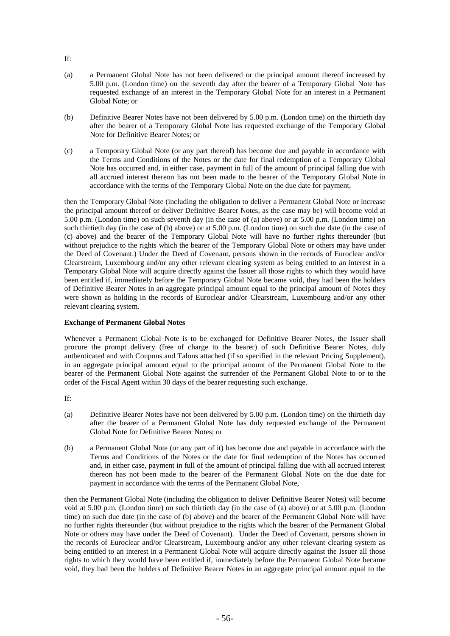- If:
- (a) a Permanent Global Note has not been delivered or the principal amount thereof increased by 5.00 p.m. (London time) on the seventh day after the bearer of a Temporary Global Note has requested exchange of an interest in the Temporary Global Note for an interest in a Permanent Global Note; or
- (b) Definitive Bearer Notes have not been delivered by 5.00 p.m. (London time) on the thirtieth day after the bearer of a Temporary Global Note has requested exchange of the Temporary Global Note for Definitive Bearer Notes; or
- (c) a Temporary Global Note (or any part thereof) has become due and payable in accordance with the Terms and Conditions of the Notes or the date for final redemption of a Temporary Global Note has occurred and, in either case, payment in full of the amount of principal falling due with all accrued interest thereon has not been made to the bearer of the Temporary Global Note in accordance with the terms of the Temporary Global Note on the due date for payment,

then the Temporary Global Note (including the obligation to deliver a Permanent Global Note or increase the principal amount thereof or deliver Definitive Bearer Notes, as the case may be) will become void at 5.00 p.m. (London time) on such seventh day (in the case of (a) above) or at 5.00 p.m. (London time) on such thirtieth day (in the case of (b) above) or at 5.00 p.m. (London time) on such due date (in the case of (c) above) and the bearer of the Temporary Global Note will have no further rights thereunder (but without prejudice to the rights which the bearer of the Temporary Global Note or others may have under the Deed of Covenant.) Under the Deed of Covenant, persons shown in the records of Euroclear and/or Clearstream, Luxembourg and/or any other relevant clearing system as being entitled to an interest in a Temporary Global Note will acquire directly against the Issuer all those rights to which they would have been entitled if, immediately before the Temporary Global Note became void, they had been the holders of Definitive Bearer Notes in an aggregate principal amount equal to the principal amount of Notes they were shown as holding in the records of Euroclear and/or Clearstream, Luxembourg and/or any other relevant clearing system.

# **Exchange of Permanent Global Notes**

Whenever a Permanent Global Note is to be exchanged for Definitive Bearer Notes, the Issuer shall procure the prompt delivery (free of charge to the bearer) of such Definitive Bearer Notes, duly authenticated and with Coupons and Talons attached (if so specified in the relevant Pricing Supplement), in an aggregate principal amount equal to the principal amount of the Permanent Global Note to the bearer of the Permanent Global Note against the surrender of the Permanent Global Note to or to the order of the Fiscal Agent within 30 days of the bearer requesting such exchange.

If:

- (a) Definitive Bearer Notes have not been delivered by 5.00 p.m. (London time) on the thirtieth day after the bearer of a Permanent Global Note has duly requested exchange of the Permanent Global Note for Definitive Bearer Notes; or
- (b) a Permanent Global Note (or any part of it) has become due and payable in accordance with the Terms and Conditions of the Notes or the date for final redemption of the Notes has occurred and, in either case, payment in full of the amount of principal falling due with all accrued interest thereon has not been made to the bearer of the Permanent Global Note on the due date for payment in accordance with the terms of the Permanent Global Note,

then the Permanent Global Note (including the obligation to deliver Definitive Bearer Notes) will become void at 5.00 p.m. (London time) on such thirtieth day (in the case of (a) above) or at 5.00 p.m. (London time) on such due date (in the case of (b) above) and the bearer of the Permanent Global Note will have no further rights thereunder (but without prejudice to the rights which the bearer of the Permanent Global Note or others may have under the Deed of Covenant). Under the Deed of Covenant, persons shown in the records of Euroclear and/or Clearstream, Luxembourg and/or any other relevant clearing system as being entitled to an interest in a Permanent Global Note will acquire directly against the Issuer all those rights to which they would have been entitled if, immediately before the Permanent Global Note became void, they had been the holders of Definitive Bearer Notes in an aggregate principal amount equal to the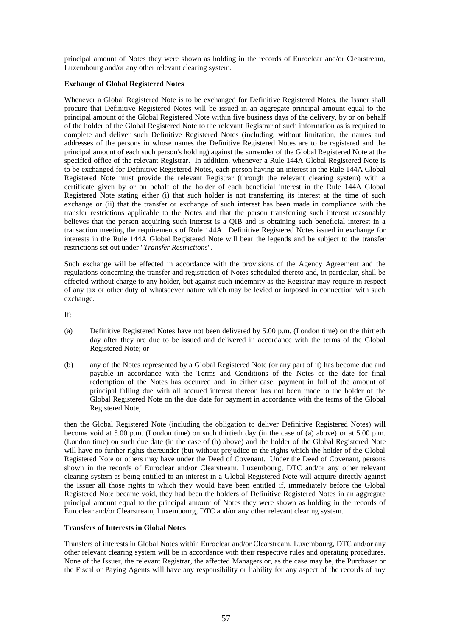principal amount of Notes they were shown as holding in the records of Euroclear and/or Clearstream, Luxembourg and/or any other relevant clearing system.

# **Exchange of Global Registered Notes**

Whenever a Global Registered Note is to be exchanged for Definitive Registered Notes, the Issuer shall procure that Definitive Registered Notes will be issued in an aggregate principal amount equal to the principal amount of the Global Registered Note within five business days of the delivery, by or on behalf of the holder of the Global Registered Note to the relevant Registrar of such information as is required to complete and deliver such Definitive Registered Notes (including, without limitation, the names and addresses of the persons in whose names the Definitive Registered Notes are to be registered and the principal amount of each such person's holding) against the surrender of the Global Registered Note at the specified office of the relevant Registrar. In addition, whenever a Rule 144A Global Registered Note is to be exchanged for Definitive Registered Notes, each person having an interest in the Rule 144A Global Registered Note must provide the relevant Registrar (through the relevant clearing system) with a certificate given by or on behalf of the holder of each beneficial interest in the Rule 144A Global Registered Note stating either (i) that such holder is not transferring its interest at the time of such exchange or (ii) that the transfer or exchange of such interest has been made in compliance with the transfer restrictions applicable to the Notes and that the person transferring such interest reasonably believes that the person acquiring such interest is a QIB and is obtaining such beneficial interest in a transaction meeting the requirements of Rule 144A. Definitive Registered Notes issued in exchange for interests in the Rule 144A Global Registered Note will bear the legends and be subject to the transfer restrictions set out under "*Transfer Restrictions*"*.*

Such exchange will be effected in accordance with the provisions of the Agency Agreement and the regulations concerning the transfer and registration of Notes scheduled thereto and, in particular, shall be effected without charge to any holder, but against such indemnity as the Registrar may require in respect of any tax or other duty of whatsoever nature which may be levied or imposed in connection with such exchange.

If:

- (a) Definitive Registered Notes have not been delivered by 5.00 p.m. (London time) on the thirtieth day after they are due to be issued and delivered in accordance with the terms of the Global Registered Note; or
- (b) any of the Notes represented by a Global Registered Note (or any part of it) has become due and payable in accordance with the Terms and Conditions of the Notes or the date for final redemption of the Notes has occurred and, in either case, payment in full of the amount of principal falling due with all accrued interest thereon has not been made to the holder of the Global Registered Note on the due date for payment in accordance with the terms of the Global Registered Note,

then the Global Registered Note (including the obligation to deliver Definitive Registered Notes) will become void at 5.00 p.m. (London time) on such thirtieth day (in the case of (a) above) or at 5.00 p.m. (London time) on such due date (in the case of (b) above) and the holder of the Global Registered Note will have no further rights thereunder (but without prejudice to the rights which the holder of the Global Registered Note or others may have under the Deed of Covenant. Under the Deed of Covenant, persons shown in the records of Euroclear and/or Clearstream, Luxembourg, DTC and/or any other relevant clearing system as being entitled to an interest in a Global Registered Note will acquire directly against the Issuer all those rights to which they would have been entitled if, immediately before the Global Registered Note became void, they had been the holders of Definitive Registered Notes in an aggregate principal amount equal to the principal amount of Notes they were shown as holding in the records of Euroclear and/or Clearstream, Luxembourg, DTC and/or any other relevant clearing system.

# **Transfers of Interests in Global Notes**

Transfers of interests in Global Notes within Euroclear and/or Clearstream, Luxembourg, DTC and/or any other relevant clearing system will be in accordance with their respective rules and operating procedures. None of the Issuer, the relevant Registrar, the affected Managers or, as the case may be, the Purchaser or the Fiscal or Paying Agents will have any responsibility or liability for any aspect of the records of any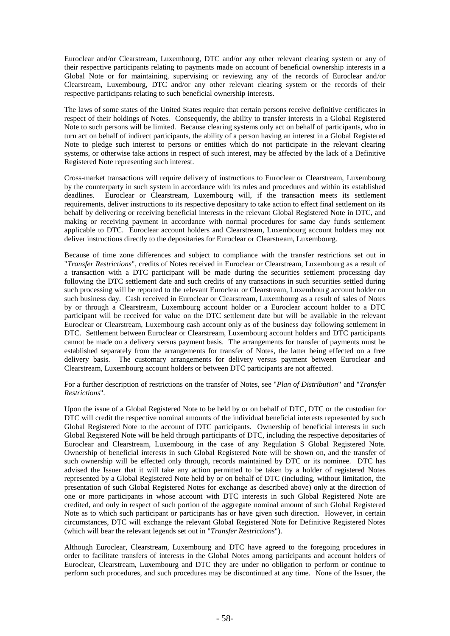Euroclear and/or Clearstream, Luxembourg, DTC and/or any other relevant clearing system or any of their respective participants relating to payments made on account of beneficial ownership interests in a Global Note or for maintaining, supervising or reviewing any of the records of Euroclear and/or Clearstream, Luxembourg, DTC and/or any other relevant clearing system or the records of their respective participants relating to such beneficial ownership interests.

The laws of some states of the United States require that certain persons receive definitive certificates in respect of their holdings of Notes. Consequently, the ability to transfer interests in a Global Registered Note to such persons will be limited. Because clearing systems only act on behalf of participants, who in turn act on behalf of indirect participants, the ability of a person having an interest in a Global Registered Note to pledge such interest to persons or entities which do not participate in the relevant clearing systems, or otherwise take actions in respect of such interest, may be affected by the lack of a Definitive Registered Note representing such interest.

Cross-market transactions will require delivery of instructions to Euroclear or Clearstream, Luxembourg by the counterparty in such system in accordance with its rules and procedures and within its established deadlines. Euroclear or Clearstream, Luxembourg will, if the transaction meets its settlement requirements, deliver instructions to its respective depositary to take action to effect final settlement on its behalf by delivering or receiving beneficial interests in the relevant Global Registered Note in DTC, and making or receiving payment in accordance with normal procedures for same day funds settlement applicable to DTC. Euroclear account holders and Clearstream, Luxembourg account holders may not deliver instructions directly to the depositaries for Euroclear or Clearstream, Luxembourg.

Because of time zone differences and subject to compliance with the transfer restrictions set out in "*Transfer Restrictions*"*,* credits of Notes received in Euroclear or Clearstream, Luxembourg as a result of a transaction with a DTC participant will be made during the securities settlement processing day following the DTC settlement date and such credits of any transactions in such securities settled during such processing will be reported to the relevant Euroclear or Clearstream, Luxembourg account holder on such business day. Cash received in Euroclear or Clearstream, Luxembourg as a result of sales of Notes by or through a Clearstream, Luxembourg account holder or a Euroclear account holder to a DTC participant will be received for value on the DTC settlement date but will be available in the relevant Euroclear or Clearstream, Luxembourg cash account only as of the business day following settlement in DTC. Settlement between Euroclear or Clearstream, Luxembourg account holders and DTC participants cannot be made on a delivery versus payment basis. The arrangements for transfer of payments must be established separately from the arrangements for transfer of Notes, the latter being effected on a free delivery basis. The customary arrangements for delivery versus payment between Euroclear and Clearstream, Luxembourg account holders or between DTC participants are not affected.

For a further description of restrictions on the transfer of Notes, see "*Plan of Distribution*" and "*Transfer Restrictions*"*.*

Upon the issue of a Global Registered Note to be held by or on behalf of DTC, DTC or the custodian for DTC will credit the respective nominal amounts of the individual beneficial interests represented by such Global Registered Note to the account of DTC participants. Ownership of beneficial interests in such Global Registered Note will be held through participants of DTC, including the respective depositaries of Euroclear and Clearstream, Luxembourg in the case of any Regulation S Global Registered Note. Ownership of beneficial interests in such Global Registered Note will be shown on, and the transfer of such ownership will be effected only through, records maintained by DTC or its nominee. DTC has advised the Issuer that it will take any action permitted to be taken by a holder of registered Notes represented by a Global Registered Note held by or on behalf of DTC (including, without limitation, the presentation of such Global Registered Notes for exchange as described above) only at the direction of one or more participants in whose account with DTC interests in such Global Registered Note are credited, and only in respect of such portion of the aggregate nominal amount of such Global Registered Note as to which such participant or participants has or have given such direction. However, in certain circumstances, DTC will exchange the relevant Global Registered Note for Definitive Registered Notes (which will bear the relevant legends set out in "*Transfer Restrictions*").

Although Euroclear, Clearstream, Luxembourg and DTC have agreed to the foregoing procedures in order to facilitate transfers of interests in the Global Notes among participants and account holders of Euroclear, Clearstream, Luxembourg and DTC they are under no obligation to perform or continue to perform such procedures, and such procedures may be discontinued at any time. None of the Issuer, the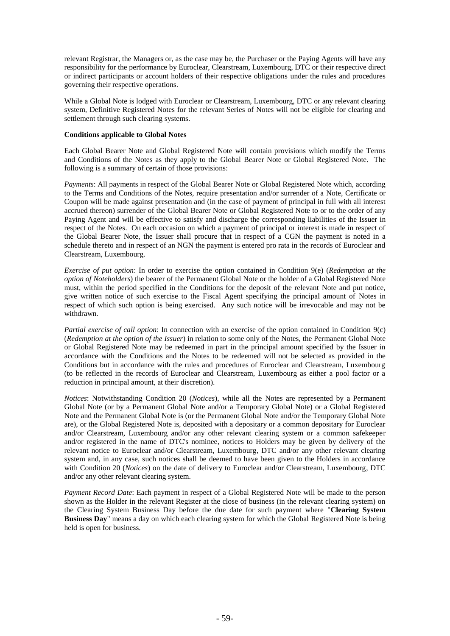relevant Registrar, the Managers or, as the case may be, the Purchaser or the Paying Agents will have any responsibility for the performance by Euroclear, Clearstream, Luxembourg, DTC or their respective direct or indirect participants or account holders of their respective obligations under the rules and procedures governing their respective operations.

While a Global Note is lodged with Euroclear or Clearstream, Luxembourg, DTC or any relevant clearing system, Definitive Registered Notes for the relevant Series of Notes will not be eligible for clearing and settlement through such clearing systems.

## **Conditions applicable to Global Notes**

Each Global Bearer Note and Global Registered Note will contain provisions which modify the Terms and Conditions of the Notes as they apply to the Global Bearer Note or Global Registered Note. The following is a summary of certain of those provisions:

*Payments*: All payments in respect of the Global Bearer Note or Global Registered Note which, according to the Terms and Conditions of the Notes, require presentation and/or surrender of a Note, Certificate or Coupon will be made against presentation and (in the case of payment of principal in full with all interest accrued thereon) surrender of the Global Bearer Note or Global Registered Note to or to the order of any Paying Agent and will be effective to satisfy and discharge the corresponding liabilities of the Issuer in respect of the Notes. On each occasion on which a payment of principal or interest is made in respect of the Global Bearer Note, the Issuer shall procure that in respect of a CGN the payment is noted in a schedule thereto and in respect of an NGN the payment is entered pro rata in the records of Euroclear and Clearstream, Luxembourg.

*Exercise of put option*: In order to exercise the option contained in Condition 9(e) (*Redemption at the option of Noteholders*) the bearer of the Permanent Global Note or the holder of a Global Registered Note must, within the period specified in the Conditions for the deposit of the relevant Note and put notice, give written notice of such exercise to the Fiscal Agent specifying the principal amount of Notes in respect of which such option is being exercised. Any such notice will be irrevocable and may not be withdrawn.

*Partial exercise of call option*: In connection with an exercise of the option contained in Condition 9(c) (*Redemption at the option of the Issuer*) in relation to some only of the Notes, the Permanent Global Note or Global Registered Note may be redeemed in part in the principal amount specified by the Issuer in accordance with the Conditions and the Notes to be redeemed will not be selected as provided in the Conditions but in accordance with the rules and procedures of Euroclear and Clearstream, Luxembourg (to be reflected in the records of Euroclear and Clearstream, Luxembourg as either a pool factor or a reduction in principal amount, at their discretion).

*Notices*: Notwithstanding Condition 20 (*Notices*), while all the Notes are represented by a Permanent Global Note (or by a Permanent Global Note and/or a Temporary Global Note) or a Global Registered Note and the Permanent Global Note is (or the Permanent Global Note and/or the Temporary Global Note are), or the Global Registered Note is, deposited with a depositary or a common depositary for Euroclear and/or Clearstream, Luxembourg and/or any other relevant clearing system or a common safekeeper and/or registered in the name of DTC's nominee, notices to Holders may be given by delivery of the relevant notice to Euroclear and/or Clearstream, Luxembourg, DTC and/or any other relevant clearing system and, in any case, such notices shall be deemed to have been given to the Holders in accordance with Condition 20 (*Notices*) on the date of delivery to Euroclear and/or Clearstream, Luxembourg, DTC and/or any other relevant clearing system.

*Payment Record Date*: Each payment in respect of a Global Registered Note will be made to the person shown as the Holder in the relevant Register at the close of business (in the relevant clearing system) on the Clearing System Business Day before the due date for such payment where "**Clearing System Business Day**" means a day on which each clearing system for which the Global Registered Note is being held is open for business.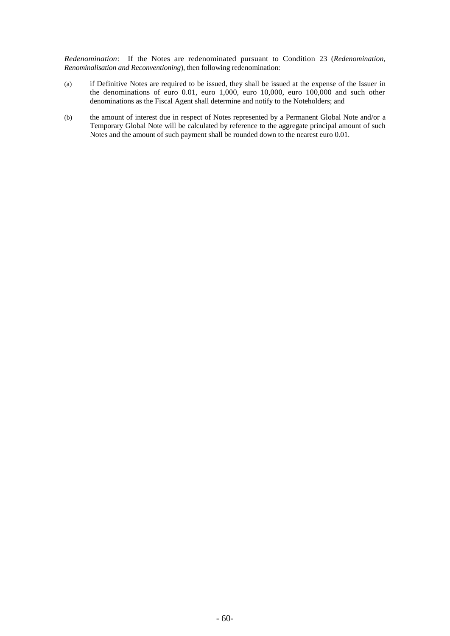*Redenomination*: If the Notes are redenominated pursuant to Condition 23 (*Redenomination, Renominalisation and Reconventioning*), then following redenomination:

- (a) if Definitive Notes are required to be issued, they shall be issued at the expense of the Issuer in the denominations of euro 0.01, euro 1,000, euro 10,000, euro 100,000 and such other denominations as the Fiscal Agent shall determine and notify to the Noteholders; and
- (b) the amount of interest due in respect of Notes represented by a Permanent Global Note and/or a Temporary Global Note will be calculated by reference to the aggregate principal amount of such Notes and the amount of such payment shall be rounded down to the nearest euro 0.01.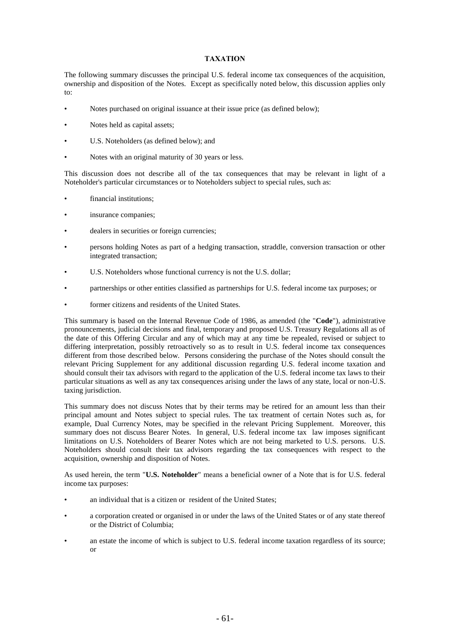# **TAXATION**

The following summary discusses the principal U.S. federal income tax consequences of the acquisition, ownership and disposition of the Notes. Except as specifically noted below, this discussion applies only to:

- Notes purchased on original issuance at their issue price (as defined below);
- Notes held as capital assets;
- U.S. Noteholders (as defined below); and
- Notes with an original maturity of 30 years or less.

This discussion does not describe all of the tax consequences that may be relevant in light of a Noteholder's particular circumstances or to Noteholders subject to special rules, such as:

- financial institutions;
- insurance companies;
- dealers in securities or foreign currencies;
- persons holding Notes as part of a hedging transaction, straddle, conversion transaction or other integrated transaction;
- U.S. Noteholders whose functional currency is not the U.S. dollar;
- partnerships or other entities classified as partnerships for U.S. federal income tax purposes; or
- former citizens and residents of the United States.

This summary is based on the Internal Revenue Code of 1986, as amended (the "**Code**"), administrative pronouncements, judicial decisions and final, temporary and proposed U.S. Treasury Regulations all as of the date of this Offering Circular and any of which may at any time be repealed, revised or subject to differing interpretation, possibly retroactively so as to result in U.S. federal income tax consequences different from those described below. Persons considering the purchase of the Notes should consult the relevant Pricing Supplement for any additional discussion regarding U.S. federal income taxation and should consult their tax advisors with regard to the application of the U.S. federal income tax laws to their particular situations as well as any tax consequences arising under the laws of any state, local or non-U.S. taxing jurisdiction.

This summary does not discuss Notes that by their terms may be retired for an amount less than their principal amount and Notes subject to special rules. The tax treatment of certain Notes such as, for example, Dual Currency Notes, may be specified in the relevant Pricing Supplement. Moreover, this summary does not discuss Bearer Notes. In general, U.S. federal income tax law imposes significant limitations on U.S. Noteholders of Bearer Notes which are not being marketed to U.S. persons. U.S. Noteholders should consult their tax advisors regarding the tax consequences with respect to the acquisition, ownership and disposition of Notes.

As used herein, the term "**U.S. Noteholder**" means a beneficial owner of a Note that is for U.S. federal income tax purposes:

- an individual that is a citizen or resident of the United States;
- a corporation created or organised in or under the laws of the United States or of any state thereof or the District of Columbia;
- an estate the income of which is subject to U.S. federal income taxation regardless of its source; or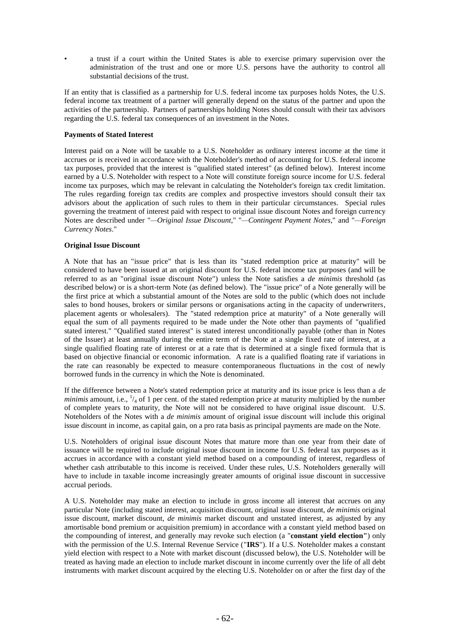• a trust if a court within the United States is able to exercise primary supervision over the administration of the trust and one or more U.S. persons have the authority to control all substantial decisions of the trust.

If an entity that is classified as a partnership for U.S. federal income tax purposes holds Notes, the U.S. federal income tax treatment of a partner will generally depend on the status of the partner and upon the activities of the partnership. Partners of partnerships holding Notes should consult with their tax advisors regarding the U.S. federal tax consequences of an investment in the Notes.

# **Payments of Stated Interest**

Interest paid on a Note will be taxable to a U.S. Noteholder as ordinary interest income at the time it accrues or is received in accordance with the Noteholder's method of accounting for U.S. federal income tax purposes, provided that the interest is "qualified stated interest" (as defined below). Interest income earned by a U.S. Noteholder with respect to a Note will constitute foreign source income for U.S. federal income tax purposes, which may be relevant in calculating the Noteholder's foreign tax credit limitation. The rules regarding foreign tax credits are complex and prospective investors should consult their tax advisors about the application of such rules to them in their particular circumstances. Special rules governing the treatment of interest paid with respect to original issue discount Notes and foreign currency Notes are described under "*—Original Issue Discount*," "*—Contingent Payment Notes*," and "*—Foreign Currency Notes*."

# **Original Issue Discount**

A Note that has an "issue price" that is less than its "stated redemption price at maturity" will be considered to have been issued at an original discount for U.S. federal income tax purposes (and will be referred to as an "original issue discount Note") unless the Note satisfies a *de minimis* threshold (as described below) or is a short-term Note (as defined below). The "issue price" of a Note generally will be the first price at which a substantial amount of the Notes are sold to the public (which does not include sales to bond houses, brokers or similar persons or organisations acting in the capacity of underwriters, placement agents or wholesalers). The "stated redemption price at maturity" of a Note generally will equal the sum of all payments required to be made under the Note other than payments of "qualified stated interest." "Qualified stated interest" is stated interest unconditionally payable (other than in Notes of the Issuer) at least annually during the entire term of the Note at a single fixed rate of interest, at a single qualified floating rate of interest or at a rate that is determined at a single fixed formula that is based on objective financial or economic information. A rate is a qualified floating rate if variations in the rate can reasonably be expected to measure contemporaneous fluctuations in the cost of newly borrowed funds in the currency in which the Note is denominated.

If the difference between a Note's stated redemption price at maturity and its issue price is less than a *de minimis* amount, i.e.,  $\frac{1}{4}$  of 1 per cent. of the stated redemption price at maturity multiplied by the number of complete years to maturity, the Note will not be considered to have original issue discount. U.S. Noteholders of the Notes with a *de minimis* amount of original issue discount will include this original issue discount in income, as capital gain, on a pro rata basis as principal payments are made on the Note.

U.S. Noteholders of original issue discount Notes that mature more than one year from their date of issuance will be required to include original issue discount in income for U.S. federal tax purposes as it accrues in accordance with a constant yield method based on a compounding of interest, regardless of whether cash attributable to this income is received. Under these rules, U.S. Noteholders generally will have to include in taxable income increasingly greater amounts of original issue discount in successive accrual periods.

A U.S. Noteholder may make an election to include in gross income all interest that accrues on any particular Note (including stated interest, acquisition discount, original issue discount, *de minimis* original issue discount, market discount, *de minimis* market discount and unstated interest, as adjusted by any amortisable bond premium or acquisition premium) in accordance with a constant yield method based on the compounding of interest, and generally may revoke such election (a "**constant yield election"**) only with the permission of the U.S. Internal Revenue Service ("**IRS**"). If a U.S. Noteholder makes a constant yield election with respect to a Note with market discount (discussed below), the U.S. Noteholder will be treated as having made an election to include market discount in income currently over the life of all debt instruments with market discount acquired by the electing U.S. Noteholder on or after the first day of the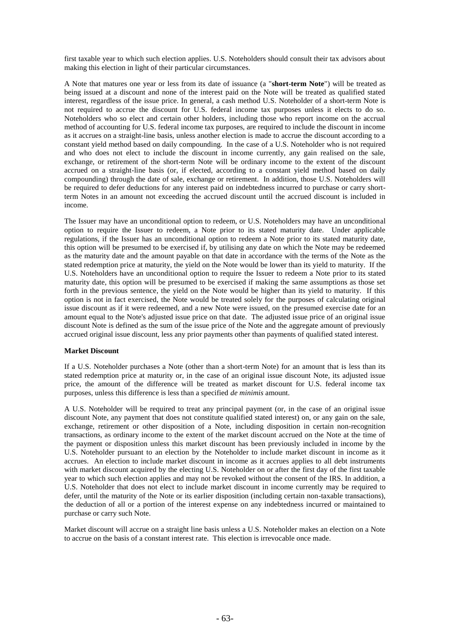first taxable year to which such election applies. U.S. Noteholders should consult their tax advisors about making this election in light of their particular circumstances.

A Note that matures one year or less from its date of issuance (a "**short-term Note**") will be treated as being issued at a discount and none of the interest paid on the Note will be treated as qualified stated interest, regardless of the issue price. In general, a cash method U.S. Noteholder of a short-term Note is not required to accrue the discount for U.S. federal income tax purposes unless it elects to do so. Noteholders who so elect and certain other holders, including those who report income on the accrual method of accounting for U.S. federal income tax purposes, are required to include the discount in income as it accrues on a straight-line basis, unless another election is made to accrue the discount according to a constant yield method based on daily compounding. In the case of a U.S. Noteholder who is not required and who does not elect to include the discount in income currently, any gain realised on the sale, exchange, or retirement of the short-term Note will be ordinary income to the extent of the discount accrued on a straight-line basis (or, if elected, according to a constant yield method based on daily compounding) through the date of sale, exchange or retirement. In addition, those U.S. Noteholders will be required to defer deductions for any interest paid on indebtedness incurred to purchase or carry shortterm Notes in an amount not exceeding the accrued discount until the accrued discount is included in income.

The Issuer may have an unconditional option to redeem, or U.S. Noteholders may have an unconditional option to require the Issuer to redeem, a Note prior to its stated maturity date. Under applicable regulations, if the Issuer has an unconditional option to redeem a Note prior to its stated maturity date, this option will be presumed to be exercised if, by utilising any date on which the Note may be redeemed as the maturity date and the amount payable on that date in accordance with the terms of the Note as the stated redemption price at maturity, the yield on the Note would be lower than its yield to maturity. If the U.S. Noteholders have an unconditional option to require the Issuer to redeem a Note prior to its stated maturity date, this option will be presumed to be exercised if making the same assumptions as those set forth in the previous sentence, the yield on the Note would be higher than its yield to maturity. If this option is not in fact exercised, the Note would be treated solely for the purposes of calculating original issue discount as if it were redeemed, and a new Note were issued, on the presumed exercise date for an amount equal to the Note's adjusted issue price on that date. The adjusted issue price of an original issue discount Note is defined as the sum of the issue price of the Note and the aggregate amount of previously accrued original issue discount, less any prior payments other than payments of qualified stated interest.

# **Market Discount**

If a U.S. Noteholder purchases a Note (other than a short-term Note) for an amount that is less than its stated redemption price at maturity or, in the case of an original issue discount Note, its adjusted issue price, the amount of the difference will be treated as market discount for U.S. federal income tax purposes, unless this difference is less than a specified *de minimis* amount.

A U.S. Noteholder will be required to treat any principal payment (or, in the case of an original issue discount Note, any payment that does not constitute qualified stated interest) on, or any gain on the sale, exchange, retirement or other disposition of a Note, including disposition in certain non-recognition transactions, as ordinary income to the extent of the market discount accrued on the Note at the time of the payment or disposition unless this market discount has been previously included in income by the U.S. Noteholder pursuant to an election by the Noteholder to include market discount in income as it accrues. An election to include market discount in income as it accrues applies to all debt instruments with market discount acquired by the electing U.S. Noteholder on or after the first day of the first taxable year to which such election applies and may not be revoked without the consent of the IRS. In addition, a U.S. Noteholder that does not elect to include market discount in income currently may be required to defer, until the maturity of the Note or its earlier disposition (including certain non-taxable transactions), the deduction of all or a portion of the interest expense on any indebtedness incurred or maintained to purchase or carry such Note.

Market discount will accrue on a straight line basis unless a U.S. Noteholder makes an election on a Note to accrue on the basis of a constant interest rate. This election is irrevocable once made.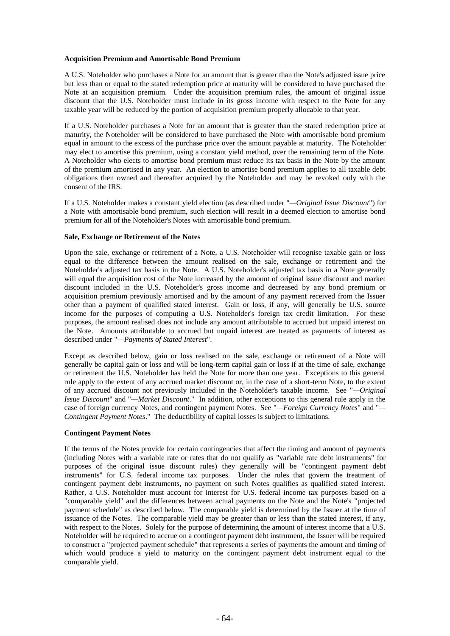## **Acquisition Premium and Amortisable Bond Premium**

A U.S. Noteholder who purchases a Note for an amount that is greater than the Note's adjusted issue price but less than or equal to the stated redemption price at maturity will be considered to have purchased the Note at an acquisition premium. Under the acquisition premium rules, the amount of original issue discount that the U.S. Noteholder must include in its gross income with respect to the Note for any taxable year will be reduced by the portion of acquisition premium properly allocable to that year.

If a U.S. Noteholder purchases a Note for an amount that is greater than the stated redemption price at maturity, the Noteholder will be considered to have purchased the Note with amortisable bond premium equal in amount to the excess of the purchase price over the amount payable at maturity. The Noteholder may elect to amortise this premium, using a constant yield method, over the remaining term of the Note. A Noteholder who elects to amortise bond premium must reduce its tax basis in the Note by the amount of the premium amortised in any year. An election to amortise bond premium applies to all taxable debt obligations then owned and thereafter acquired by the Noteholder and may be revoked only with the consent of the IRS.

If a U.S. Noteholder makes a constant yield election (as described under "*—Original Issue Discount*") for a Note with amortisable bond premium, such election will result in a deemed election to amortise bond premium for all of the Noteholder's Notes with amortisable bond premium.

## **Sale, Exchange or Retirement of the Notes**

Upon the sale, exchange or retirement of a Note, a U.S. Noteholder will recognise taxable gain or loss equal to the difference between the amount realised on the sale, exchange or retirement and the Noteholder's adjusted tax basis in the Note. A U.S. Noteholder's adjusted tax basis in a Note generally will equal the acquisition cost of the Note increased by the amount of original issue discount and market discount included in the U.S. Noteholder's gross income and decreased by any bond premium or acquisition premium previously amortised and by the amount of any payment received from the Issuer other than a payment of qualified stated interest. Gain or loss, if any, will generally be U.S. source income for the purposes of computing a U.S. Noteholder's foreign tax credit limitation. For these purposes, the amount realised does not include any amount attributable to accrued but unpaid interest on the Note. Amounts attributable to accrued but unpaid interest are treated as payments of interest as described under "*—Payments of Stated Interest*".

Except as described below, gain or loss realised on the sale, exchange or retirement of a Note will generally be capital gain or loss and will be long-term capital gain or loss if at the time of sale, exchange or retirement the U.S. Noteholder has held the Note for more than one year. Exceptions to this general rule apply to the extent of any accrued market discount or, in the case of a short-term Note, to the extent of any accrued discount not previously included in the Noteholder's taxable income. See "*—Original Issue Discount*" and "*—Market Discount*." In addition, other exceptions to this general rule apply in the case of foreign currency Notes, and contingent payment Notes. See "*—Foreign Currency Notes*" and "*— Contingent Payment Notes*." The deductibility of capital losses is subject to limitations.

## **Contingent Payment Notes**

If the terms of the Notes provide for certain contingencies that affect the timing and amount of payments (including Notes with a variable rate or rates that do not qualify as "variable rate debt instruments" for purposes of the original issue discount rules) they generally will be "contingent payment debt instruments" for U.S. federal income tax purposes. Under the rules that govern the treatment of contingent payment debt instruments, no payment on such Notes qualifies as qualified stated interest. Rather, a U.S. Noteholder must account for interest for U.S. federal income tax purposes based on a "comparable yield" and the differences between actual payments on the Note and the Note's "projected payment schedule" as described below. The comparable yield is determined by the Issuer at the time of issuance of the Notes. The comparable yield may be greater than or less than the stated interest, if any, with respect to the Notes. Solely for the purpose of determining the amount of interest income that a U.S. Noteholder will be required to accrue on a contingent payment debt instrument, the Issuer will be required to construct a "projected payment schedule" that represents a series of payments the amount and timing of which would produce a yield to maturity on the contingent payment debt instrument equal to the comparable yield.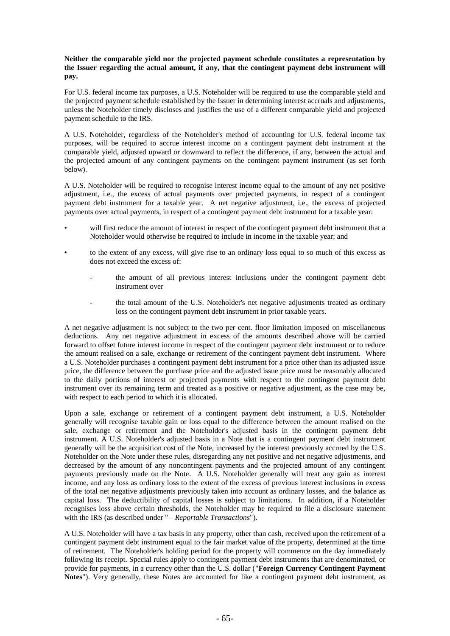# **Neither the comparable yield nor the projected payment schedule constitutes a representation by the Issuer regarding the actual amount, if any, that the contingent payment debt instrument will pay.**

For U.S. federal income tax purposes, a U.S. Noteholder will be required to use the comparable yield and the projected payment schedule established by the Issuer in determining interest accruals and adjustments, unless the Noteholder timely discloses and justifies the use of a different comparable yield and projected payment schedule to the IRS.

A U.S. Noteholder, regardless of the Noteholder's method of accounting for U.S. federal income tax purposes, will be required to accrue interest income on a contingent payment debt instrument at the comparable yield, adjusted upward or downward to reflect the difference, if any, between the actual and the projected amount of any contingent payments on the contingent payment instrument (as set forth below).

A U.S. Noteholder will be required to recognise interest income equal to the amount of any net positive adjustment, i.e., the excess of actual payments over projected payments, in respect of a contingent payment debt instrument for a taxable year. A net negative adjustment, i.e., the excess of projected payments over actual payments, in respect of a contingent payment debt instrument for a taxable year:

- will first reduce the amount of interest in respect of the contingent payment debt instrument that a Noteholder would otherwise be required to include in income in the taxable year; and
- to the extent of any excess, will give rise to an ordinary loss equal to so much of this excess as does not exceed the excess of:
	- the amount of all previous interest inclusions under the contingent payment debt instrument over
	- the total amount of the U.S. Noteholder's net negative adjustments treated as ordinary loss on the contingent payment debt instrument in prior taxable years.

A net negative adjustment is not subject to the two per cent. floor limitation imposed on miscellaneous deductions. Any net negative adjustment in excess of the amounts described above will be carried forward to offset future interest income in respect of the contingent payment debt instrument or to reduce the amount realised on a sale, exchange or retirement of the contingent payment debt instrument. Where a U.S. Noteholder purchases a contingent payment debt instrument for a price other than its adjusted issue price, the difference between the purchase price and the adjusted issue price must be reasonably allocated to the daily portions of interest or projected payments with respect to the contingent payment debt instrument over its remaining term and treated as a positive or negative adjustment, as the case may be, with respect to each period to which it is allocated.

Upon a sale, exchange or retirement of a contingent payment debt instrument, a U.S. Noteholder generally will recognise taxable gain or loss equal to the difference between the amount realised on the sale, exchange or retirement and the Noteholder's adjusted basis in the contingent payment debt instrument. A U.S. Noteholder's adjusted basis in a Note that is a contingent payment debt instrument generally will be the acquisition cost of the Note, increased by the interest previously accrued by the U.S. Noteholder on the Note under these rules, disregarding any net positive and net negative adjustments, and decreased by the amount of any noncontingent payments and the projected amount of any contingent payments previously made on the Note. A U.S. Noteholder generally will treat any gain as interest income, and any loss as ordinary loss to the extent of the excess of previous interest inclusions in excess of the total net negative adjustments previously taken into account as ordinary losses, and the balance as capital loss. The deductibility of capital losses is subject to limitations. In addition, if a Noteholder recognises loss above certain thresholds, the Noteholder may be required to file a disclosure statement with the IRS (as described under "*—Reportable Transactions*").

A U.S. Noteholder will have a tax basis in any property, other than cash, received upon the retirement of a contingent payment debt instrument equal to the fair market value of the property, determined at the time of retirement. The Noteholder's holding period for the property will commence on the day immediately following its receipt. Special rules apply to contingent payment debt instruments that are denominated, or provide for payments, in a currency other than the U.S. dollar ("**Foreign Currency Contingent Payment Notes**"). Very generally, these Notes are accounted for like a contingent payment debt instrument, as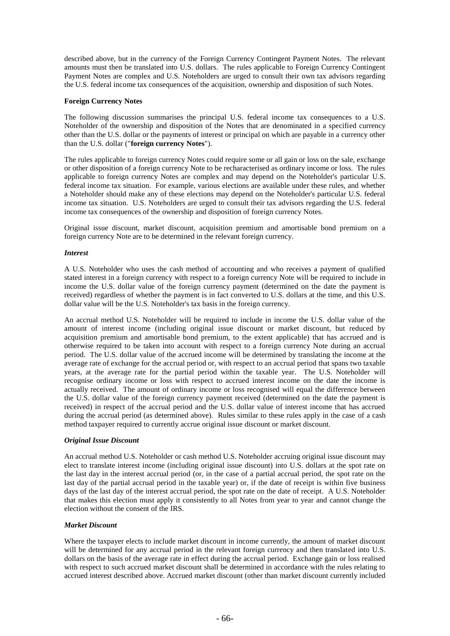described above, but in the currency of the Foreign Currency Contingent Payment Notes. The relevant amounts must then be translated into U.S. dollars. The rules applicable to Foreign Currency Contingent Payment Notes are complex and U.S. Noteholders are urged to consult their own tax advisors regarding the U.S. federal income tax consequences of the acquisition, ownership and disposition of such Notes.

## **Foreign Currency Notes**

The following discussion summarises the principal U.S. federal income tax consequences to a U.S. Noteholder of the ownership and disposition of the Notes that are denominated in a specified currency other than the U.S. dollar or the payments of interest or principal on which are payable in a currency other than the U.S. dollar ("**foreign currency Notes**").

The rules applicable to foreign currency Notes could require some or all gain or loss on the sale, exchange or other disposition of a foreign currency Note to be recharacterised as ordinary income or loss. The rules applicable to foreign currency Notes are complex and may depend on the Noteholder's particular U.S. federal income tax situation. For example, various elections are available under these rules, and whether a Noteholder should make any of these elections may depend on the Noteholder's particular U.S. federal income tax situation. U.S. Noteholders are urged to consult their tax advisors regarding the U.S. federal income tax consequences of the ownership and disposition of foreign currency Notes.

Original issue discount, market discount, acquisition premium and amortisable bond premium on a foreign currency Note are to be determined in the relevant foreign currency.

## *Interest*

A U.S. Noteholder who uses the cash method of accounting and who receives a payment of qualified stated interest in a foreign currency with respect to a foreign currency Note will be required to include in income the U.S. dollar value of the foreign currency payment (determined on the date the payment is received) regardless of whether the payment is in fact converted to U.S. dollars at the time, and this U.S. dollar value will be the U.S. Noteholder's tax basis in the foreign currency.

An accrual method U.S. Noteholder will be required to include in income the U.S. dollar value of the amount of interest income (including original issue discount or market discount, but reduced by acquisition premium and amortisable bond premium, to the extent applicable) that has accrued and is otherwise required to be taken into account with respect to a foreign currency Note during an accrual period. The U.S. dollar value of the accrued income will be determined by translating the income at the average rate of exchange for the accrual period or, with respect to an accrual period that spans two taxable years, at the average rate for the partial period within the taxable year. The U.S. Noteholder will recognise ordinary income or loss with respect to accrued interest income on the date the income is actually received. The amount of ordinary income or loss recognised will equal the difference between the U.S. dollar value of the foreign currency payment received (determined on the date the payment is received) in respect of the accrual period and the U.S. dollar value of interest income that has accrued during the accrual period (as determined above). Rules similar to these rules apply in the case of a cash method taxpayer required to currently accrue original issue discount or market discount.

## *Original Issue Discount*

An accrual method U.S. Noteholder or cash method U.S. Noteholder accruing original issue discount may elect to translate interest income (including original issue discount) into U.S. dollars at the spot rate on the last day in the interest accrual period (or, in the case of a partial accrual period, the spot rate on the last day of the partial accrual period in the taxable year) or, if the date of receipt is within five business days of the last day of the interest accrual period, the spot rate on the date of receipt. A U.S. Noteholder that makes this election must apply it consistently to all Notes from year to year and cannot change the election without the consent of the IRS.

## *Market Discount*

Where the taxpayer elects to include market discount in income currently, the amount of market discount will be determined for any accrual period in the relevant foreign currency and then translated into U.S. dollars on the basis of the average rate in effect during the accrual period. Exchange gain or loss realised with respect to such accrued market discount shall be determined in accordance with the rules relating to accrued interest described above. Accrued market discount (other than market discount currently included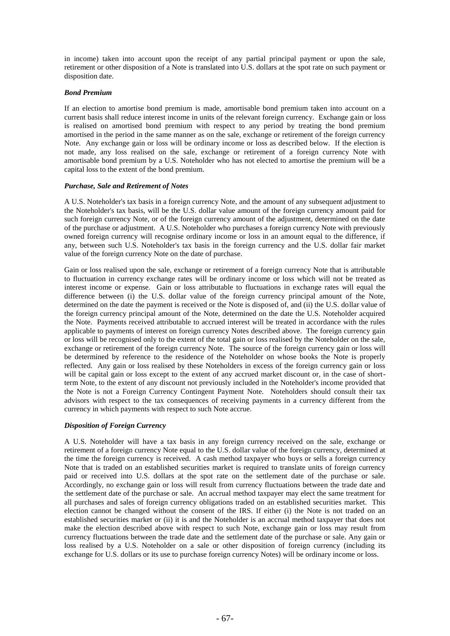in income) taken into account upon the receipt of any partial principal payment or upon the sale, retirement or other disposition of a Note is translated into U.S. dollars at the spot rate on such payment or disposition date.

## *Bond Premium*

If an election to amortise bond premium is made, amortisable bond premium taken into account on a current basis shall reduce interest income in units of the relevant foreign currency. Exchange gain or loss is realised on amortised bond premium with respect to any period by treating the bond premium amortised in the period in the same manner as on the sale, exchange or retirement of the foreign currency Note. Any exchange gain or loss will be ordinary income or loss as described below. If the election is not made, any loss realised on the sale, exchange or retirement of a foreign currency Note with amortisable bond premium by a U.S. Noteholder who has not elected to amortise the premium will be a capital loss to the extent of the bond premium.

## *Purchase, Sale and Retirement of Notes*

A U.S. Noteholder's tax basis in a foreign currency Note, and the amount of any subsequent adjustment to the Noteholder's tax basis, will be the U.S. dollar value amount of the foreign currency amount paid for such foreign currency Note, or of the foreign currency amount of the adjustment, determined on the date of the purchase or adjustment. A U.S. Noteholder who purchases a foreign currency Note with previously owned foreign currency will recognise ordinary income or loss in an amount equal to the difference, if any, between such U.S. Noteholder's tax basis in the foreign currency and the U.S. dollar fair market value of the foreign currency Note on the date of purchase.

Gain or loss realised upon the sale, exchange or retirement of a foreign currency Note that is attributable to fluctuation in currency exchange rates will be ordinary income or loss which will not be treated as interest income or expense. Gain or loss attributable to fluctuations in exchange rates will equal the difference between (i) the U.S. dollar value of the foreign currency principal amount of the Note, determined on the date the payment is received or the Note is disposed of, and (ii) the U.S. dollar value of the foreign currency principal amount of the Note, determined on the date the U.S. Noteholder acquired the Note. Payments received attributable to accrued interest will be treated in accordance with the rules applicable to payments of interest on foreign currency Notes described above. The foreign currency gain or loss will be recognised only to the extent of the total gain or loss realised by the Noteholder on the sale, exchange or retirement of the foreign currency Note. The source of the foreign currency gain or loss will be determined by reference to the residence of the Noteholder on whose books the Note is properly reflected. Any gain or loss realised by these Noteholders in excess of the foreign currency gain or loss will be capital gain or loss except to the extent of any accrued market discount or, in the case of shortterm Note, to the extent of any discount not previously included in the Noteholder's income provided that the Note is not a Foreign Currency Contingent Payment Note. Noteholders should consult their tax advisors with respect to the tax consequences of receiving payments in a currency different from the currency in which payments with respect to such Note accrue.

# *Disposition of Foreign Currency*

A U.S. Noteholder will have a tax basis in any foreign currency received on the sale, exchange or retirement of a foreign currency Note equal to the U.S. dollar value of the foreign currency, determined at the time the foreign currency is received. A cash method taxpayer who buys or sells a foreign currency Note that is traded on an established securities market is required to translate units of foreign currency paid or received into U.S. dollars at the spot rate on the settlement date of the purchase or sale. Accordingly, no exchange gain or loss will result from currency fluctuations between the trade date and the settlement date of the purchase or sale. An accrual method taxpayer may elect the same treatment for all purchases and sales of foreign currency obligations traded on an established securities market. This election cannot be changed without the consent of the IRS. If either (i) the Note is not traded on an established securities market or (ii) it is and the Noteholder is an accrual method taxpayer that does not make the election described above with respect to such Note, exchange gain or loss may result from currency fluctuations between the trade date and the settlement date of the purchase or sale. Any gain or loss realised by a U.S. Noteholder on a sale or other disposition of foreign currency (including its exchange for U.S. dollars or its use to purchase foreign currency Notes) will be ordinary income or loss.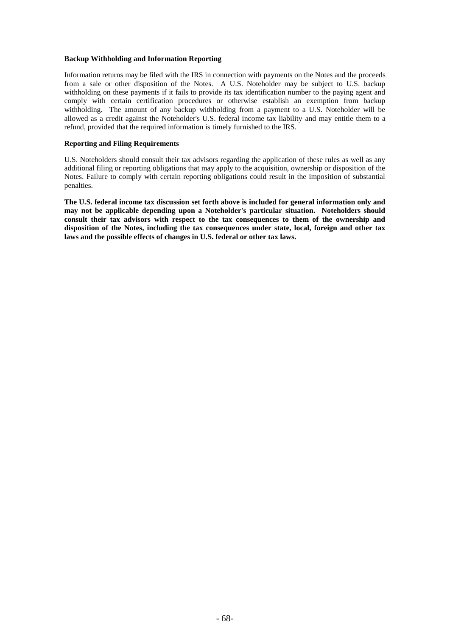## **Backup Withholding and Information Reporting**

Information returns may be filed with the IRS in connection with payments on the Notes and the proceeds from a sale or other disposition of the Notes. A U.S. Noteholder may be subject to U.S. backup withholding on these payments if it fails to provide its tax identification number to the paying agent and comply with certain certification procedures or otherwise establish an exemption from backup withholding. The amount of any backup withholding from a payment to a U.S. Noteholder will be allowed as a credit against the Noteholder's U.S. federal income tax liability and may entitle them to a refund, provided that the required information is timely furnished to the IRS.

## **Reporting and Filing Requirements**

U.S. Noteholders should consult their tax advisors regarding the application of these rules as well as any additional filing or reporting obligations that may apply to the acquisition, ownership or disposition of the Notes. Failure to comply with certain reporting obligations could result in the imposition of substantial penalties.

**The U.S. federal income tax discussion set forth above is included for general information only and may not be applicable depending upon a Noteholder's particular situation. Noteholders should consult their tax advisors with respect to the tax consequences to them of the ownership and disposition of the Notes, including the tax consequences under state, local, foreign and other tax laws and the possible effects of changes in U.S. federal or other tax laws.**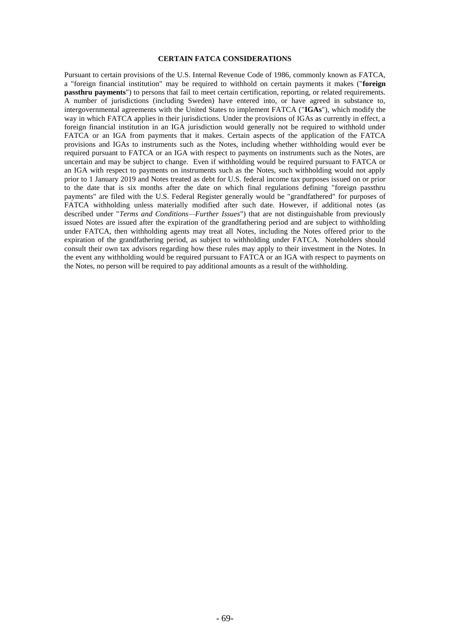#### **CERTAIN FATCA CONSIDERATIONS**

Pursuant to certain provisions of the U.S. Internal Revenue Code of 1986, commonly known as FATCA, a "foreign financial institution" may be required to withhold on certain payments it makes ("**foreign passthru payments**") to persons that fail to meet certain certification, reporting, or related requirements. A number of jurisdictions (including Sweden) have entered into, or have agreed in substance to, intergovernmental agreements with the United States to implement FATCA ("**IGAs**"), which modify the way in which FATCA applies in their jurisdictions. Under the provisions of IGAs as currently in effect, a foreign financial institution in an IGA jurisdiction would generally not be required to withhold under FATCA or an IGA from payments that it makes. Certain aspects of the application of the FATCA provisions and IGAs to instruments such as the Notes, including whether withholding would ever be required pursuant to FATCA or an IGA with respect to payments on instruments such as the Notes, are uncertain and may be subject to change. Even if withholding would be required pursuant to FATCA or an IGA with respect to payments on instruments such as the Notes, such withholding would not apply prior to 1 January 2019 and Notes treated as debt for U.S. federal income tax purposes issued on or prior to the date that is six months after the date on which final regulations defining "foreign passthru payments" are filed with the U.S. Federal Register generally would be "grandfathered" for purposes of FATCA withholding unless materially modified after such date. However, if additional notes (as described under "*Terms and Conditions—Further Issues*") that are not distinguishable from previously issued Notes are issued after the expiration of the grandfathering period and are subject to withholding under FATCA, then withholding agents may treat all Notes, including the Notes offered prior to the expiration of the grandfathering period, as subject to withholding under FATCA. Noteholders should consult their own tax advisors regarding how these rules may apply to their investment in the Notes. In the event any withholding would be required pursuant to FATCA or an IGA with respect to payments on the Notes, no person will be required to pay additional amounts as a result of the withholding.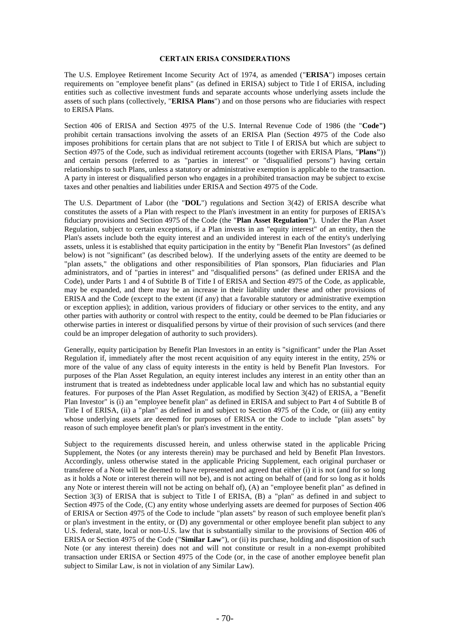#### **CERTAIN ERISA CONSIDERATIONS**

The U.S. Employee Retirement Income Security Act of 1974, as amended ("**ERISA**") imposes certain requirements on "employee benefit plans" (as defined in ERISA) subject to Title I of ERISA, including entities such as collective investment funds and separate accounts whose underlying assets include the assets of such plans (collectively, "**ERISA Plans**") and on those persons who are fiduciaries with respect to ERISA Plans.

Section 406 of ERISA and Section 4975 of the U.S. Internal Revenue Code of 1986 (the "**Code")** prohibit certain transactions involving the assets of an ERISA Plan (Section 4975 of the Code also imposes prohibitions for certain plans that are not subject to Title I of ERISA but which are subject to Section 4975 of the Code, such as individual retirement accounts (together with ERISA Plans, "**Plans"**)) and certain persons (referred to as "parties in interest" or "disqualified persons") having certain relationships to such Plans, unless a statutory or administrative exemption is applicable to the transaction. A party in interest or disqualified person who engages in a prohibited transaction may be subject to excise taxes and other penalties and liabilities under ERISA and Section 4975 of the Code.

The U.S. Department of Labor (the "**DOL**") regulations and Section 3(42) of ERISA describe what constitutes the assets of a Plan with respect to the Plan's investment in an entity for purposes of ERISA's fiduciary provisions and Section 4975 of the Code (the "**Plan Asset Regulation"**). Under the Plan Asset Regulation, subject to certain exceptions, if a Plan invests in an "equity interest" of an entity, then the Plan's assets include both the equity interest and an undivided interest in each of the entity's underlying assets, unless it is established that equity participation in the entity by "Benefit Plan Investors" (as defined below) is not "significant" (as described below). If the underlying assets of the entity are deemed to be "plan assets," the obligations and other responsibilities of Plan sponsors, Plan fiduciaries and Plan administrators, and of "parties in interest" and "disqualified persons" (as defined under ERISA and the Code), under Parts 1 and 4 of Subtitle B of Title I of ERISA and Section 4975 of the Code, as applicable, may be expanded, and there may be an increase in their liability under these and other provisions of ERISA and the Code (except to the extent (if any) that a favorable statutory or administrative exemption or exception applies); in addition, various providers of fiduciary or other services to the entity, and any other parties with authority or control with respect to the entity, could be deemed to be Plan fiduciaries or otherwise parties in interest or disqualified persons by virtue of their provision of such services (and there could be an improper delegation of authority to such providers).

Generally, equity participation by Benefit Plan Investors in an entity is "significant" under the Plan Asset Regulation if, immediately after the most recent acquisition of any equity interest in the entity, 25% or more of the value of any class of equity interests in the entity is held by Benefit Plan Investors. For purposes of the Plan Asset Regulation, an equity interest includes any interest in an entity other than an instrument that is treated as indebtedness under applicable local law and which has no substantial equity features. For purposes of the Plan Asset Regulation, as modified by Section 3(42) of ERISA, a "Benefit Plan Investor" is (i) an "employee benefit plan" as defined in ERISA and subject to Part 4 of Subtitle B of Title I of ERISA, (ii) a "plan" as defined in and subject to Section 4975 of the Code, or (iii) any entity whose underlying assets are deemed for purposes of ERISA or the Code to include "plan assets" by reason of such employee benefit plan's or plan's investment in the entity.

Subject to the requirements discussed herein, and unless otherwise stated in the applicable Pricing Supplement, the Notes (or any interests therein) may be purchased and held by Benefit Plan Investors. Accordingly, unless otherwise stated in the applicable Pricing Supplement, each original purchaser or transferee of a Note will be deemed to have represented and agreed that either (i) it is not (and for so long as it holds a Note or interest therein will not be), and is not acting on behalf of (and for so long as it holds any Note or interest therein will not be acting on behalf of), (A) an "employee benefit plan" as defined in Section 3(3) of ERISA that is subject to Title I of ERISA, (B) a "plan" as defined in and subject to Section 4975 of the Code, (C) any entity whose underlying assets are deemed for purposes of Section 406 of ERISA or Section 4975 of the Code to include "plan assets" by reason of such employee benefit plan's or plan's investment in the entity, or (D) any governmental or other employee benefit plan subject to any U.S. federal, state, local or non-U.S. law that is substantially similar to the provisions of Section 406 of ERISA or Section 4975 of the Code ("**Similar Law**"), or (ii) its purchase, holding and disposition of such Note (or any interest therein) does not and will not constitute or result in a non-exempt prohibited transaction under ERISA or Section 4975 of the Code (or, in the case of another employee benefit plan subject to Similar Law, is not in violation of any Similar Law).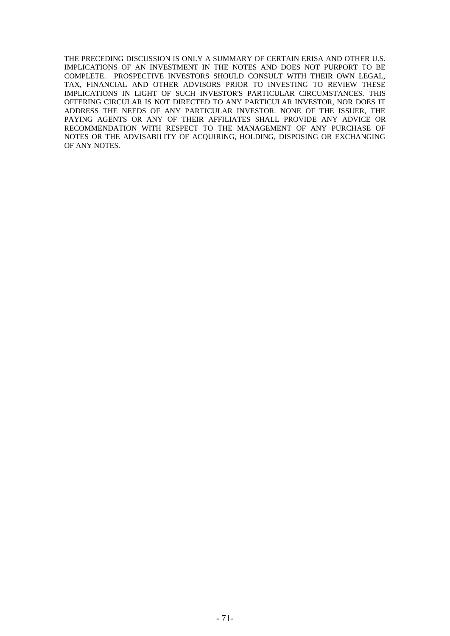THE PRECEDING DISCUSSION IS ONLY A SUMMARY OF CERTAIN ERISA AND OTHER U.S. IMPLICATIONS OF AN INVESTMENT IN THE NOTES AND DOES NOT PURPORT TO BE COMPLETE. PROSPECTIVE INVESTORS SHOULD CONSULT WITH THEIR OWN LEGAL, TAX, FINANCIAL AND OTHER ADVISORS PRIOR TO INVESTING TO REVIEW THESE IMPLICATIONS IN LIGHT OF SUCH INVESTOR'S PARTICULAR CIRCUMSTANCES. THIS OFFERING CIRCULAR IS NOT DIRECTED TO ANY PARTICULAR INVESTOR, NOR DOES IT ADDRESS THE NEEDS OF ANY PARTICULAR INVESTOR. NONE OF THE ISSUER, THE PAYING AGENTS OR ANY OF THEIR AFFILIATES SHALL PROVIDE ANY ADVICE OR RECOMMENDATION WITH RESPECT TO THE MANAGEMENT OF ANY PURCHASE OF NOTES OR THE ADVISABILITY OF ACQUIRING, HOLDING, DISPOSING OR EXCHANGING OF ANY NOTES.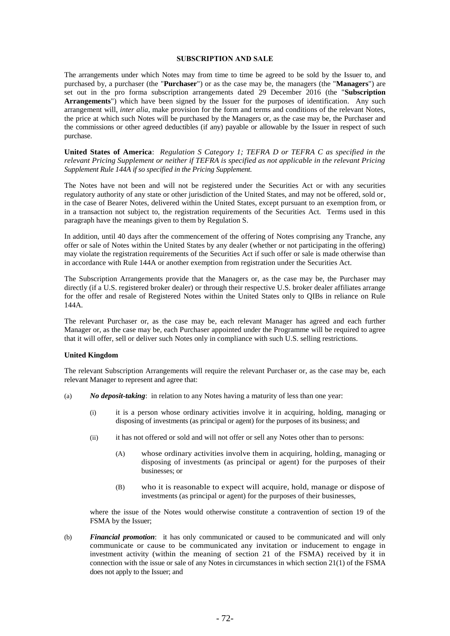#### **SUBSCRIPTION AND SALE**

The arrangements under which Notes may from time to time be agreed to be sold by the Issuer to, and purchased by, a purchaser (the "**Purchaser**") or as the case may be, the managers (the "**Managers**") are set out in the pro forma subscription arrangements dated 29 December 2016 (the "**Subscription Arrangements**") which have been signed by the Issuer for the purposes of identification. Any such arrangement will, *inter alia*, make provision for the form and terms and conditions of the relevant Notes, the price at which such Notes will be purchased by the Managers or, as the case may be, the Purchaser and the commissions or other agreed deductibles (if any) payable or allowable by the Issuer in respect of such purchase.

**United States of America**: *Regulation S Category 1; TEFRA D or TEFRA C as specified in the relevant Pricing Supplement or neither if TEFRA is specified as not applicable in the relevant Pricing Supplement Rule 144A if so specified in the Pricing Supplement.*

The Notes have not been and will not be registered under the Securities Act or with any securities regulatory authority of any state or other jurisdiction of the United States, and may not be offered, sold or, in the case of Bearer Notes, delivered within the United States, except pursuant to an exemption from, or in a transaction not subject to, the registration requirements of the Securities Act. Terms used in this paragraph have the meanings given to them by Regulation S.

In addition, until 40 days after the commencement of the offering of Notes comprising any Tranche, any offer or sale of Notes within the United States by any dealer (whether or not participating in the offering) may violate the registration requirements of the Securities Act if such offer or sale is made otherwise than in accordance with Rule 144A or another exemption from registration under the Securities Act.

The Subscription Arrangements provide that the Managers or, as the case may be, the Purchaser may directly (if a U.S. registered broker dealer) or through their respective U.S. broker dealer affiliates arrange for the offer and resale of Registered Notes within the United States only to QIBs in reliance on Rule 144A.

The relevant Purchaser or, as the case may be, each relevant Manager has agreed and each further Manager or, as the case may be, each Purchaser appointed under the Programme will be required to agree that it will offer, sell or deliver such Notes only in compliance with such U.S. selling restrictions.

#### **United Kingdom**

The relevant Subscription Arrangements will require the relevant Purchaser or, as the case may be, each relevant Manager to represent and agree that:

- (a) *No deposit-taking*: in relation to any Notes having a maturity of less than one year:
	- (i) it is a person whose ordinary activities involve it in acquiring, holding, managing or disposing of investments (as principal or agent) for the purposes of its business; and
	- (ii) it has not offered or sold and will not offer or sell any Notes other than to persons:
		- (A) whose ordinary activities involve them in acquiring, holding, managing or disposing of investments (as principal or agent) for the purposes of their businesses; or
		- (B) who it is reasonable to expect will acquire, hold, manage or dispose of investments (as principal or agent) for the purposes of their businesses,

where the issue of the Notes would otherwise constitute a contravention of section 19 of the FSMA by the Issuer;

(b) *Financial promotion*: it has only communicated or caused to be communicated and will only communicate or cause to be communicated any invitation or inducement to engage in investment activity (within the meaning of section 21 of the FSMA) received by it in connection with the issue or sale of any Notes in circumstances in which section 21(1) of the FSMA does not apply to the Issuer; and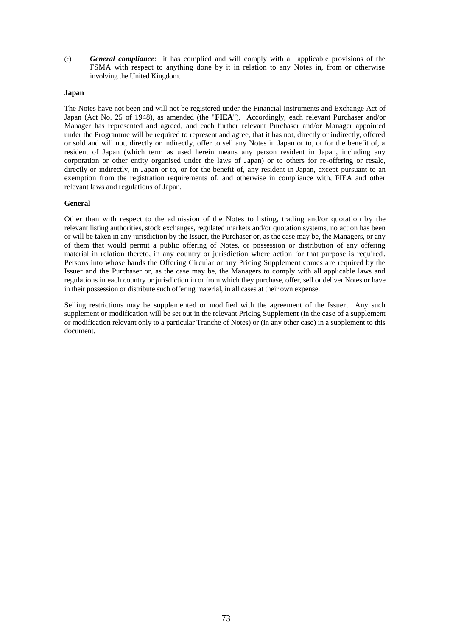(c) *General compliance*: it has complied and will comply with all applicable provisions of the FSMA with respect to anything done by it in relation to any Notes in, from or otherwise involving the United Kingdom.

## **Japan**

The Notes have not been and will not be registered under the Financial Instruments and Exchange Act of Japan (Act No. 25 of 1948), as amended (the "**FIEA**"). Accordingly, each relevant Purchaser and/or Manager has represented and agreed, and each further relevant Purchaser and/or Manager appointed under the Programme will be required to represent and agree, that it has not, directly or indirectly, offered or sold and will not, directly or indirectly, offer to sell any Notes in Japan or to, or for the benefit of, a resident of Japan (which term as used herein means any person resident in Japan, including any corporation or other entity organised under the laws of Japan) or to others for re-offering or resale, directly or indirectly, in Japan or to, or for the benefit of, any resident in Japan, except pursuant to an exemption from the registration requirements of, and otherwise in compliance with, FIEA and other relevant laws and regulations of Japan.

### **General**

Other than with respect to the admission of the Notes to listing, trading and/or quotation by the relevant listing authorities, stock exchanges, regulated markets and/or quotation systems, no action has been or will be taken in any jurisdiction by the Issuer, the Purchaser or, as the case may be, the Managers, or any of them that would permit a public offering of Notes, or possession or distribution of any offering material in relation thereto, in any country or jurisdiction where action for that purpose is required. Persons into whose hands the Offering Circular or any Pricing Supplement comes are required by the Issuer and the Purchaser or, as the case may be, the Managers to comply with all applicable laws and regulations in each country or jurisdiction in or from which they purchase, offer, sell or deliver Notes or have in their possession or distribute such offering material, in all cases at their own expense.

Selling restrictions may be supplemented or modified with the agreement of the Issuer. Any such supplement or modification will be set out in the relevant Pricing Supplement (in the case of a supplement or modification relevant only to a particular Tranche of Notes) or (in any other case) in a supplement to this document.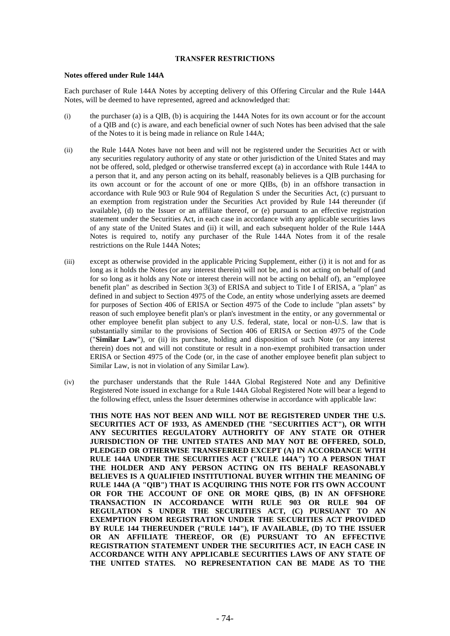#### **TRANSFER RESTRICTIONS**

#### **Notes offered under Rule 144A**

Each purchaser of Rule 144A Notes by accepting delivery of this Offering Circular and the Rule 144A Notes, will be deemed to have represented, agreed and acknowledged that:

- (i) the purchaser (a) is a QIB, (b) is acquiring the 144A Notes for its own account or for the account of a QIB and (c) is aware, and each beneficial owner of such Notes has been advised that the sale of the Notes to it is being made in reliance on Rule 144A;
- (ii) the Rule 144A Notes have not been and will not be registered under the Securities Act or with any securities regulatory authority of any state or other jurisdiction of the United States and may not be offered, sold, pledged or otherwise transferred except (a) in accordance with Rule 144A to a person that it, and any person acting on its behalf, reasonably believes is a QIB purchasing for its own account or for the account of one or more QIBs, (b) in an offshore transaction in accordance with Rule 903 or Rule 904 of Regulation S under the Securities Act, (c) pursuant to an exemption from registration under the Securities Act provided by Rule 144 thereunder (if available), (d) to the Issuer or an affiliate thereof, or (e) pursuant to an effective registration statement under the Securities Act, in each case in accordance with any applicable securities laws of any state of the United States and (ii) it will, and each subsequent holder of the Rule 144A Notes is required to, notify any purchaser of the Rule 144A Notes from it of the resale restrictions on the Rule 144A Notes;
- (iii) except as otherwise provided in the applicable Pricing Supplement, either (i) it is not and for as long as it holds the Notes (or any interest therein) will not be, and is not acting on behalf of (and for so long as it holds any Note or interest therein will not be acting on behalf of), an "employee benefit plan" as described in Section 3(3) of ERISA and subject to Title I of ERISA, a "plan" as defined in and subject to Section 4975 of the Code, an entity whose underlying assets are deemed for purposes of Section 406 of ERISA or Section 4975 of the Code to include "plan assets" by reason of such employee benefit plan's or plan's investment in the entity, or any governmental or other employee benefit plan subject to any U.S. federal, state, local or non-U.S. law that is substantially similar to the provisions of Section 406 of ERISA or Section 4975 of the Code ("**Similar Law**"), or (ii) its purchase, holding and disposition of such Note (or any interest therein) does not and will not constitute or result in a non-exempt prohibited transaction under ERISA or Section 4975 of the Code (or, in the case of another employee benefit plan subject to Similar Law, is not in violation of any Similar Law).
- (iv) the purchaser understands that the Rule 144A Global Registered Note and any Definitive Registered Note issued in exchange for a Rule 144A Global Registered Note will bear a legend to the following effect, unless the Issuer determines otherwise in accordance with applicable law:

**THIS NOTE HAS NOT BEEN AND WILL NOT BE REGISTERED UNDER THE U.S. SECURITIES ACT OF 1933, AS AMENDED (THE "SECURITIES ACT"), OR WITH ANY SECURITIES REGULATORY AUTHORITY OF ANY STATE OR OTHER JURISDICTION OF THE UNITED STATES AND MAY NOT BE OFFERED, SOLD, PLEDGED OR OTHERWISE TRANSFERRED EXCEPT (A) IN ACCORDANCE WITH RULE 144A UNDER THE SECURITIES ACT ("RULE 144A") TO A PERSON THAT THE HOLDER AND ANY PERSON ACTING ON ITS BEHALF REASONABLY BELIEVES IS A QUALIFIED INSTITUTIONAL BUYER WITHIN THE MEANING OF RULE 144A (A "QIB") THAT IS ACQUIRING THIS NOTE FOR ITS OWN ACCOUNT OR FOR THE ACCOUNT OF ONE OR MORE QIBS, (B) IN AN OFFSHORE TRANSACTION IN ACCORDANCE WITH RULE 903 OR RULE 904 OF REGULATION S UNDER THE SECURITIES ACT, (C) PURSUANT TO AN EXEMPTION FROM REGISTRATION UNDER THE SECURITIES ACT PROVIDED BY RULE 144 THEREUNDER ("RULE 144"), IF AVAILABLE, (D) TO THE ISSUER OR AN AFFILIATE THEREOF, OR (E) PURSUANT TO AN EFFECTIVE REGISTRATION STATEMENT UNDER THE SECURITIES ACT, IN EACH CASE IN ACCORDANCE WITH ANY APPLICABLE SECURITIES LAWS OF ANY STATE OF THE UNITED STATES. NO REPRESENTATION CAN BE MADE AS TO THE**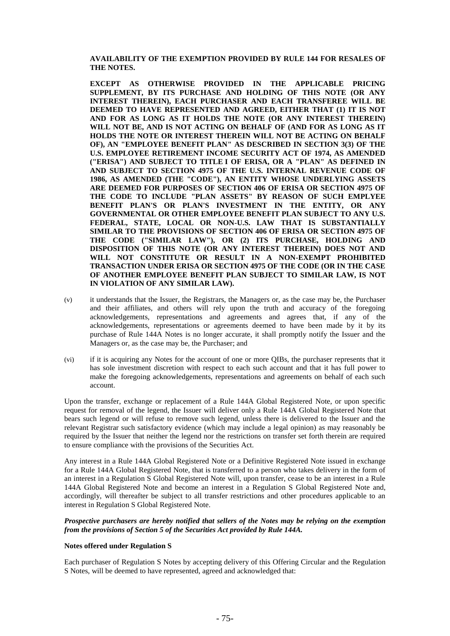**AVAILABILITY OF THE EXEMPTION PROVIDED BY RULE 144 FOR RESALES OF THE NOTES.**

**EXCEPT AS OTHERWISE PROVIDED IN THE APPLICABLE PRICING SUPPLEMENT, BY ITS PURCHASE AND HOLDING OF THIS NOTE (OR ANY INTEREST THEREIN), EACH PURCHASER AND EACH TRANSFEREE WILL BE DEEMED TO HAVE REPRESENTED AND AGREED, EITHER THAT (1) IT IS NOT AND FOR AS LONG AS IT HOLDS THE NOTE (OR ANY INTEREST THEREIN) WILL NOT BE, AND IS NOT ACTING ON BEHALF OF (AND FOR AS LONG AS IT HOLDS THE NOTE OR INTEREST THEREIN WILL NOT BE ACTING ON BEHALF OF), AN "EMPLOYEE BENEFIT PLAN" AS DESCRIBED IN SECTION 3(3) OF THE U.S. EMPLOYEE RETIREMENT INCOME SECURITY ACT OF 1974, AS AMENDED ("ERISA") AND SUBJECT TO TITLE I OF ERISA, OR A "PLAN" AS DEFINED IN AND SUBJECT TO SECTION 4975 OF THE U.S. INTERNAL REVENUE CODE OF 1986, AS AMENDED (THE "CODE"), AN ENTITY WHOSE UNDERLYING ASSETS ARE DEEMED FOR PURPOSES OF SECTION 406 OF ERISA OR SECTION 4975 OF THE CODE TO INCLUDE "PLAN ASSETS" BY REASON OF SUCH EMPLYEE BENEFIT PLAN'S OR PLAN'S INVESTMENT IN THE ENTITY, OR ANY GOVERNMENTAL OR OTHER EMPLOYEE BENEFIT PLAN SUBJECT TO ANY U.S. FEDERAL, STATE, LOCAL OR NON-U.S. LAW THAT IS SUBSTANTIALLY SIMILAR TO THE PROVISIONS OF SECTION 406 OF ERISA OR SECTION 4975 OF THE CODE ("SIMILAR LAW"), OR (2) ITS PURCHASE, HOLDING AND DISPOSITION OF THIS NOTE (OR ANY INTEREST THEREIN) DOES NOT AND WILL NOT CONSTITUTE OR RESULT IN A NON-EXEMPT PROHIBITED TRANSACTION UNDER ERISA OR SECTION 4975 OF THE CODE (OR IN THE CASE OF ANOTHER EMPLOYEE BENEFIT PLAN SUBJECT TO SIMILAR LAW, IS NOT IN VIOLATION OF ANY SIMILAR LAW).**

- (v) it understands that the Issuer, the Registrars, the Managers or, as the case may be, the Purchaser and their affiliates, and others will rely upon the truth and accuracy of the foregoing acknowledgements, representations and agreements and agrees that, if any of the acknowledgements, representations or agreements deemed to have been made by it by its purchase of Rule 144A Notes is no longer accurate, it shall promptly notify the Issuer and the Managers or, as the case may be, the Purchaser; and
- (vi) if it is acquiring any Notes for the account of one or more QIBs, the purchaser represents that it has sole investment discretion with respect to each such account and that it has full power to make the foregoing acknowledgements, representations and agreements on behalf of each such account.

Upon the transfer, exchange or replacement of a Rule 144A Global Registered Note, or upon specific request for removal of the legend, the Issuer will deliver only a Rule 144A Global Registered Note that bears such legend or will refuse to remove such legend, unless there is delivered to the Issuer and the relevant Registrar such satisfactory evidence (which may include a legal opinion) as may reasonably be required by the Issuer that neither the legend nor the restrictions on transfer set forth therein are required to ensure compliance with the provisions of the Securities Act.

Any interest in a Rule 144A Global Registered Note or a Definitive Registered Note issued in exchange for a Rule 144A Global Registered Note, that is transferred to a person who takes delivery in the form of an interest in a Regulation S Global Registered Note will, upon transfer, cease to be an interest in a Rule 144A Global Registered Note and become an interest in a Regulation S Global Registered Note and, accordingly, will thereafter be subject to all transfer restrictions and other procedures applicable to an interest in Regulation S Global Registered Note.

# *Prospective purchasers are hereby notified that sellers of the Notes may be relying on the exemption from the provisions of Section 5 of the Securities Act provided by Rule 144A.*

# **Notes offered under Regulation S**

Each purchaser of Regulation S Notes by accepting delivery of this Offering Circular and the Regulation S Notes, will be deemed to have represented, agreed and acknowledged that: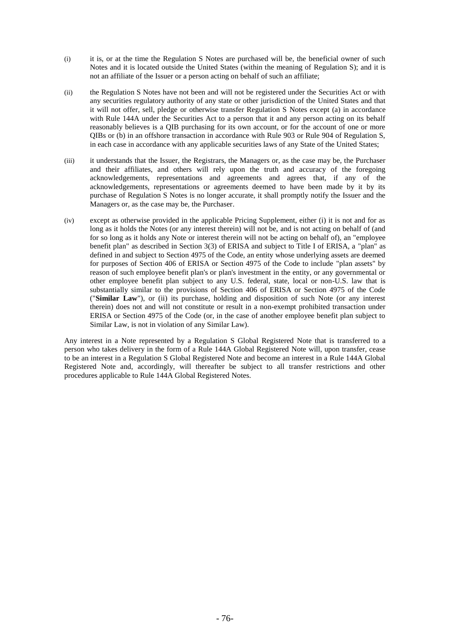- (i) it is, or at the time the Regulation S Notes are purchased will be, the beneficial owner of such Notes and it is located outside the United States (within the meaning of Regulation S); and it is not an affiliate of the Issuer or a person acting on behalf of such an affiliate;
- (ii) the Regulation S Notes have not been and will not be registered under the Securities Act or with any securities regulatory authority of any state or other jurisdiction of the United States and that it will not offer, sell, pledge or otherwise transfer Regulation S Notes except (a) in accordance with Rule 144A under the Securities Act to a person that it and any person acting on its behalf reasonably believes is a QIB purchasing for its own account, or for the account of one or more QIBs or (b) in an offshore transaction in accordance with Rule 903 or Rule 904 of Regulation S, in each case in accordance with any applicable securities laws of any State of the United States;
- (iii) it understands that the Issuer, the Registrars, the Managers or, as the case may be, the Purchaser and their affiliates, and others will rely upon the truth and accuracy of the foregoing acknowledgements, representations and agreements and agrees that, if any of the acknowledgements, representations or agreements deemed to have been made by it by its purchase of Regulation S Notes is no longer accurate, it shall promptly notify the Issuer and the Managers or, as the case may be, the Purchaser.
- (iv) except as otherwise provided in the applicable Pricing Supplement, either (i) it is not and for as long as it holds the Notes (or any interest therein) will not be, and is not acting on behalf of (and for so long as it holds any Note or interest therein will not be acting on behalf of), an "employee benefit plan" as described in Section 3(3) of ERISA and subject to Title I of ERISA, a "plan" as defined in and subject to Section 4975 of the Code, an entity whose underlying assets are deemed for purposes of Section 406 of ERISA or Section 4975 of the Code to include "plan assets" by reason of such employee benefit plan's or plan's investment in the entity, or any governmental or other employee benefit plan subject to any U.S. federal, state, local or non-U.S. law that is substantially similar to the provisions of Section 406 of ERISA or Section 4975 of the Code ("**Similar Law**"), or (ii) its purchase, holding and disposition of such Note (or any interest therein) does not and will not constitute or result in a non-exempt prohibited transaction under ERISA or Section 4975 of the Code (or, in the case of another employee benefit plan subject to Similar Law, is not in violation of any Similar Law).

Any interest in a Note represented by a Regulation S Global Registered Note that is transferred to a person who takes delivery in the form of a Rule 144A Global Registered Note will, upon transfer, cease to be an interest in a Regulation S Global Registered Note and become an interest in a Rule 144A Global Registered Note and, accordingly, will thereafter be subject to all transfer restrictions and other procedures applicable to Rule 144A Global Registered Notes.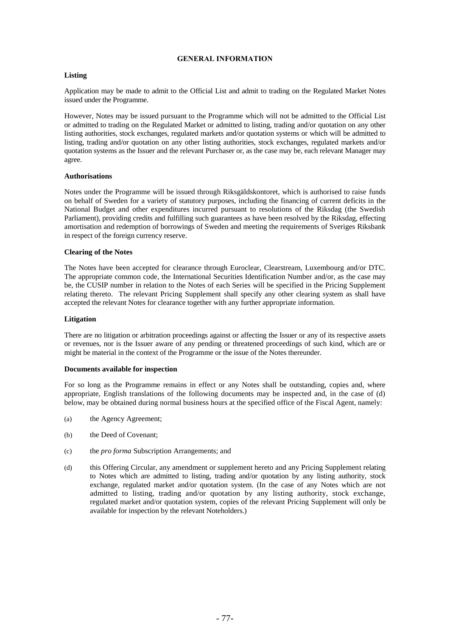## **GENERAL INFORMATION**

## **Listing**

Application may be made to admit to the Official List and admit to trading on the Regulated Market Notes issued under the Programme.

However, Notes may be issued pursuant to the Programme which will not be admitted to the Official List or admitted to trading on the Regulated Market or admitted to listing, trading and/or quotation on any other listing authorities, stock exchanges, regulated markets and/or quotation systems or which will be admitted to listing, trading and/or quotation on any other listing authorities, stock exchanges, regulated markets and/or quotation systems as the Issuer and the relevant Purchaser or, as the case may be, each relevant Manager may agree.

### **Authorisations**

Notes under the Programme will be issued through Riksgäldskontoret, which is authorised to raise funds on behalf of Sweden for a variety of statutory purposes, including the financing of current deficits in the National Budget and other expenditures incurred pursuant to resolutions of the Riksdag (the Swedish Parliament), providing credits and fulfilling such guarantees as have been resolved by the Riksdag, effecting amortisation and redemption of borrowings of Sweden and meeting the requirements of Sveriges Riksbank in respect of the foreign currency reserve.

## **Clearing of the Notes**

The Notes have been accepted for clearance through Euroclear, Clearstream, Luxembourg and/or DTC. The appropriate common code, the International Securities Identification Number and/or, as the case may be, the CUSIP number in relation to the Notes of each Series will be specified in the Pricing Supplement relating thereto. The relevant Pricing Supplement shall specify any other clearing system as shall have accepted the relevant Notes for clearance together with any further appropriate information.

### **Litigation**

There are no litigation or arbitration proceedings against or affecting the Issuer or any of its respective assets or revenues, nor is the Issuer aware of any pending or threatened proceedings of such kind, which are or might be material in the context of the Programme or the issue of the Notes thereunder.

## **Documents available for inspection**

For so long as the Programme remains in effect or any Notes shall be outstanding, copies and, where appropriate, English translations of the following documents may be inspected and, in the case of (d) below, may be obtained during normal business hours at the specified office of the Fiscal Agent, namely:

- (a) the Agency Agreement;
- (b) the Deed of Covenant;
- (c) the *pro forma* Subscription Arrangements; and
- (d) this Offering Circular, any amendment or supplement hereto and any Pricing Supplement relating to Notes which are admitted to listing, trading and/or quotation by any listing authority, stock exchange, regulated market and/or quotation system. (In the case of any Notes which are not admitted to listing, trading and/or quotation by any listing authority, stock exchange, regulated market and/or quotation system, copies of the relevant Pricing Supplement will only be available for inspection by the relevant Noteholders.)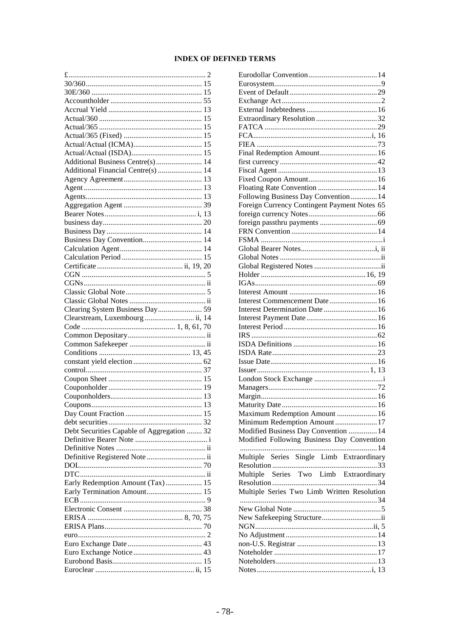# **INDEX OF DEFINED TERMS**

| Additional Business Centre(s) 14           |    |
|--------------------------------------------|----|
|                                            |    |
| Additional Financial Centre(s)  14         |    |
|                                            |    |
|                                            |    |
|                                            |    |
|                                            |    |
|                                            |    |
|                                            |    |
|                                            |    |
| Business Day Convention 14                 |    |
|                                            |    |
|                                            |    |
|                                            |    |
|                                            |    |
|                                            |    |
|                                            |    |
|                                            |    |
|                                            |    |
|                                            |    |
|                                            |    |
| Clearstream, Luxembourg  ii, 14            |    |
|                                            |    |
|                                            |    |
|                                            |    |
|                                            |    |
|                                            |    |
|                                            |    |
|                                            |    |
|                                            |    |
|                                            |    |
|                                            |    |
|                                            | 15 |
|                                            |    |
|                                            |    |
| Debt Securities Capable of Aggregation  32 |    |
|                                            |    |
|                                            |    |
| Definitive Registered Note  ii             |    |
|                                            |    |
|                                            |    |
| Early Redemption Amount (Tax) 15           |    |
| Early Termination Amount 15                |    |
|                                            |    |
|                                            |    |
|                                            |    |
|                                            |    |
|                                            |    |
|                                            |    |
|                                            |    |
|                                            |    |

| Final Redemption Amount 16                   |
|----------------------------------------------|
|                                              |
|                                              |
|                                              |
| Floating Rate Convention  14                 |
| Following Business Day Convention 14         |
| Foreign Currency Contingent Payment Notes 65 |
|                                              |
|                                              |
|                                              |
|                                              |
|                                              |
|                                              |
|                                              |
|                                              |
|                                              |
|                                              |
|                                              |
| Interest Commencement Date 16                |
| Interest Determination Date  16              |
|                                              |
|                                              |
|                                              |
|                                              |
|                                              |
|                                              |
|                                              |
|                                              |
|                                              |
|                                              |
|                                              |
|                                              |
| Maximum Redemption Amount  16                |
| Minimum Redemption Amount17                  |
| Modified Business Day Convention  14         |
| Modified Following Business Day Convention   |
|                                              |
|                                              |
| Multiple Series Single Limb Extraordinary    |
| Multiple Series Two Limb Extraordinary       |
|                                              |
| Multiple Series Two Limb Written Resolution  |
|                                              |
|                                              |
| New Safekeeping Structureii                  |
|                                              |
|                                              |
|                                              |
|                                              |
|                                              |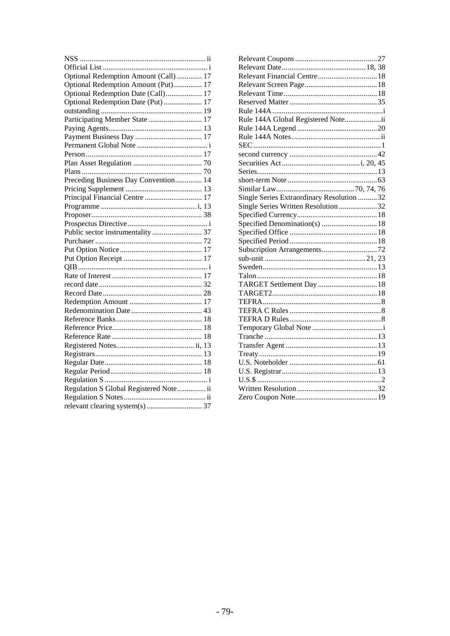| Optional Redemption Amount (Call)  17  |  |
|----------------------------------------|--|
| Optional Redemption Amount (Put) 17    |  |
| Optional Redemption Date (Call) 17     |  |
| Optional Redemption Date (Put)  17     |  |
|                                        |  |
| Participating Member State  17         |  |
|                                        |  |
|                                        |  |
|                                        |  |
|                                        |  |
|                                        |  |
|                                        |  |
| Preceding Business Day Convention 14   |  |
|                                        |  |
| Principal Financial Centre  17         |  |
|                                        |  |
|                                        |  |
|                                        |  |
|                                        |  |
|                                        |  |
|                                        |  |
|                                        |  |
|                                        |  |
|                                        |  |
|                                        |  |
|                                        |  |
|                                        |  |
|                                        |  |
|                                        |  |
|                                        |  |
|                                        |  |
|                                        |  |
|                                        |  |
|                                        |  |
|                                        |  |
|                                        |  |
| Regulation S Global Registered Note ii |  |
|                                        |  |
|                                        |  |

| Rule 144A Global Registered Noteii        |  |
|-------------------------------------------|--|
|                                           |  |
|                                           |  |
|                                           |  |
|                                           |  |
|                                           |  |
|                                           |  |
|                                           |  |
|                                           |  |
| Single Series Extraordinary Resolution 32 |  |
| Single Series Written Resolution 32       |  |
|                                           |  |
|                                           |  |
|                                           |  |
|                                           |  |
|                                           |  |
|                                           |  |
|                                           |  |
|                                           |  |
| TARGET Settlement Day  18                 |  |
|                                           |  |
|                                           |  |
|                                           |  |
|                                           |  |
|                                           |  |
|                                           |  |
|                                           |  |
|                                           |  |
|                                           |  |
|                                           |  |
|                                           |  |
|                                           |  |
|                                           |  |